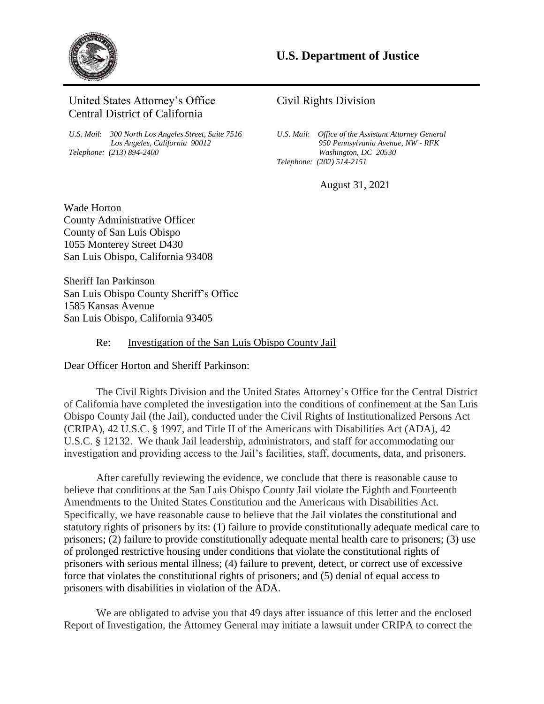

United States Attorney's Office Central District of California

*U.S. Mail*: *300 North Los Angeles Street, Suite 7516 Los Angeles, California 90012 Telephone: (213) 894-2400* 

# Civil Rights Division

*U.S. Mail*: *Office of the Assistant Attorney General 950 Pennsylvania Avenue, NW - RFK Washington, DC 20530 Telephone: (202) 514-2151* 

August 31, 2021

Wade Horton County Administrative Officer County of San Luis Obispo 1055 Monterey Street D430 San Luis Obispo, California 93408

Sheriff Ian Parkinson San Luis Obispo County Sheriff's Office 1585 Kansas Avenue San Luis Obispo, California 93405

## Re: Investigation of the San Luis Obispo County Jail

Dear Officer Horton and Sheriff Parkinson:

The Civil Rights Division and the United States Attorney's Office for the Central District of California have completed the investigation into the conditions of confinement at the San Luis Obispo County Jail (the Jail), conducted under the Civil Rights of Institutionalized Persons Act (CRIPA), 42 U.S.C. § 1997, and Title II of the Americans with Disabilities Act (ADA), 42 U.S.C. § 12132. We thank Jail leadership, administrators, and staff for accommodating our investigation and providing access to the Jail's facilities, staff, documents, data, and prisoners.

 prisoners with serious mental illness; (4) failure to prevent, detect, or correct use of excessive prisoners with disabilities in violation of the ADA. After carefully reviewing the evidence, we conclude that there is reasonable cause to believe that conditions at the San Luis Obispo County Jail violate the Eighth and Fourteenth Amendments to the United States Constitution and the Americans with Disabilities Act. Specifically, we have reasonable cause to believe that the Jail violates the constitutional and statutory rights of prisoners by its: (1) failure to provide constitutionally adequate medical care to prisoners; (2) failure to provide constitutionally adequate mental health care to prisoners; (3) use of prolonged restrictive housing under conditions that violate the constitutional rights of force that violates the constitutional rights of prisoners; and (5) denial of equal access to

We are obligated to advise you that 49 days after issuance of this letter and the enclosed Report of Investigation, the Attorney General may initiate a lawsuit under CRIPA to correct the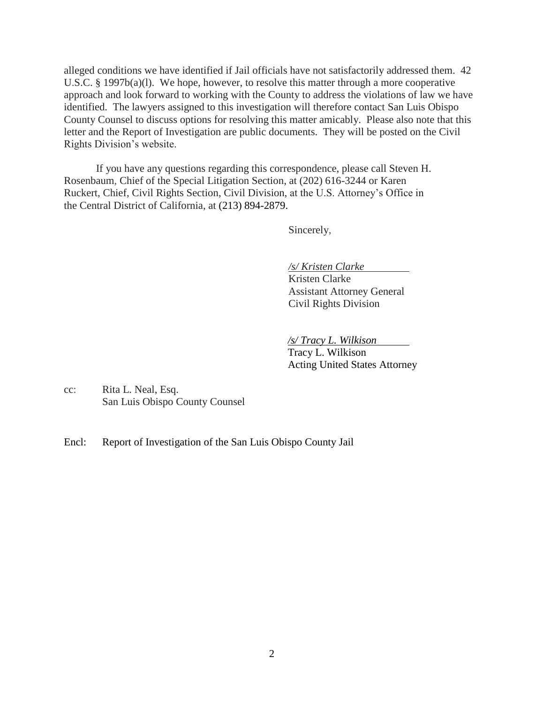alleged conditions we have identified if Jail officials have not satisfactorily addressed them. 42 U.S.C. § 1997b(a)(l). We hope, however, to resolve this matter through a more cooperative approach and look forward to working with the County to address the violations of law we have identified. The lawyers assigned to this investigation will therefore contact San Luis Obispo County Counsel to discuss options for resolving this matter amicably. Please also note that this letter and the Report of Investigation are public documents. They will be posted on the Civil Rights Division's website.

 If you have any questions regarding this correspondence, please call Steven H. Rosenbaum, Chief of the Special Litigation Section, at (202) 616-3244 or Karen Ruckert, Chief, Civil Rights Section, Civil Division, at the U.S. Attorney's Office in the Central District of California, at (213) 894-2879.

Sincerely,

*/s/ Kristen Clarke* 

Kristen Clarke Assistant Attorney General Civil Rights Division

*/s/ Tracy L. Wilkison* 

Tracy L. Wilkison Acting United States Attorney

cc: Rita L. Neal, Esq. San Luis Obispo County Counsel

Encl: Report of Investigation of the San Luis Obispo County Jail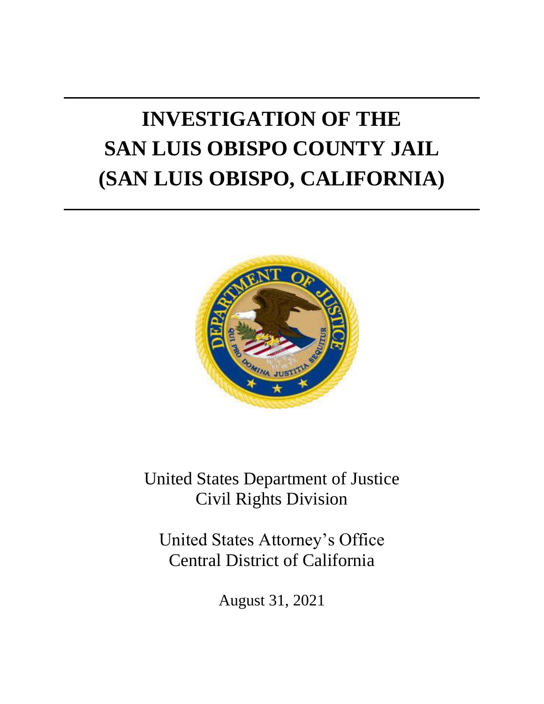# **INVESTIGATION OF THE SAN LUIS OBISPO COUNTY JAIL (SAN LUIS OBISPO, CALIFORNIA)**



United States Department of Justice Civil Rights Division

United States Attorney's Office Central District of California

August 31, 2021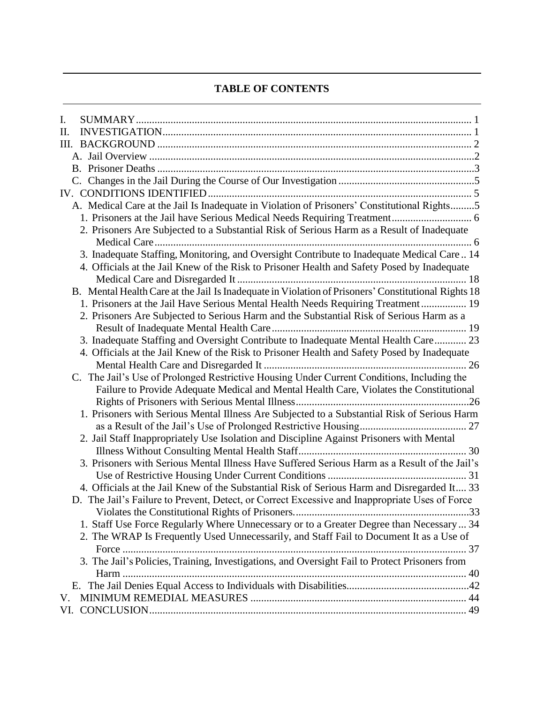# **TABLE OF CONTENTS**

| I.  |                                                                                                     |
|-----|-----------------------------------------------------------------------------------------------------|
| Π.  |                                                                                                     |
|     |                                                                                                     |
|     |                                                                                                     |
|     |                                                                                                     |
|     |                                                                                                     |
|     |                                                                                                     |
|     | A. Medical Care at the Jail Is Inadequate in Violation of Prisoners' Constitutional Rights5         |
|     |                                                                                                     |
|     | 2. Prisoners Are Subjected to a Substantial Risk of Serious Harm as a Result of Inadequate          |
|     | 3. Inadequate Staffing, Monitoring, and Oversight Contribute to Inadequate Medical Care 14          |
|     | 4. Officials at the Jail Knew of the Risk to Prisoner Health and Safety Posed by Inadequate         |
|     |                                                                                                     |
|     | B. Mental Health Care at the Jail Is Inadequate in Violation of Prisoners' Constitutional Rights 18 |
|     | 1. Prisoners at the Jail Have Serious Mental Health Needs Requiring Treatment 19                    |
|     | 2. Prisoners Are Subjected to Serious Harm and the Substantial Risk of Serious Harm as a            |
|     |                                                                                                     |
|     | 3. Inadequate Staffing and Oversight Contribute to Inadequate Mental Health Care 23                 |
|     | 4. Officials at the Jail Knew of the Risk to Prisoner Health and Safety Posed by Inadequate         |
|     |                                                                                                     |
|     | C. The Jail's Use of Prolonged Restrictive Housing Under Current Conditions, Including the          |
|     | Failure to Provide Adequate Medical and Mental Health Care, Violates the Constitutional             |
|     |                                                                                                     |
|     | 1. Prisoners with Serious Mental Illness Are Subjected to a Substantial Risk of Serious Harm        |
|     |                                                                                                     |
|     | 2. Jail Staff Inappropriately Use Isolation and Discipline Against Prisoners with Mental            |
|     |                                                                                                     |
|     | 3. Prisoners with Serious Mental Illness Have Suffered Serious Harm as a Result of the Jail's       |
|     |                                                                                                     |
|     | 4. Officials at the Jail Knew of the Substantial Risk of Serious Harm and Disregarded It 33         |
|     | D. The Jail's Failure to Prevent, Detect, or Correct Excessive and Inappropriate Uses of Force      |
|     | 1. Staff Use Force Regularly Where Unnecessary or to a Greater Degree than Necessary  34            |
|     | 2. The WRAP Is Frequently Used Unnecessarily, and Staff Fail to Document It as a Use of             |
|     |                                                                                                     |
|     | 3. The Jail's Policies, Training, Investigations, and Oversight Fail to Protect Prisoners from      |
|     |                                                                                                     |
|     |                                                                                                     |
| V.  |                                                                                                     |
| VI. |                                                                                                     |
|     |                                                                                                     |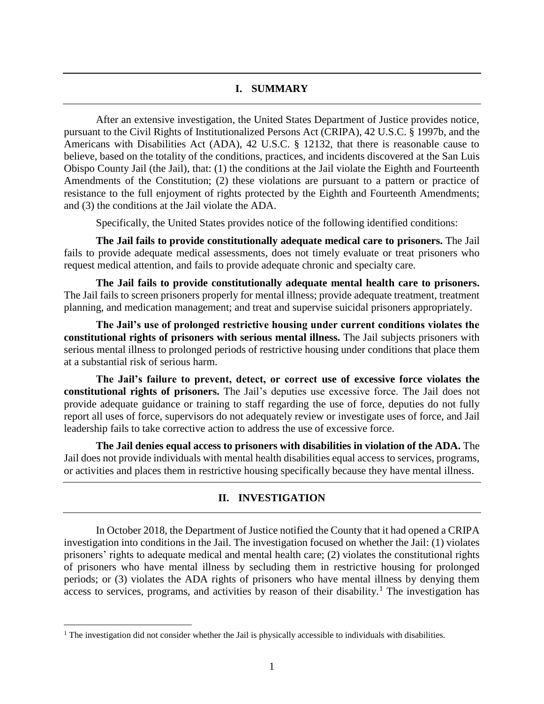#### **I. SUMMARY**

<span id="page-4-0"></span> Americans with Disabilities Act (ADA), 42 U.S.C. § 12132, that there is reasonable cause to believe, based on the totality of the conditions, practices, and incidents discovered at the San Luis Obispo County Jail (the Jail), that: (1) the conditions at the Jail violate the Eighth and Fourteenth Amendments of the Constitution; (2) these violations are pursuant to a pattern or practice of resistance to the full enjoyment of rights protected by the Eighth and Fourteenth Amendments; After an extensive investigation, the United States Department of Justice provides notice, pursuant to the Civil Rights of Institutionalized Persons Act (CRIPA), 42 U.S.C. § 1997b, and the and (3) the conditions at the Jail violate the ADA.

Specifically, the United States provides notice of the following identified conditions:

 **The Jail fails to provide constitutionally adequate medical care to prisoners.** The Jail fails to provide adequate medical assessments, does not timely evaluate or treat prisoners who request medical attention, and fails to provide adequate chronic and specialty care.

 **The Jail fails to provide constitutionally adequate mental health care to prisoners.**  The Jail fails to screen prisoners properly for mental illness; provide adequate treatment, treatment planning, and medication management; and treat and supervise suicidal prisoners appropriately.

 **The Jail's use of prolonged restrictive housing under current conditions violates the constitutional rights of prisoners with serious mental illness.** The Jail subjects prisoners with serious mental illness to prolonged periods of restrictive housing under conditions that place them at a substantial risk of serious harm.

 **The Jail's failure to prevent, detect, or correct use of excessive force violates the constitutional rights of prisoners.** The Jail's deputies use excessive force. The Jail does not provide adequate guidance or training to staff regarding the use of force, deputies do not fully report all uses of force, supervisors do not adequately review or investigate uses of force, and Jail leadership fails to take corrective action to address the use of excessive force.

<span id="page-4-1"></span> **The Jail denies equal access to prisoners with disabilities in violation of the ADA.** The Jail does not provide individuals with mental health disabilities equal access to services, programs, or activities and places them in restrictive housing specifically because they have mental illness.

## **II. INVESTIGATION**

 In October 2018, the Department of Justice notified the County that it had opened a CRIPA investigation into conditions in the Jail. The investigation focused on whether the Jail: (1) violates of prisoners who have mental illness by secluding them in restrictive housing for prolonged periods; or (3) violates the ADA rights of prisoners who have mental illness by denying them access to services, programs, and activities by reason of their disability.<sup>1</sup> The investigation has prisoners' rights to adequate medical and mental health care; (2) violates the constitutional rights

<sup>&</sup>lt;sup>1</sup> The investigation did not consider whether the Jail is physically accessible to individuals with disabilities.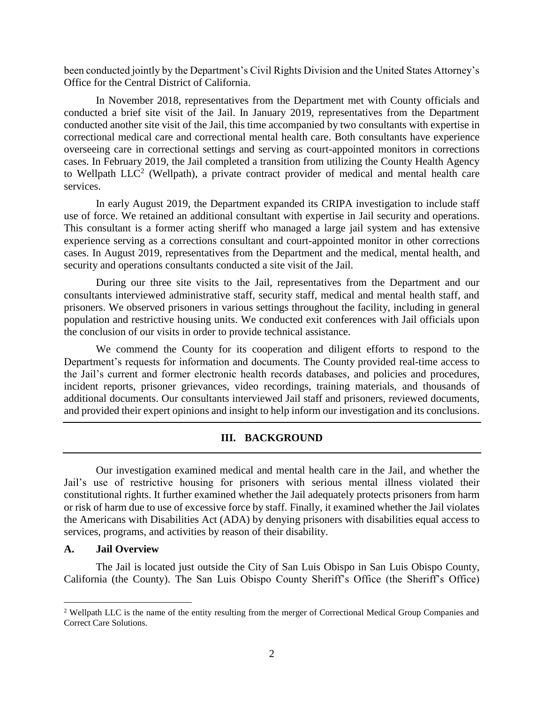been conducted jointly by the Department's Civil Rights Division and the United States Attorney's Office for the Central District of California.

 conducted a brief site visit of the Jail. In January 2019, representatives from the Department overseeing care in correctional settings and serving as court-appointed monitors in corrections cases. In February 2019, the Jail completed a transition from utilizing the County Health Agency In November 2018, representatives from the Department met with County officials and conducted another site visit of the Jail, this time accompanied by two consultants with expertise in correctional medical care and correctional mental health care. Both consultants have experience to Wellpath  $LLC<sup>2</sup>$  (Wellpath), a private contract provider of medical and mental health care services.

 In early August 2019, the Department expanded its CRIPA investigation to include staff This consultant is a former acting sheriff who managed a large jail system and has extensive experience serving as a corrections consultant and court-appointed monitor in other corrections use of force. We retained an additional consultant with expertise in Jail security and operations. cases. In August 2019, representatives from the Department and the medical, mental health, and security and operations consultants conducted a site visit of the Jail.

 prisoners. We observed prisoners in various settings throughout the facility, including in general population and restrictive housing units. We conducted exit conferences with Jail officials upon During our three site visits to the Jail, representatives from the Department and our consultants interviewed administrative staff, security staff, medical and mental health staff, and the conclusion of our visits in order to provide technical assistance.

 We commend the County for its cooperation and diligent efforts to respond to the Department's requests for information and documents. The County provided real-time access to the Jail's current and former electronic health records databases, and policies and procedures, incident reports, prisoner grievances, video recordings, training materials, and thousands of additional documents. Our consultants interviewed Jail staff and prisoners, reviewed documents, and provided their expert opinions and insight to help inform our investigation and its conclusions.

## **III. BACKGROUND**

<span id="page-5-0"></span> Jail's use of restrictive housing for prisoners with serious mental illness violated their constitutional rights. It further examined whether the Jail adequately protects prisoners from harm or risk of harm due to use of excessive force by staff. Finally, it examined whether the Jail violates the Americans with Disabilities Act (ADA) by denying prisoners with disabilities equal access to Our investigation examined medical and mental health care in the Jail, and whether the services, programs, and activities by reason of their disability.

#### <span id="page-5-1"></span>**A. Jail Overview**

 $\overline{a}$ 

 The Jail is located just outside the City of San Luis Obispo in San Luis Obispo County, California (the County). The San Luis Obispo County Sheriff's Office (the Sheriff's Office)

<sup>2</sup> Wellpath LLC is the name of the entity resulting from the merger of Correctional Medical Group Companies and Correct Care Solutions.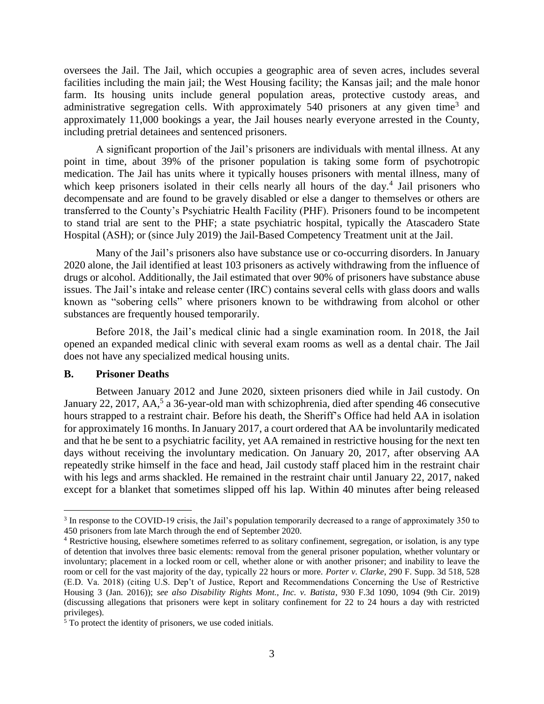farm. Its housing units include general population areas, protective custody areas, and administrative segregation cells. With approximately 540 prisoners at any given time<sup>3</sup> and approximately 11,000 bookings a year, the Jail houses nearly everyone arrested in the County, oversees the Jail. The Jail, which occupies a geographic area of seven acres, includes several facilities including the main jail; the West Housing facility; the Kansas jail; and the male honor including pretrial detainees and sentenced prisoners.

 medication. The Jail has units where it typically houses prisoners with mental illness, many of which keep prisoners isolated in their cells nearly all hours of the day.<sup>4</sup> Jail prisoners who decompensate and are found to be gravely disabled or else a danger to themselves or others are to stand trial are sent to the PHF; a state psychiatric hospital, typically the Atascadero State A significant proportion of the Jail's prisoners are individuals with mental illness. At any point in time, about 39% of the prisoner population is taking some form of psychotropic transferred to the County's Psychiatric Health Facility (PHF). Prisoners found to be incompetent Hospital (ASH); or (since July 2019) the Jail-Based Competency Treatment unit at the Jail.

 Many of the Jail's prisoners also have substance use or co-occurring disorders. In January 2020 alone, the Jail identified at least 103 prisoners as actively withdrawing from the influence of drugs or alcohol. Additionally, the Jail estimated that over 90% of prisoners have substance abuse issues. The Jail's intake and release center (IRC) contains several cells with glass doors and walls known as "sobering cells" where prisoners known to be withdrawing from alcohol or other substances are frequently housed temporarily.

 opened an expanded medical clinic with several exam rooms as well as a dental chair. The Jail Before 2018, the Jail's medical clinic had a single examination room. In 2018, the Jail does not have any specialized medical housing units.

#### <span id="page-6-0"></span>**B. Prisoner Deaths**

 $\overline{a}$ 

 hours strapped to a restraint chair. Before his death, the Sheriff's Office had held AA in isolation for approximately 16 months. In January 2017, a court ordered that AA be involuntarily medicated and that he be sent to a psychiatric facility, yet AA remained in restrictive housing for the next ten repeatedly strike himself in the face and head, Jail custody staff placed him in the restraint chair except for a blanket that sometimes slipped off his lap. Within 40 minutes after being released Between January 2012 and June 2020, sixteen prisoners died while in Jail custody. On January 22, 2017, AA,<sup>5</sup> a 36-year-old man with schizophrenia, died after spending 46 consecutive days without receiving the involuntary medication. On January 20, 2017, after observing AA with his legs and arms shackled. He remained in the restraint chair until January 22, 2017, naked

 $3$  In response to the COVID-19 crisis, the Jail's population temporarily decreased to a range of approximately 350 to 450 prisoners from late March through the end of September 2020. 450 prisoners from late March through the end of September 2020.<br><sup>4</sup> Restrictive housing, elsewhere sometimes referred to as solitary confinement, segregation, or isolation, is any type

 of detention that involves three basic elements: removal from the general prisoner population, whether voluntary or involuntary; placement in a locked room or cell, whether alone or with another prisoner; and inability to leave the room or cell for the vast majority of the day, typically 22 hours or more. *Porter v. Clarke*, 290 F. Supp. 3d 518, 528 (E.D. Va. 2018) (citing U.S. Dep't of Justice, Report and Recommendations Concerning the Use of Restrictive Housing 3 (Jan. 2016)); *see also Disability Rights Mont., Inc. v. Batista*, 930 F.3d 1090, 1094 (9th Cir. 2019) (discussing allegations that prisoners were kept in solitary confinement for 22 to 24 hours a day with restricted privileges).

 $5$  To protect the identity of prisoners, we use coded initials.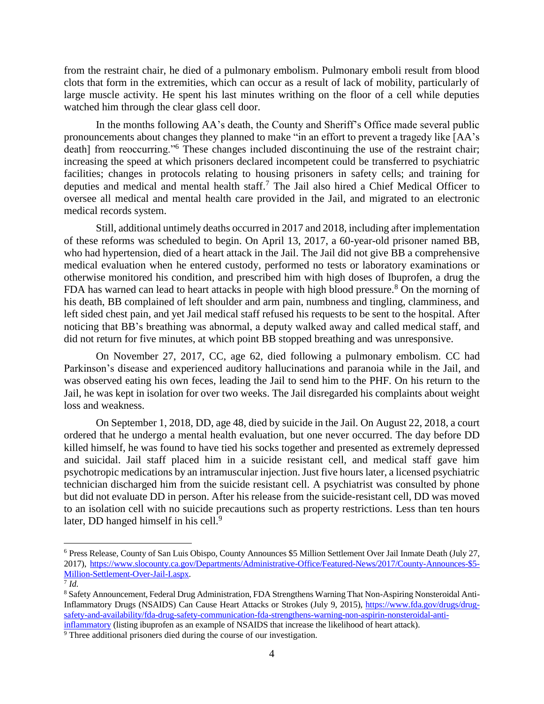from the restraint chair, he died of a pulmonary embolism. Pulmonary emboli result from blood clots that form in the extremities, which can occur as a result of lack of mobility, particularly of large muscle activity. He spent his last minutes writhing on the floor of a cell while deputies watched him through the clear glass cell door.

 In the months following AA's death, the County and Sheriff's Office made several public pronouncements about changes they planned to make "in an effort to prevent a tragedy like [AA's facilities; changes in protocols relating to housing prisoners in safety cells; and training for deputies and medical and mental health staff.<sup>7</sup> The Jail also hired a Chief Medical Officer to oversee all medical and mental health care provided in the Jail, and migrated to an electronic death] from reoccurring."<sup>6</sup> These changes included discontinuing the use of the restraint chair; increasing the speed at which prisoners declared incompetent could be transferred to psychiatric medical records system.

 of these reforms was scheduled to begin. On April 13, 2017, a 60-year-old prisoner named BB, who had hypertension, died of a heart attack in the Jail. The Jail did not give BB a comprehensive medical evaluation when he entered custody, performed no tests or laboratory examinations or left sided chest pain, and yet Jail medical staff refused his requests to be sent to the hospital. After noticing that BB's breathing was abnormal, a deputy walked away and called medical staff, and Still, additional untimely deaths occurred in 2017 and 2018, including after implementation otherwise monitored his condition, and prescribed him with high doses of Ibuprofen, a drug the FDA has warned can lead to heart attacks in people with high blood pressure.<sup>8</sup> On the morning of his death, BB complained of left shoulder and arm pain, numbness and tingling, clamminess, and did not return for five minutes, at which point BB stopped breathing and was unresponsive.

 On November 27, 2017, CC, age 62, died following a pulmonary embolism. CC had was observed eating his own feces, leading the Jail to send him to the PHF. On his return to the Parkinson's disease and experienced auditory hallucinations and paranoia while in the Jail, and Jail, he was kept in isolation for over two weeks. The Jail disregarded his complaints about weight loss and weakness.

 On September 1, 2018, DD, age 48, died by suicide in the Jail. On August 22, 2018, a court ordered that he undergo a mental health evaluation, but one never occurred. The day before DD and suicidal. Jail staff placed him in a suicide resistant cell, and medical staff gave him psychotropic medications by an intramuscular injection. Just five hours later, a licensed psychiatric technician discharged him from the suicide resistant cell. A psychiatrist was consulted by phone but did not evaluate DD in person. After his release from the suicide-resistant cell, DD was moved to an isolation cell with no suicide precautions such as property restrictions. Less than ten hours killed himself, he was found to have tied his socks together and presented as extremely depressed later, DD hanged himself in his cell.<sup>9</sup>

<sup>6</sup> Press Release, County of San Luis Obispo, County Announces \$5 Million Settlement Over Jail Inmate Death (July 27, 2017), [https://www.slocounty.ca.gov/Departments/Administrative-Office/Featured-News/2017/County-Announces-\\$5-](https://www.slocounty.ca.gov/Departments/Administrative-Office/Featured-News/2017/County-Announces-$5-Million-Settlement-Over-Jail-I.aspx) [Million-Settlement-Over-Jail-I.aspx.](https://www.slocounty.ca.gov/Departments/Administrative-Office/Featured-News/2017/County-Announces-$5-Million-Settlement-Over-Jail-I.aspx) 7 *Id.* 

<sup>&</sup>lt;sup>8</sup> Safety Announcement, Federal Drug Administration, FDA Strengthens Warning That Non-Aspiring Nonsteroidal AntiInflammatory Drugs (NSAIDS) Can Cause Heart Attacks or Strokes (July 9, 2015), [https://www.fda.gov/drugs/drug](https://www.fda.gov/drugs/drug-safety-and-availability/fda-drug-safety-communication-fda-strengthens-warning-non-aspirin-nonsteroidal-anti-inflammatory)[inflammatory](https://www.fda.gov/drugs/drug-safety-and-availability/fda-drug-safety-communication-fda-strengthens-warning-non-aspirin-nonsteroidal-anti-inflammatory) (listing ibuprofen as an example of NSAIDS that increase the likelihood of heart attack).<br><sup>9</sup> Three additional prisoners died during the course of our investigation. [safety-and-availability/fda-drug-safety-communication-fda-strengthens-warning-non-aspirin-nonsteroidal-anti-](https://www.fda.gov/drugs/drug-safety-and-availability/fda-drug-safety-communication-fda-strengthens-warning-non-aspirin-nonsteroidal-anti-inflammatory)

<sup>&</sup>lt;sup>9</sup> Three additional prisoners died during the course of our investigation.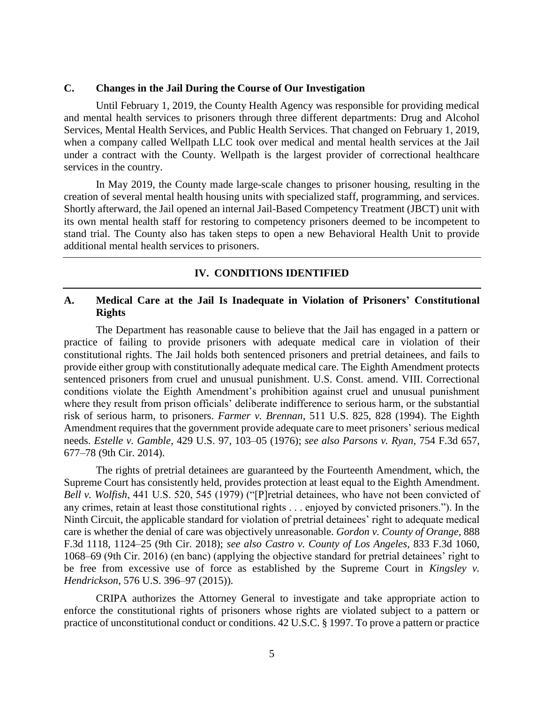#### <span id="page-8-0"></span>**C. Changes in the Jail During the Course of Our Investigation**

 Until February 1, 2019, the County Health Agency was responsible for providing medical and mental health services to prisoners through three different departments: Drug and Alcohol Services, Mental Health Services, and Public Health Services. That changed on February 1, 2019, when a company called Wellpath LLC took over medical and mental health services at the Jail under a contract with the County. Wellpath is the largest provider of correctional healthcare services in the country.

 Shortly afterward, the Jail opened an internal Jail-Based Competency Treatment (JBCT) unit with its own mental health staff for restoring to competency prisoners deemed to be incompetent to stand trial. The County also has taken steps to open a new Behavioral Health Unit to provide In May 2019, the County made large-scale changes to prisoner housing, resulting in the creation of several mental health housing units with specialized staff, programming, and services. additional mental health services to prisoners.

#### **IV. CONDITIONS IDENTIFIED**

## <span id="page-8-2"></span><span id="page-8-1"></span> **A. Medical Care at the Jail Is Inadequate in Violation of Prisoners' Constitutional Rights**

 The Department has reasonable cause to believe that the Jail has engaged in a pattern or practice of failing to provide prisoners with adequate medical care in violation of their constitutional rights. The Jail holds both sentenced prisoners and pretrial detainees, and fails to provide either group with constitutionally adequate medical care. The Eighth Amendment protects conditions violate the Eighth Amendment's prohibition against cruel and unusual punishment where they result from prison officials' deliberate indifference to serious harm, or the substantial sentenced prisoners from cruel and unusual punishment. U.S. Const. amend. VIII. Correctional risk of serious harm, to prisoners. *Farmer v. Brennan*, 511 U.S. 825, 828 (1994). The Eighth Amendment requires that the government provide adequate care to meet prisoners' serious medical needs. *Estelle v. Gamble*, 429 U.S. 97, 103–05 (1976); *see also Parsons v. Ryan*, 754 F.3d 657, 677–78 (9th Cir. 2014).

 care is whether the denial of care was objectively unreasonable. *Gordon v. County of Orange*, 888 1068–69 (9th Cir. 2016) (en banc) (applying the objective standard for pretrial detainees' right to be free from excessive use of force as established by the Supreme Court in *Kingsley v.*  The rights of pretrial detainees are guaranteed by the Fourteenth Amendment, which, the Supreme Court has consistently held, provides protection at least equal to the Eighth Amendment. *Bell v. Wolfish*, 441 U.S. 520, 545 (1979) ("[P]retrial detainees, who have not been convicted of any crimes, retain at least those constitutional rights . . . enjoyed by convicted prisoners."). In the Ninth Circuit, the applicable standard for violation of pretrial detainees' right to adequate medical F.3d 1118, 1124–25 (9th Cir. 2018); *see also Castro v. County of Los Angeles*, 833 F.3d 1060, *Hendrickson*, 576 U.S. 396–97 (2015)).

 enforce the constitutional rights of prisoners whose rights are violated subject to a pattern or practice of unconstitutional conduct or conditions. 42 U.S.C. § 1997. To prove a pattern or practice CRIPA authorizes the Attorney General to investigate and take appropriate action to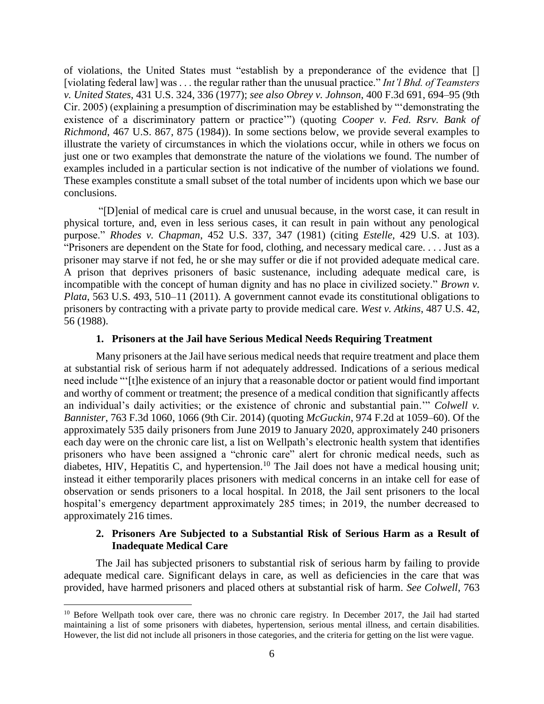of violations, the United States must "establish by a preponderance of the evidence that [] [violating federal law] was . . . the regular rather than the unusual practice." *Int'l Bhd. of Teamsters v. United States*, 431 U.S. 324, 336 (1977); *see also Obrey v. Johnson*, 400 F.3d 691, 694–95 (9th Cir. 2005) (explaining a presumption of discrimination may be established by "'demonstrating the existence of a discriminatory pattern or practice'") (quoting *Cooper v. Fed. Rsrv. Bank of Richmond*, 467 U.S. 867, 875 (1984)). In some sections below, we provide several examples to illustrate the variety of circumstances in which the violations occur, while in others we focus on just one or two examples that demonstrate the nature of the violations we found. The number of examples included in a particular section is not indicative of the number of violations we found. These examples constitute a small subset of the total number of incidents upon which we base our conclusions.

 "[D]enial of medical care is cruel and unusual because, in the worst case, it can result in physical torture, and, even in less serious cases, it can result in pain without any penological purpose." *Rhodes v. Chapman*, 452 U.S. 337, 347 (1981) (citing *Estelle*, 429 U.S. at 103). prisoner may starve if not fed, he or she may suffer or die if not provided adequate medical care. "Prisoners are dependent on the State for food, clothing, and necessary medical care. . . . Just as a A prison that deprives prisoners of basic sustenance, including adequate medical care, is incompatible with the concept of human dignity and has no place in civilized society." *Brown v. Plata*, 563 U.S. 493, 510–11 (2011). A government cannot evade its constitutional obligations to prisoners by contracting with a private party to provide medical care. *West v. Atkins*, 487 U.S. 42, 56 (1988).

#### **1. Prisoners at the Jail have Serious Medical Needs Requiring Treatment**

<span id="page-9-0"></span> Many prisoners at the Jail have serious medical needs that require treatment and place them at substantial risk of serious harm if not adequately addressed. Indications of a serious medical need include "'[t]he existence of an injury that a reasonable doctor or patient would find important and worthy of comment or treatment; the presence of a medical condition that significantly affects an individual's daily activities; or the existence of chronic and substantial pain.'" *Colwell v. Bannister*, 763 F.3d 1060, 1066 (9th Cir. 2014) (quoting *McGuckin*, 974 F.2d at 1059–60). Of the approximately 535 daily prisoners from June 2019 to January 2020, approximately 240 prisoners prisoners who have been assigned a "chronic care" alert for chronic medical needs, such as diabetes, HIV, Hepatitis C, and [hypertension.](https://hypertension.10)<sup>10</sup> The Jail does not have a medical housing unit; hospital's emergency department approximately 285 times; in 2019, the number decreased to each day were on the chronic care list, a list on Wellpath's electronic health system that identifies instead it either temporarily places prisoners with medical concerns in an intake cell for ease of observation or sends prisoners to a local hospital. In 2018, the Jail sent prisoners to the local approximately 216 times.

## **2. Prisoners Are Subjected to a Substantial Risk of Serious Harm as a Result of Inadequate Medical Care**

<span id="page-9-1"></span> The Jail has subjected prisoners to substantial risk of serious harm by failing to provide adequate medical care. Significant delays in care, as well as deficiencies in the care that was provided, have harmed prisoners and placed others at substantial risk of harm. *See Colwell*, 763

 maintaining a list of some prisoners with diabetes, hypertension, serious mental illness, and certain disabilities. However, the list did not include all prisoners in those categories, and the criteria for getting on the list were vague. <sup>10</sup> Before Wellpath took over care, there was no chronic care registry. In December 2017, the Jail had started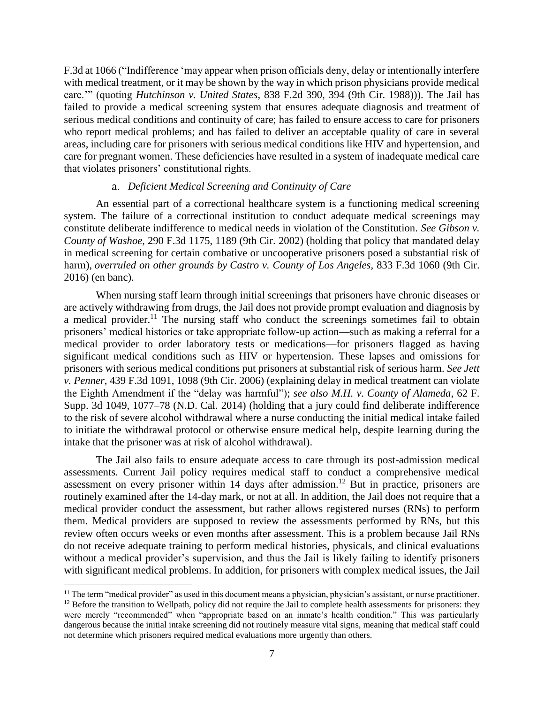F.3d at 1066 ("Indifference 'may appear when prison officials deny, delay or intentionally interfere with medical treatment, or it may be shown by the way in which prison physicians provide medical care.'" (quoting *Hutchinson v. United States*, 838 F.2d 390, 394 (9th Cir. 1988))). The Jail has who report medical problems; and has failed to deliver an acceptable quality of care in several areas, including care for prisoners with serious medical conditions like HIV and hypertension, and care for pregnant women. These deficiencies have resulted in a system of inadequate medical care failed to provide a medical screening system that ensures adequate diagnosis and treatment of serious medical conditions and continuity of care; has failed to ensure access to care for prisoners that violates prisoners' constitutional rights.

#### a. *Deficient Medical Screening and Continuity of Care*

 An essential part of a correctional healthcare system is a functioning medical screening system. The failure of a correctional institution to conduct adequate medical screenings may constitute deliberate indifference to medical needs in violation of the Constitution. *See Gibson v. County of Washoe*, 290 F.3d 1175, 1189 (9th Cir. 2002) (holding that policy that mandated delay in medical screening for certain combative or uncooperative prisoners posed a substantial risk of harm), *overruled on other grounds by Castro v. County of Los Angeles*, 833 F.3d 1060 (9th Cir. 2016) (en banc).

 are actively withdrawing from drugs, the Jail does not provide prompt evaluation and diagnosis by a medical [provider.](https://provider.11)<sup>11</sup> The nursing staff who conduct the screenings sometimes fail to obtain prisoners' medical histories or take appropriate follow-up action—such as making a referral for a *v. Penner*, 439 F.3d 1091, 1098 (9th Cir. 2006) (explaining delay in medical treatment can violate the Eighth Amendment if the "delay was harmful"); *see also M.H. v. County of Alameda*, 62 F. Supp. 3d 1049, 1077–78 (N.D. Cal. 2014) (holding that a jury could find deliberate indifference to initiate the withdrawal protocol or otherwise ensure medical help, despite learning during the When nursing staff learn through initial screenings that prisoners have chronic diseases or medical provider to order laboratory tests or medications—for prisoners flagged as having significant medical conditions such as HIV or hypertension. These lapses and omissions for prisoners with serious medical conditions put prisoners at substantial risk of serious harm. *See Jett*  to the risk of severe alcohol withdrawal where a nurse conducting the initial medical intake failed intake that the prisoner was at risk of alcohol withdrawal).

 The Jail also fails to ensure adequate access to care through its post-admission medical assessments. Current Jail policy requires medical staff to conduct a comprehensive medical them. Medical providers are supposed to review the assessments performed by RNs, but this without a medical provider's supervision, and thus the Jail is likely failing to identify prisoners with significant medical problems. In addition, for prisoners with complex medical issues, the Jail assessment on every prisoner within 14 days after [admission.](https://admission.12)<sup>12</sup> But in practice, prisoners are routinely examined after the 14-day mark, or not at all. In addition, the Jail does not require that a medical provider conduct the assessment, but rather allows registered nurses (RNs) to perform review often occurs weeks or even months after assessment. This is a problem because Jail RNs do not receive adequate training to perform medical histories, physicals, and clinical evaluations

<sup>&</sup>lt;sup>11</sup> The term "medical provider" as used in this document means a physician, physician's assistant, or nurse practitioner.  $12$  Before the transition to Wellpath, policy did not require the Jail to complete health assessments for prisoners: they were merely "recommended" when "appropriate based on an inmate's health condition." This was particularly dangerous because the initial intake screening did not routinely measure vital signs, meaning that medical staff could not determine which prisoners required medical evaluations more urgently than others.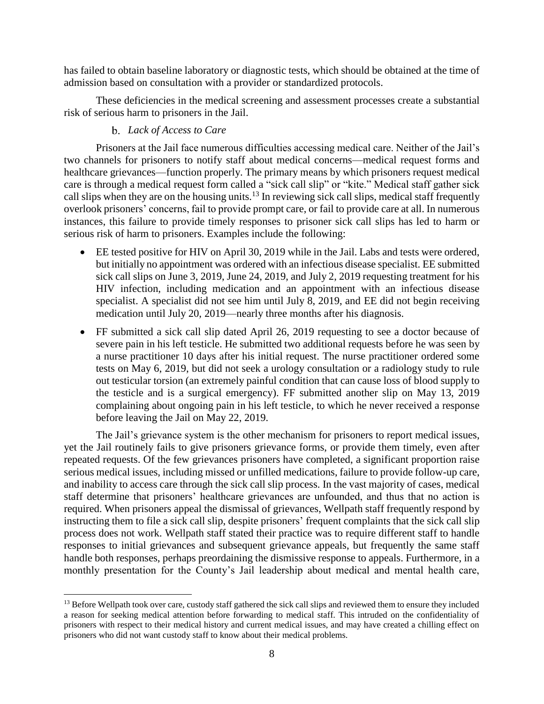has failed to obtain baseline laboratory or diagnostic tests, which should be obtained at the time of admission based on consultation with a provider or standardized protocols.

 These deficiencies in the medical screening and assessment processes create a substantial risk of serious harm to prisoners in the Jail.

## b. *Lack of Access to Care*

 $\overline{a}$ 

 Prisoners at the Jail face numerous difficulties accessing medical care. Neither of the Jail's two channels for prisoners to notify staff about medical concerns—medical request forms and healthcare grievances—function properly. The primary means by which prisoners request medical call slips when they are on the housing [units.](https://units.13)<sup>13</sup> In reviewing sick call slips, medical staff frequently overlook prisoners' concerns, fail to provide prompt care, or fail to provide care at all. In numerous instances, this failure to provide timely responses to prisoner sick call slips has led to harm or care is through a medical request form called a "sick call slip" or "kite." Medical staff gather sick serious risk of harm to prisoners. Examples include the following:

- • EE tested positive for HIV on April 30, 2019 while in the Jail. Labs and tests were ordered, but initially no appointment was ordered with an infectious disease specialist. EE submitted sick call slips on June 3, 2019, June 24, 2019, and July 2, 2019 requesting treatment for his specialist. A specialist did not see him until July 8, 2019, and EE did not begin receiving HIV infection, including medication and an appointment with an infectious disease medication until July 20, 2019—nearly three months after his diagnosis.
- • FF submitted a sick call slip dated April 26, 2019 requesting to see a doctor because of severe pain in his left testicle. He submitted two additional requests before he was seen by a nurse practitioner 10 days after his initial request. The nurse practitioner ordered some tests on May 6, 2019, but did not seek a urology consultation or a radiology study to rule out testicular torsion (an extremely painful condition that can cause loss of blood supply to the testicle and is a surgical emergency). FF submitted another slip on May 13, 2019 complaining about ongoing pain in his left testicle, to which he never received a response before leaving the Jail on May 22, 2019.

 yet the Jail routinely fails to give prisoners grievance forms, or provide them timely, even after repeated requests. Of the few grievances prisoners have completed, a significant proportion raise serious medical issues, including missed or unfilled medications, failure to provide follow-up care, and inability to access care through the sick call slip process. In the vast majority of cases, medical staff determine that prisoners' healthcare grievances are unfounded, and thus that no action is required. When prisoners appeal the dismissal of grievances, Wellpath staff frequently respond by instructing them to file a sick call slip, despite prisoners' frequent complaints that the sick call slip responses to initial grievances and subsequent grievance appeals, but frequently the same staff The Jail's grievance system is the other mechanism for prisoners to report medical issues, process does not work. Wellpath staff stated their practice was to require different staff to handle handle both responses, perhaps preordaining the dismissive response to appeals. Furthermore, in a monthly presentation for the County's Jail leadership about medical and mental health care,

 $<sup>13</sup>$  Before Wellpath took over care, custody staff gathered the sick call slips and reviewed them to ensure they included</sup> a reason for seeking medical attention before forwarding to medical staff. This intruded on the confidentiality of prisoners with respect to their medical history and current medical issues, and may have created a chilling effect on prisoners who did not want custody staff to know about their medical problems.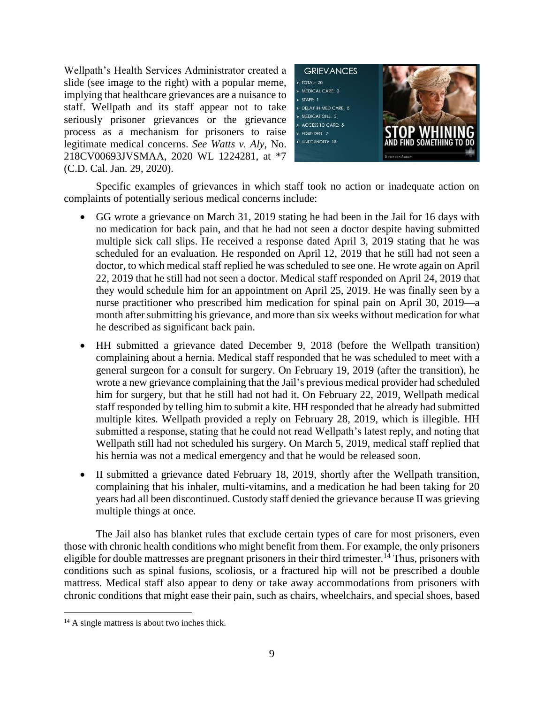slide (see image to the right) with a popular meme, implying that healthcare grievances are a nuisance to seriously prisoner grievances or the grievance Wellpath's Health Services Administrator created a staff. Wellpath and its staff appear not to take process as a mechanism for prisoners to raise legitimate medical concerns. *See Watts v. Aly*, No. 218CV00693JVSMAA, 2020 WL 1224281, at \*7 (C.D. Cal. Jan. 29, 2020).



Specific examples of grievances in which staff took no action or inadequate action on complaints of potentially serious medical concerns include:

- • GG wrote a grievance on March 31, 2019 stating he had been in the Jail for 16 days with no medication for back pain, and that he had not seen a doctor despite having submitted multiple sick call slips. He received a response dated April 3, 2019 stating that he was scheduled for an evaluation. He responded on April 12, 2019 that he still had not seen a doctor, to which medical staff replied he was scheduled to see one. He wrote again on April they would schedule him for an appointment on April 25, 2019. He was finally seen by a nurse practitioner who prescribed him medication for spinal pain on April 30, 2019—a month after submitting his grievance, and more than six weeks without medication for what 22, 2019 that he still had not seen a doctor. Medical staff responded on April 24, 2019 that he described as significant back pain.
- • HH submitted a grievance dated December 9, 2018 (before the Wellpath transition) general surgeon for a consult for surgery. On February 19, 2019 (after the transition), he him for surgery, but that he still had not had it. On February 22, 2019, Wellpath medical staff responded by telling him to submit a kite. HH responded that he already had submitted multiple kites. Wellpath provided a reply on February 28, 2019, which is illegible. HH submitted a response, stating that he could not read Wellpath's latest reply, and noting that complaining about a hernia. Medical staff responded that he was scheduled to meet with a wrote a new grievance complaining that the Jail's previous medical provider had scheduled Wellpath still had not scheduled his surgery. On March 5, 2019, medical staff replied that his hernia was not a medical emergency and that he would be released soon.
- • II submitted a grievance dated February 18, 2019, shortly after the Wellpath transition, complaining that his inhaler, multi-vitamins, and a medication he had been taking for 20 years had all been discontinued. Custody staff denied the grievance because II was grieving multiple things at once.

 The Jail also has blanket rules that exclude certain types of care for most prisoners, even eligible for double mattresses are pregnant prisoners in their third [trimester.](https://trimester.14)<sup>14</sup> Thus, prisoners with conditions such as spinal fusions, scoliosis, or a fractured hip will not be prescribed a double mattress. Medical staff also appear to deny or take away accommodations from prisoners with chronic conditions that might ease their pain, such as chairs, wheelchairs, and special shoes, based those with chronic health conditions who might benefit from them. For example, the only prisoners

<sup>&</sup>lt;sup>14</sup> A single mattress is about two inches thick.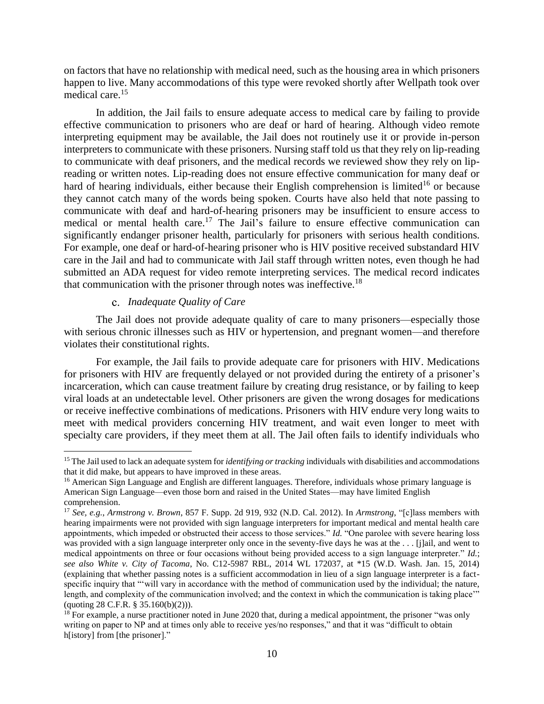on factors that have no relationship with medical need, such as the housing area in which prisoners happen to live. Many accommodations of this type were revoked shortly after Wellpath took over medical care.<sup>15</sup>

 In addition, the Jail fails to ensure adequate access to medical care by failing to provide effective communication to prisoners who are deaf or hard of hearing. Although video remote interpreting equipment may be available, the Jail does not routinely use it or provide in-person interpreters to communicate with these prisoners. Nursing staff told us that they rely on lip-reading to communicate with deaf prisoners, and the medical records we reviewed show they rely on lip- reading or written notes. Lip-reading does not ensure effective communication for many deaf or hard of hearing individuals, either because their English comprehension is limited<sup>16</sup> or because communicate with deaf and hard-of-hearing prisoners may be insufficient to ensure access to medical or mental health care.<sup>17</sup> The Jail's failure to ensure effective communication can significantly endanger prisoner health, particularly for prisoners with serious health conditions. For example, one deaf or hard-of-hearing prisoner who is HIV positive received substandard HIV care in the Jail and had to communicate with Jail staff through written notes, even though he had submitted an ADA request for video remote interpreting services. The medical record indicates they cannot catch many of the words being spoken. Courts have also held that note passing to that communication with the prisoner through notes was [ineffective.](https://ineffective.18)<sup>18</sup>

#### C. *Inadequate Quality of Care*

 $\overline{a}$ 

 The Jail does not provide adequate quality of care to many prisoners—especially those with serious chronic illnesses such as HIV or hypertension, and pregnant women—and therefore violates their constitutional rights.

 for prisoners with HIV are frequently delayed or not provided during the entirety of a prisoner's incarceration, which can cause treatment failure by creating drug resistance, or by failing to keep or receive ineffective combinations of medications. Prisoners with HIV endure very long waits to meet with medical providers concerning HIV treatment, and wait even longer to meet with specialty care providers, if they meet them at all. The Jail often fails to identify individuals who For example, the Jail fails to provide adequate care for prisoners with HIV. Medications viral loads at an undetectable level. Other prisoners are given the wrong dosages for medications

that it did make, but appears to have improved in these areas. that it did make, but appears to have improved in these areas.<br><sup>16</sup> American Sign Language and English are different languages. Therefore, individuals whose primary language is 15 The Jail used to lack an adequate system for *identifying or tracking* individuals with disabilities and accommodations

 American Sign Language—even those born and raised in the United States—may have limited English comprehension.

 <sup>17</sup>*See, e.g.*, *Armstrong v. Brown*, 857 F. Supp. 2d 919, 932 (N.D. Cal. 2012). In *Armstrong*, "[c]lass members with hearing impairments were not provided with sign language interpreters for important medical and mental health care appointments, which impeded or obstructed their access to those services." *Id.* "One parolee with severe hearing loss was provided with a sign language interpreter only once in the seventy-five days he was at the . . . [j]ail, and went to medical appointments on three or four occasions without being provided access to a sign language interpreter." *Id.*; *see also White v. City of Tacoma*, No. C12-5987 RBL, 2014 WL 172037, at \*15 (W.D. Wash. Jan. 15, 2014) (explaining that whether passing notes is a sufficient accommodation in lieu of a sign language interpreter is a fact- specific inquiry that "'will vary in accordance with the method of communication used by the individual; the nature, length, and complexity of the communication involved; and the context in which the communication is taking place"" (quoting 28 C.F.R. § 35.160(b)(2))).

<sup>&</sup>lt;sup>18</sup> For example, a nurse practitioner noted in June 2020 that, during a medical appointment, the prisoner "was only writing on paper to NP and at times only able to receive yes/no responses," and that it was "difficult to obtain h[istory] from [the prisoner]."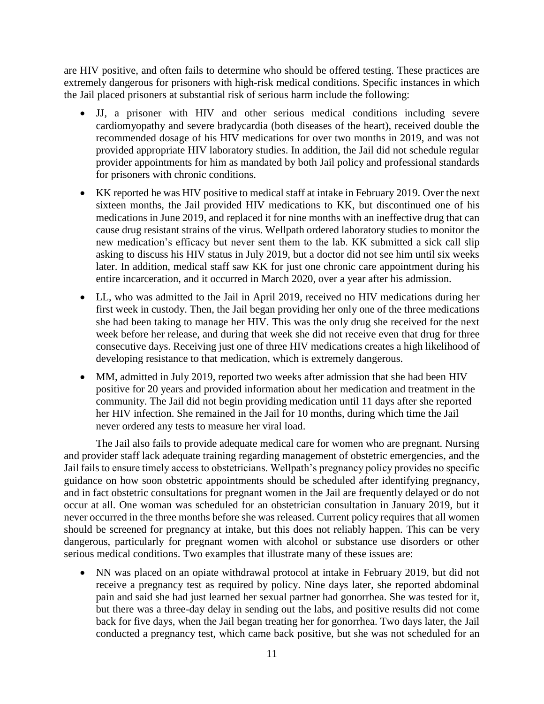are HIV positive, and often fails to determine who should be offered testing. These practices are extremely dangerous for prisoners with high-risk medical conditions. Specific instances in which the Jail placed prisoners at substantial risk of serious harm include the following:

- • JJ, a prisoner with HIV and other serious medical conditions including severe cardiomyopathy and severe bradycardia (both diseases of the heart), received double the recommended dosage of his HIV medications for over two months in 2019, and was not provided appropriate HIV laboratory studies. In addition, the Jail did not schedule regular provider appointments for him as mandated by both Jail policy and professional standards for prisoners with chronic conditions.
- • KK reported he was HIV positive to medical staff at intake in February 2019. Over the next medications in June 2019, and replaced it for nine months with an ineffective drug that can cause drug resistant strains of the virus. Wellpath ordered laboratory studies to monitor the new medication's efficacy but never sent them to the lab. KK submitted a sick call slip asking to discuss his HIV status in July 2019, but a doctor did not see him until six weeks later. In addition, medical staff saw KK for just one chronic care appointment during his sixteen months, the Jail provided HIV medications to KK, but discontinued one of his entire incarceration, and it occurred in March 2020, over a year after his admission.
- • LL, who was admitted to the Jail in April 2019, received no HIV medications during her first week in custody. Then, the Jail began providing her only one of the three medications she had been taking to manage her HIV. This was the only drug she received for the next week before her release, and during that week she did not receive even that drug for three consecutive days. Receiving just one of three HIV medications creates a high likelihood of developing resistance to that medication, which is extremely dangerous.
- MM, admitted in July 2019, reported two weeks after admission that she had been HIV positive for 20 years and provided information about her medication and treatment in the community. The Jail did not begin providing medication until 11 days after she reported her HIV infection. She remained in the Jail for 10 months, during which time the Jail never ordered any tests to measure her viral load.

 and provider staff lack adequate training regarding management of obstetric emergencies, and the Jail fails to ensure timely access to obstetricians. Wellpath's pregnancy policy provides no specific occur at all. One woman was scheduled for an obstetrician consultation in January 2019, but it never occurred in the three months before she was released. Current policy requires that all women should be screened for pregnancy at intake, but this does not reliably happen. This can be very dangerous, particularly for pregnant women with alcohol or substance use disorders or other The Jail also fails to provide adequate medical care for women who are pregnant. Nursing guidance on how soon obstetric appointments should be scheduled after identifying pregnancy, and in fact obstetric consultations for pregnant women in the Jail are frequently delayed or do not serious medical conditions. Two examples that illustrate many of these issues are:

 • NN was placed on an opiate withdrawal protocol at intake in February 2019, but did not receive a pregnancy test as required by policy. Nine days later, she reported abdominal pain and said she had just learned her sexual partner had gonorrhea. She was tested for it, but there was a three-day delay in sending out the labs, and positive results did not come conducted a pregnancy test, which came back positive, but she was not scheduled for an back for five days, when the Jail began treating her for gonorrhea. Two days later, the Jail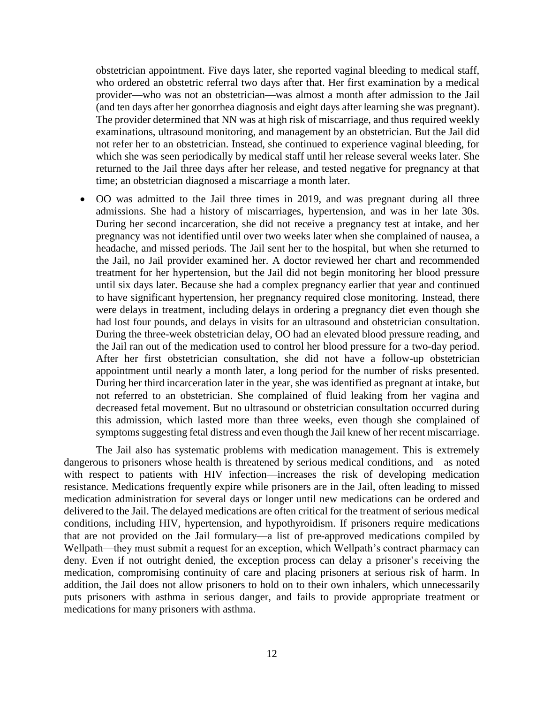obstetrician appointment. Five days later, she reported vaginal bleeding to medical staff, who ordered an obstetric referral two days after that. Her first examination by a medical provider—who was not an obstetrician—was almost a month after admission to the Jail (and ten days after her gonorrhea diagnosis and eight days after learning she was pregnant). returned to the Jail three days after her release, and tested negative for pregnancy at that The provider determined that NN was at high risk of miscarriage, and thus required weekly examinations, ultrasound monitoring, and management by an obstetrician. But the Jail did not refer her to an obstetrician. Instead, she continued to experience vaginal bleeding, for which she was seen periodically by medical staff until her release several weeks later. She time; an obstetrician diagnosed a miscarriage a month later.

 • OO was admitted to the Jail three times in 2019, and was pregnant during all three admissions. She had a history of miscarriages, hypertension, and was in her late 30s. During her second incarceration, she did not receive a pregnancy test at intake, and her pregnancy was not identified until over two weeks later when she complained of nausea, a headache, and missed periods. The Jail sent her to the hospital, but when she returned to until six days later. Because she had a complex pregnancy earlier that year and continued to have significant hypertension, her pregnancy required close monitoring. Instead, there were delays in treatment, including delays in ordering a pregnancy diet even though she the Jail ran out of the medication used to control her blood pressure for a two-day period. After her first obstetrician consultation, she did not have a follow-up obstetrician appointment until nearly a month later, a long period for the number of risks presented. not referred to an obstetrician. She complained of fluid leaking from her vagina and this admission, which lasted more than three weeks, even though she complained of the Jail, no Jail provider examined her. A doctor reviewed her chart and recommended treatment for her hypertension, but the Jail did not begin monitoring her blood pressure had lost four pounds, and delays in visits for an ultrasound and obstetrician consultation. During the three-week obstetrician delay, OO had an elevated blood pressure reading, and During her third incarceration later in the year, she was identified as pregnant at intake, but decreased fetal movement. But no ultrasound or obstetrician consultation occurred during symptoms suggesting fetal distress and even though the Jail knew of her recent miscarriage.

 The Jail also has systematic problems with medication management. This is extremely dangerous to prisoners whose health is threatened by serious medical conditions, and—as noted with respect to patients with HIV infection—increases the risk of developing medication resistance. Medications frequently expire while prisoners are in the Jail, often leading to missed that are not provided on the Jail formulary—a list of pre-approved medications compiled by deny. Even if not outright denied, the exception process can delay a prisoner's receiving the medication, compromising continuity of care and placing prisoners at serious risk of harm. In addition, the Jail does not allow prisoners to hold on to their own inhalers, which unnecessarily puts prisoners with asthma in serious danger, and fails to provide appropriate treatment or medication administration for several days or longer until new medications can be ordered and delivered to the Jail. The delayed medications are often critical for the treatment of serious medical conditions, including HIV, hypertension, and hypothyroidism. If prisoners require medications Wellpath—they must submit a request for an exception, which Wellpath's contract pharmacy can medications for many prisoners with asthma.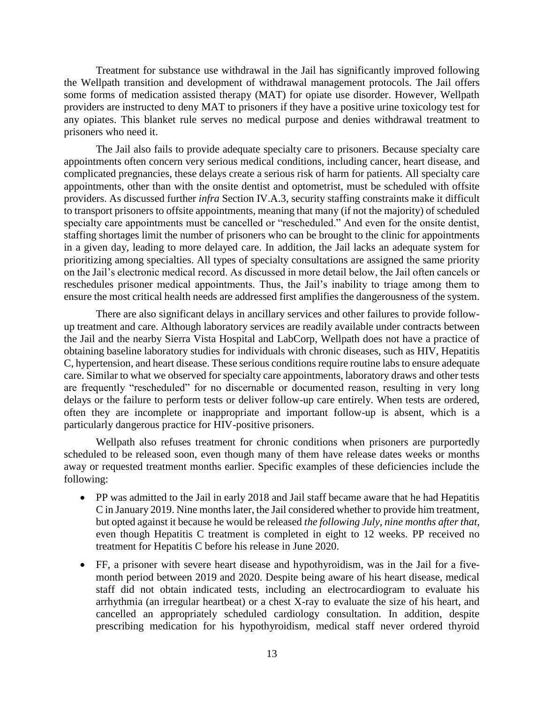Treatment for substance use withdrawal in the Jail has significantly improved following the Wellpath transition and development of withdrawal management protocols. The Jail offers some forms of medication assisted therapy (MAT) for opiate use disorder. However, Wellpath providers are instructed to deny MAT to prisoners if they have a positive urine toxicology test for any opiates. This blanket rule serves no medical purpose and denies withdrawal treatment to prisoners who need it.

 The Jail also fails to provide adequate specialty care to prisoners. Because specialty care complicated pregnancies, these delays create a serious risk of harm for patients. All specialty care appointments, other than with the onsite dentist and optometrist, must be scheduled with offsite providers. As discussed further *infra* Section IV.A.3, security staffing constraints make it difficult to transport prisoners to offsite appointments, meaning that many (if not the majority) of scheduled specialty care appointments must be cancelled or "rescheduled." And even for the onsite dentist, staffing shortages limit the number of prisoners who can be brought to the clinic for appointments in a given day, leading to more delayed care. In addition, the Jail lacks an adequate system for prioritizing among specialties. All types of specialty consultations are assigned the same priority on the Jail's electronic medical record. As discussed in more detail below, the Jail often cancels or reschedules prisoner medical appointments. Thus, the Jail's inability to triage among them to ensure the most critical health needs are addressed first amplifies the dangerousness of the system. appointments often concern very serious medical conditions, including cancer, heart disease, and

 up treatment and care. Although laboratory services are readily available under contracts between the Jail and the nearby Sierra Vista Hospital and LabCorp, Wellpath does not have a practice of obtaining baseline laboratory studies for individuals with chronic diseases, such as HIV, Hepatitis C, hypertension, and heart disease. These serious conditions require routine labs to ensure adequate care. Similar to what we observed for specialty care appointments, laboratory draws and other tests are frequently "rescheduled" for no discernable or documented reason, resulting in very long often they are incomplete or inappropriate and important follow-up is absent, which is a There are also significant delays in ancillary services and other failures to provide followdelays or the failure to perform tests or deliver follow-up care entirely. When tests are ordered, particularly dangerous practice for HIV-positive prisoners.

 Wellpath also refuses treatment for chronic conditions when prisoners are purportedly scheduled to be released soon, even though many of them have release dates weeks or months away or requested treatment months earlier. Specific examples of these deficiencies include the following:

- PP was admitted to the Jail in early 2018 and Jail staff became aware that he had Hepatitis C in January 2019. Nine months later, the Jail considered whether to provide him treatment, but opted against it because he would be released *the following July, nine months after that*, even though Hepatitis C treatment is completed in eight to 12 weeks. PP received no treatment for Hepatitis C before his release in June 2020.
- • FF, a prisoner with severe heart disease and hypothyroidism, was in the Jail for a five- month period between 2019 and 2020. Despite being aware of his heart disease, medical arrhythmia (an irregular heartbeat) or a chest X-ray to evaluate the size of his heart, and staff did not obtain indicated tests, including an electrocardiogram to evaluate his cancelled an appropriately scheduled cardiology consultation. In addition, despite prescribing medication for his hypothyroidism, medical staff never ordered thyroid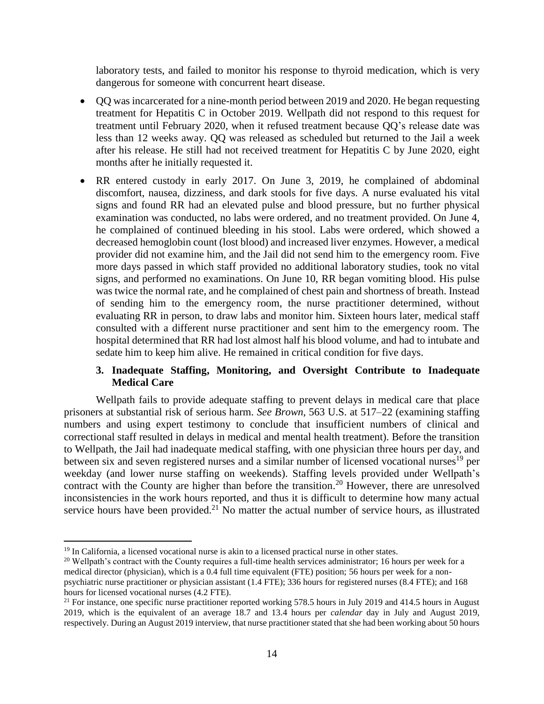laboratory tests, and failed to monitor his response to thyroid medication, which is very dangerous for someone with concurrent heart disease.

- • QQ was incarcerated for a nine-month period between 2019 and 2020. He began requesting treatment for Hepatitis C in October 2019. Wellpath did not respond to this request for less than 12 weeks away. QQ was released as scheduled but returned to the Jail a week after his release. He still had not received treatment for Hepatitis C by June 2020, eight treatment until February 2020, when it refused treatment because QQ's release date was months after he initially requested it.
- • RR entered custody in early 2017. On June 3, 2019, he complained of abdominal discomfort, nausea, dizziness, and dark stools for five days. A nurse evaluated his vital signs and found RR had an elevated pulse and blood pressure, but no further physical examination was conducted, no labs were ordered, and no treatment provided. On June 4, decreased hemoglobin count (lost blood) and increased liver enzymes. However, a medical provider did not examine him, and the Jail did not send him to the emergency room. Five more days passed in which staff provided no additional laboratory studies, took no vital was twice the normal rate, and he complained of chest pain and shortness of breath. Instead of sending him to the emergency room, the nurse practitioner determined, without consulted with a different nurse practitioner and sent him to the emergency room. The hospital determined that RR had lost almost half his blood volume, and had to intubate and he complained of continued bleeding in his stool. Labs were ordered, which showed a signs, and performed no examinations. On June 10, RR began vomiting blood. His pulse evaluating RR in person, to draw labs and monitor him. Sixteen hours later, medical staff sedate him to keep him alive. He remained in critical condition for five days.

## **3. Inadequate Staffing, Monitoring, and Oversight Contribute to Inadequate Medical Care**

<span id="page-17-0"></span> Wellpath fails to provide adequate staffing to prevent delays in medical care that place numbers and using expert testimony to conclude that insufficient numbers of clinical and weekday (and lower nurse staffing on weekends). Staffing levels provided under Wellpath's contract with the County are higher than before the [transition.](https://transition.20) 20 However, there are unresolved inconsistencies in the work hours reported, and thus it is difficult to determine how many actual service hours have been [provided.](https://provided.21)<sup>21</sup> No matter the actual number of service hours, as illustrated prisoners at substantial risk of serious harm. *See Brown*, 563 U.S. at 517–22 (examining staffing correctional staff resulted in delays in medical and mental health treatment). Before the transition to Wellpath, the Jail had inadequate medical staffing, with one physician three hours per day, and between six and seven registered nurses and a similar number of licensed vocational nurses<sup>19</sup> per

<sup>&</sup>lt;sup>19</sup> In California, a licensed vocational nurse is akin to a licensed practical nurse in other states.<br><sup>20</sup> Wellpath's contract with the County requires a full-time health services administrator; 16 hours per week for a medical director (physician), which is a 0.4 full time equivalent (FTE) position; 56 hours per week for a non- psychiatric nurse practitioner or physician assistant (1.4 FTE); 336 hours for registered nurses (8.4 FTE); and 168 hours for licensed vocational nurses (4.2 FTE).

<sup>&</sup>lt;sup>21</sup> For instance, one specific nurse practitioner reported working 578.5 hours in July 2019 and 414.5 hours in August 2019, which is the equivalent of an average 18.7 and 13.4 hours per *calendar* day in July and August 2019, respectively. During an August 2019 interview, that nurse practitioner stated that she had been working about 50 hours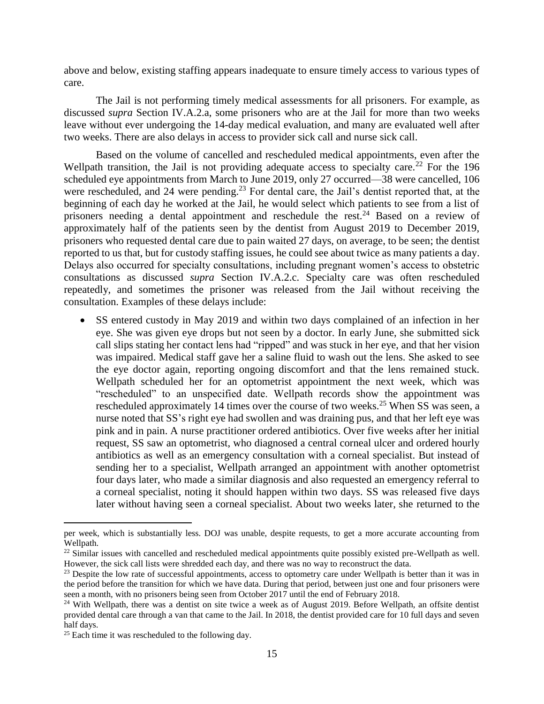above and below, existing staffing appears inadequate to ensure timely access to various types of care.

 The Jail is not performing timely medical assessments for all prisoners. For example, as discussed *supra* Section IV.A.2.a, some prisoners who are at the Jail for more than two weeks leave without ever undergoing the 14-day medical evaluation, and many are evaluated well after two weeks. There are also delays in access to provider sick call and nurse sick call.

 Based on the volume of cancelled and rescheduled medical appointments, even after the Wellpath transition, the Jail is not providing adequate access to specialty care.<sup>22</sup> For the 196 scheduled eye appointments from March to June 2019, only 27 occurred—38 were cancelled, 106 beginning of each day he worked at the Jail, he would select which patients to see from a list of prisoners needing a dental appointment and reschedule the rest.<sup>24</sup> Based on a review of approximately half of the patients seen by the dentist from August 2019 to December 2019, prisoners who requested dental care due to pain waited 27 days, on average, to be seen; the dentist reported to us that, but for custody staffing issues, he could see about twice as many patients a day. Delays also occurred for specialty consultations, including pregnant women's access to obstetric consultations as discussed *supra* Section IV.A.2.c. Specialty care was often rescheduled repeatedly, and sometimes the prisoner was released from the Jail without receiving the were rescheduled, and 24 were [pending.](https://pending.23)<sup>23</sup> For dental care, the Jail's dentist reported that, at the consultation. Examples of these delays include:

 • SS entered custody in May 2019 and within two days complained of an infection in her eye. She was given eye drops but not seen by a doctor. In early June, she submitted sick call slips stating her contact lens had "ripped" and was stuck in her eye, and that her vision was impaired. Medical staff gave her a saline fluid to wash out the lens. She asked to see the eye doctor again, reporting ongoing discomfort and that the lens remained stuck. Wellpath scheduled her for an optometrist appointment the next week, which was rescheduled approximately 14 times over the course of two [weeks.](https://weeks.25)<sup>25</sup> When SS was seen, a nurse noted that SS's right eye had swollen and was draining pus, and that her left eye was sending her to a specialist, Wellpath arranged an appointment with another optometrist four days later, who made a similar diagnosis and also requested an emergency referral to a corneal specialist, noting it should happen within two days. SS was released five days later without having seen a corneal specialist. About two weeks later, she returned to the "rescheduled" to an unspecified date. Wellpath records show the appointment was pink and in pain. A nurse practitioner ordered antibiotics. Over five weeks after her initial request, SS saw an optometrist, who diagnosed a central corneal ulcer and ordered hourly antibiotics as well as an emergency consultation with a corneal specialist. But instead of

 per week, which is substantially less. DOJ was unable, despite requests, to get a more accurate accounting from Wellpath.

 $22$  Similar issues with cancelled and rescheduled medical appointments quite possibly existed pre-Wellpath as well. However, the sick call lists were shredded each day, and there was no way to reconstruct the data.

 $2<sup>23</sup>$  Despite the low rate of successful appointments, access to optometry care under Wellpath is better than it was in the period before the transition for which we have data. During that period, between just one and four prisoners were seen a month, with no prisoners being seen from October 2017 until the end of February 2018. seen a month, with no prisoners being seen from October 2017 until the end of February 2018.<br><sup>24</sup> With Wellpath, there was a dentist on site twice a week as of August 2019. Before Wellpath, an offsite dentist

 provided dental care through a van that came to the Jail. In 2018, the dentist provided care for 10 full days and seven half days.

 $25$  Each time it was rescheduled to the following day.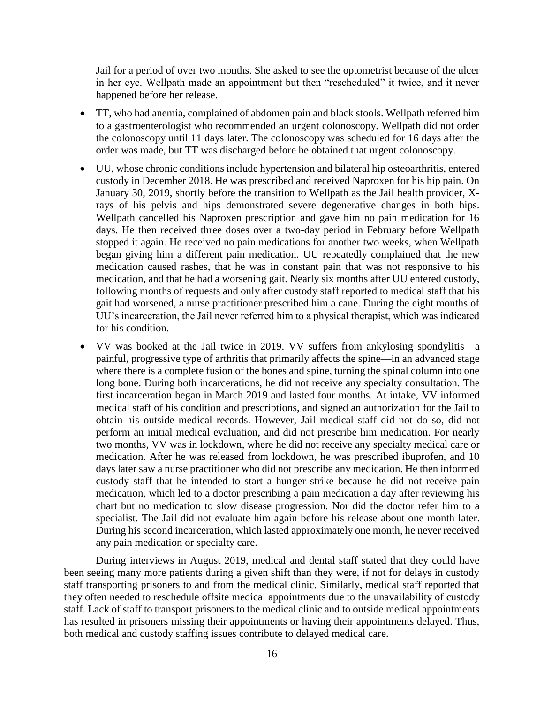in her eye. Wellpath made an appointment but then "rescheduled" it twice, and it never Jail for a period of over two months. She asked to see the optometrist because of the ulcer happened before her release.

- • TT, who had anemia, complained of abdomen pain and black stools. Wellpath referred him the colonoscopy until 11 days later. The colonoscopy was scheduled for 16 days after the to a gastroenterologist who recommended an urgent colonoscopy. Wellpath did not order order was made, but TT was discharged before he obtained that urgent colonoscopy.
- • UU, whose chronic conditions include hypertension and bilateral hip osteoarthritis, entered custody in December 2018. He was prescribed and received Naproxen for his hip pain. On January 30, 2019, shortly before the transition to Wellpath as the Jail health provider, X- rays of his pelvis and hips demonstrated severe degenerative changes in both hips. Wellpath cancelled his Naproxen prescription and gave him no pain medication for 16 days. He then received three doses over a two-day period in February before Wellpath stopped it again. He received no pain medications for another two weeks, when Wellpath began giving him a different pain medication. UU repeatedly complained that the new medication caused rashes, that he was in constant pain that was not responsive to his medication, and that he had a worsening gait. Nearly six months after UU entered custody, following months of requests and only after custody staff reported to medical staff that his gait had worsened, a nurse practitioner prescribed him a cane. During the eight months of UU's incarceration, the Jail never referred him to a physical therapist, which was indicated for his condition.
- • VV was booked at the Jail twice in 2019. VV suffers from ankylosing spondylitis—a where there is a complete fusion of the bones and spine, turning the spinal column into one long bone. During both incarcerations, he did not receive any specialty consultation. The first incarceration began in March 2019 and lasted four months. At intake, VV informed medical staff of his condition and prescriptions, and signed an authorization for the Jail to perform an initial medical evaluation, and did not prescribe him medication. For nearly two months, VV was in lockdown, where he did not receive any specialty medical care or medication. After he was released from lockdown, he was prescribed ibuprofen, and 10 days later saw a nurse practitioner who did not prescribe any medication. He then informed custody staff that he intended to start a hunger strike because he did not receive pain medication, which led to a doctor prescribing a pain medication a day after reviewing his chart but no medication to slow disease progression. Nor did the doctor refer him to a specialist. The Jail did not evaluate him again before his release about one month later. During his second incarceration, which lasted approximately one month, he never received painful, progressive type of arthritis that primarily affects the spine—in an advanced stage obtain his outside medical records. However, Jail medical staff did not do so, did not any pain medication or specialty care.

 During interviews in August 2019, medical and dental staff stated that they could have been seeing many more patients during a given shift than they were, if not for delays in custody staff transporting prisoners to and from the medical clinic. Similarly, medical staff reported that they often needed to reschedule offsite medical appointments due to the unavailability of custody has resulted in prisoners missing their appointments or having their appointments delayed. Thus, staff. Lack of staff to transport prisoners to the medical clinic and to outside medical appointments both medical and custody staffing issues contribute to delayed medical care.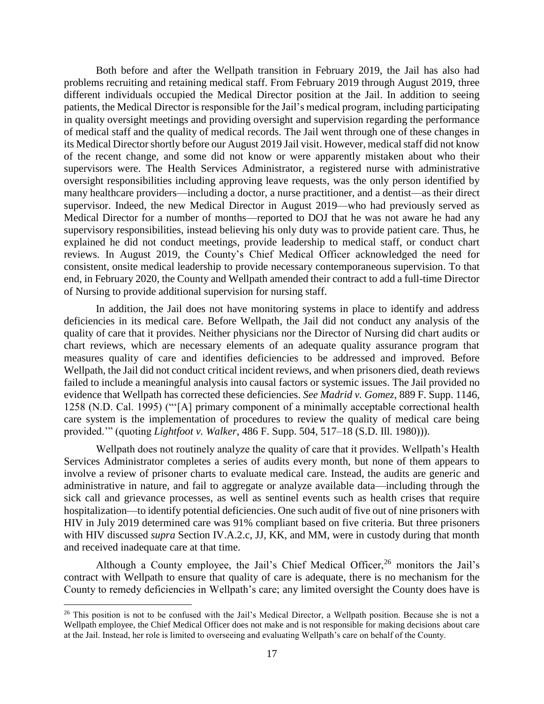Both before and after the Wellpath transition in February 2019, the Jail has also had problems recruiting and retaining medical staff. From February 2019 through August 2019, three patients, the Medical Director is responsible for the Jail's medical program, including participating in quality oversight meetings and providing oversight and supervision regarding the performance its Medical Director shortly before our August 2019 Jail visit. However, medical staff did not know oversight responsibilities including approving leave requests, was the only person identified by many healthcare providers—including a doctor, a nurse practitioner, and a dentist—as their direct supervisor. Indeed, the new Medical Director in August 2019—who had previously served as Medical Director for a number of months—reported to DOJ that he was not aware he had any supervisory responsibilities, instead believing his only duty was to provide patient care. Thus, he consistent, onsite medical leadership to provide necessary contemporaneous supervision. To that different individuals occupied the Medical Director position at the Jail. In addition to seeing of medical staff and the quality of medical records. The Jail went through one of these changes in of the recent change, and some did not know or were apparently mistaken about who their supervisors were. The Health Services Administrator, a registered nurse with administrative explained he did not conduct meetings, provide leadership to medical staff, or conduct chart reviews. In August 2019, the County's Chief Medical Officer acknowledged the need for end, in February 2020, the County and Wellpath amended their contract to add a full-time Director of Nursing to provide additional supervision for nursing staff.

 In addition, the Jail does not have monitoring systems in place to identify and address deficiencies in its medical care. Before Wellpath, the Jail did not conduct any analysis of the quality of care that it provides. Neither physicians nor the Director of Nursing did chart audits or chart reviews, which are necessary elements of an adequate quality assurance program that measures quality of care and identifies deficiencies to be addressed and improved. Before failed to include a meaningful analysis into causal factors or systemic issues. The Jail provided no 1258 (N.D. Cal. 1995) ("'[A] primary component of a minimally acceptable correctional health care system is the implementation of procedures to review the quality of medical care being Wellpath, the Jail did not conduct critical incident reviews, and when prisoners died, death reviews evidence that Wellpath has corrected these deficiencies. *See Madrid v. Gomez*, 889 F. Supp. 1146, provided.'" (quoting *Lightfoot v. Walker*, 486 F. Supp. 504, 517–18 (S.D. Ill. 1980))).

 Services Administrator completes a series of audits every month, but none of them appears to involve a review of prisoner charts to evaluate medical care. Instead, the audits are generic and administrative in nature, and fail to aggregate or analyze available data—including through the sick call and grievance processes, as well as sentinel events such as health crises that require hospitalization—to identify potential deficiencies. One such audit of five out of nine prisoners with HIV in July 2019 determined care was 91% compliant based on five criteria. But three prisoners with HIV discussed *supra* Section IV.A.2.c, JJ, KK, and MM, were in custody during that month Wellpath does not routinely analyze the quality of care that it provides. Wellpath's Health and received inadequate care at that time.

Although a County employee, the Jail's Chief Medical Officer,<sup>26</sup> monitors the Jail's contract with Wellpath to ensure that quality of care is adequate, there is no mechanism for the County to remedy deficiencies in Wellpath's care; any limited oversight the County does have is

 Wellpath employee, the Chief Medical Officer does not make and is not responsible for making decisions about care at the Jail. Instead, her role is limited to overseeing and evaluating Wellpath's care on behalf of the County. <sup>26</sup> This position is not to be confused with the Jail's Medical Director, a Wellpath position. Because she is not a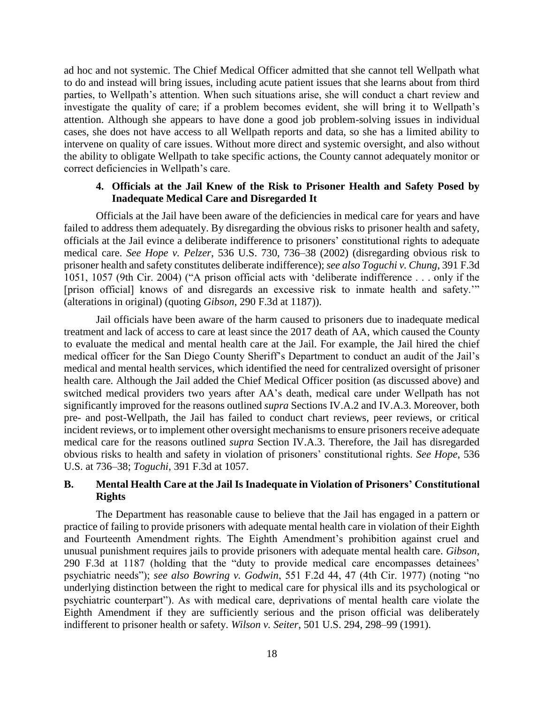ad hoc and not systemic. The Chief Medical Officer admitted that she cannot tell Wellpath what to do and instead will bring issues, including acute patient issues that she learns about from third parties, to Wellpath's attention. When such situations arise, she will conduct a chart review and investigate the quality of care; if a problem becomes evident, she will bring it to Wellpath's attention. Although she appears to have done a good job problem-solving issues in individual cases, she does not have access to all Wellpath reports and data, so she has a limited ability to intervene on quality of care issues. Without more direct and systemic oversight, and also without the ability to obligate Wellpath to take specific actions, the County cannot adequately monitor or correct deficiencies in Wellpath's care.

#### **4. Officials at the Jail Knew of the Risk to Prisoner Health and Safety Posed by Inadequate Medical Care and Disregarded It**

<span id="page-21-0"></span> failed to address them adequately. By disregarding the obvious risks to prisoner health and safety, officials at the Jail evince a deliberate indifference to prisoners' constitutional rights to adequate  medical care. *See Hope v. Pelzer*, 536 U.S. 730, 736–38 (2002) (disregarding obvious risk to prisoner health and safety constitutes deliberate indifference); *see also Toguchi v. Chung*, 391 F.3d 1051, 1057 (9th Cir. 2004) ("A prison official acts with 'deliberate indifference . . . only if the [prison official] knows of and disregards an excessive risk to inmate health and safety.'" Officials at the Jail have been aware of the deficiencies in medical care for years and have (alterations in original) (quoting *Gibson*, 290 F.3d at 1187)).

 Jail officials have been aware of the harm caused to prisoners due to inadequate medical to evaluate the medical and mental health care at the Jail. For example, the Jail hired the chief medical officer for the San Diego County Sheriff's Department to conduct an audit of the Jail's health care. Although the Jail added the Chief Medical Officer position (as discussed above) and incident reviews, or to implement other oversight mechanisms to ensure prisoners receive adequate medical care for the reasons outlined *supra* Section IV.A.3. Therefore, the Jail has disregarded treatment and lack of access to care at least since the 2017 death of AA, which caused the County medical and mental health services, which identified the need for centralized oversight of prisoner switched medical providers two years after AA's death, medical care under Wellpath has not significantly improved for the reasons outlined *supra* Sections IV.A.2 and IV.A.3. Moreover, both pre- and post-Wellpath, the Jail has failed to conduct chart reviews, peer reviews, or critical obvious risks to health and safety in violation of prisoners' constitutional rights. *See Hope*, 536 U.S. at 736–38; *Toguchi*, 391 F.3d at 1057.

## <span id="page-21-1"></span> **B. Mental Health Care at the Jail Is Inadequate in Violation of Prisoners' Constitutional Rights**

 The Department has reasonable cause to believe that the Jail has engaged in a pattern or practice of failing to provide prisoners with adequate mental health care in violation of their Eighth and Fourteenth Amendment rights. The Eighth Amendment's prohibition against cruel and 290 F.3d at 1187 (holding that the "duty to provide medical care encompasses detainees' psychiatric needs"); *see also Bowring v. Godwin*, 551 F.2d 44, 47 (4th Cir. 1977) (noting "no underlying distinction between the right to medical care for physical ills and its psychological or psychiatric counterpart"). As with medical care, deprivations of mental health care violate the Eighth Amendment if they are sufficiently serious and the prison official was deliberately unusual punishment requires jails to provide prisoners with adequate mental health care. *Gibson*, indifferent to prisoner health or safety. *Wilson v. Seiter*, 501 U.S. 294, 298–99 (1991).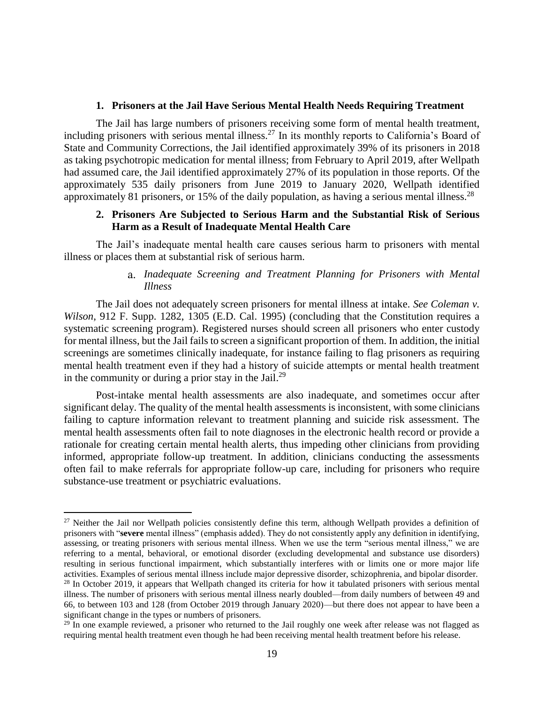#### **1. Prisoners at the Jail Have Serious Mental Health Needs Requiring Treatment**

<span id="page-22-0"></span> The Jail has large numbers of prisoners receiving some form of mental health treatment, State and Community Corrections, the Jail identified approximately 39% of its prisoners in 2018 had assumed care, the Jail identified approximately 27% of its population in those reports. Of the approximately 535 daily prisoners from June 2019 to January 2020, Wellpath identified including prisoners with serious mental [illness.](https://illness.27)<sup>27</sup> In its monthly reports to California's Board of as taking psychotropic medication for mental illness; from February to April 2019, after Wellpath approximately 81 prisoners, or 15% of the daily population, as having a serious mental illness.  $28$ 

## **2. Prisoners Are Subjected to Serious Harm and the Substantial Risk of Serious Harm as a Result of Inadequate Mental Health Care**

<span id="page-22-1"></span>The Jail's inadequate mental health care causes serious harm to prisoners with mental illness or places them at substantial risk of serious harm.

### a. *Inadequate Screening and Treatment Planning for Prisoners with Mental Illness*

 The Jail does not adequately screen prisoners for mental illness at intake. *See Coleman v. Wilson*, 912 F. Supp. 1282, 1305 (E.D. Cal. 1995) (concluding that the Constitution requires a systematic screening program). Registered nurses should screen all prisoners who enter custody for mental illness, but the Jail fails to screen a significant proportion of them. In addition, the initial screenings are sometimes clinically inadequate, for instance failing to flag prisoners as requiring mental health treatment even if they had a history of suicide attempts or mental health treatment in the community or during a prior stay in the Jail. $^{29}$ 

 significant delay. The quality of the mental health assessments is inconsistent, with some clinicians failing to capture information relevant to treatment planning and suicide risk assessment. The mental health assessments often fail to note diagnoses in the electronic health record or provide a often fail to make referrals for appropriate follow-up care, including for prisoners who require Post-intake mental health assessments are also inadequate, and sometimes occur after rationale for creating certain mental health alerts, thus impeding other clinicians from providing informed, appropriate follow-up treatment. In addition, clinicians conducting the assessments substance-use treatment or psychiatric evaluations.

 $27$  Neither the Jail nor Wellpath policies consistently define this term, although Wellpath provides a definition of prisoners with "**severe** mental illness" (emphasis added). They do not consistently apply any definition in identifying, assessing, or treating prisoners with serious mental illness. When we use the term "serious mental illness," we are referring to a mental, behavioral, or emotional disorder (excluding developmental and substance use disorders) resulting in serious functional impairment, which substantially interferes with or limits one or more major life activities. Examples of serious mental illness include major depressive disorder, schizophrenia, and bipolar disorder. activities. Examples of serious mental illness include major depressive disorder, schizophrenia, and bipolar disorder.<br><sup>28</sup> In October 2019, it appears that Wellpath changed its criteria for how it tabulated prisoners with illness. The number of prisoners with serious mental illness nearly doubled—from daily numbers of between 49 and 66, to between 103 and 128 (from October 2019 through January 2020)—but there does not appear to have been a significant change in the types or numbers of prisoners.

 $^{29}$  In one example reviewed, a prisoner who returned to the Jail roughly one week after release was not flagged as requiring mental health treatment even though he had been receiving mental health treatment before his release.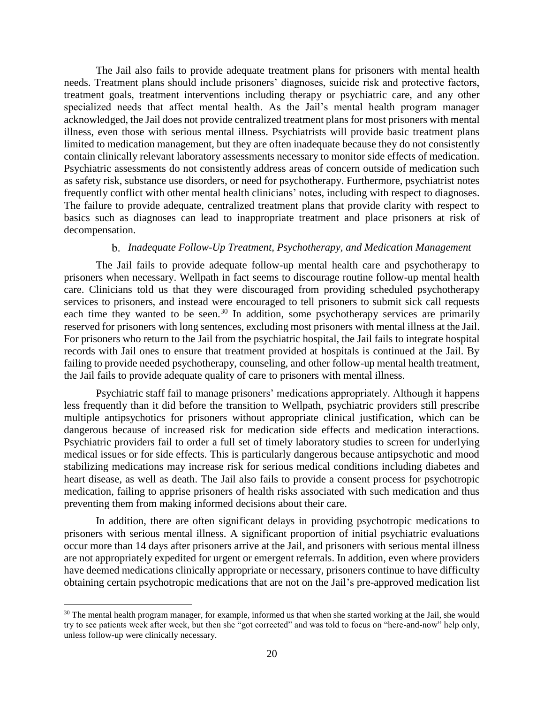The Jail also fails to provide adequate treatment plans for prisoners with mental health needs. Treatment plans should include prisoners' diagnoses, suicide risk and protective factors, treatment goals, treatment interventions including therapy or psychiatric care, and any other illness, even those with serious mental illness. Psychiatrists will provide basic treatment plans limited to medication management, but they are often inadequate because they do not consistently The failure to provide adequate, centralized treatment plans that provide clarity with respect to specialized needs that affect mental health. As the Jail's mental health program manager acknowledged, the Jail does not provide centralized treatment plans for most prisoners with mental contain clinically relevant laboratory assessments necessary to monitor side effects of medication. Psychiatric assessments do not consistently address areas of concern outside of medication such as safety risk, substance use disorders, or need for psychotherapy. Furthermore, psychiatrist notes frequently conflict with other mental health clinicians' notes, including with respect to diagnoses. basics such as diagnoses can lead to inappropriate treatment and place prisoners at risk of decompensation.

#### b. *Inadequate Follow-Up Treatment, Psychotherapy, and Medication Management*

 The Jail fails to provide adequate follow-up mental health care and psychotherapy to prisoners when necessary. Wellpath in fact seems to discourage routine follow-up mental health care. Clinicians told us that they were discouraged from providing scheduled psychotherapy services to prisoners, and instead were encouraged to tell prisoners to submit sick call requests each time they wanted to be seen.<sup>30</sup> In addition, some psychotherapy services are primarily reserved for prisoners with long sentences, excluding most prisoners with mental illness at the Jail. records with Jail ones to ensure that treatment provided at hospitals is continued at the Jail. By failing to provide needed psychotherapy, counseling, and other follow-up mental health treatment, For prisoners who return to the Jail from the psychiatric hospital, the Jail fails to integrate hospital the Jail fails to provide adequate quality of care to prisoners with mental illness.

 less frequently than it did before the transition to Wellpath, psychiatric providers still prescribe Psychiatric providers fail to order a full set of timely laboratory studies to screen for underlying medical issues or for side effects. This is particularly dangerous because antipsychotic and mood stabilizing medications may increase risk for serious medical conditions including diabetes and heart disease, as well as death. The Jail also fails to provide a consent process for psychotropic medication, failing to apprise prisoners of health risks associated with such medication and thus Psychiatric staff fail to manage prisoners' medications appropriately. Although it happens multiple antipsychotics for prisoners without appropriate clinical justification, which can be dangerous because of increased risk for medication side effects and medication interactions. preventing them from making informed decisions about their care.

 In addition, there are often significant delays in providing psychotropic medications to have deemed medications clinically appropriate or necessary, prisoners continue to have difficulty obtaining certain psychotropic medications that are not on the Jail's pre-approved medication list prisoners with serious mental illness. A significant proportion of initial psychiatric evaluations occur more than 14 days after prisoners arrive at the Jail, and prisoners with serious mental illness are not appropriately expedited for urgent or emergent referrals. In addition, even where providers

 try to see patients week after week, but then she "got corrected" and was told to focus on "here-and-now" help only,  $30$  The mental health program manager, for example, informed us that when she started working at the Jail, she would unless follow-up were clinically necessary.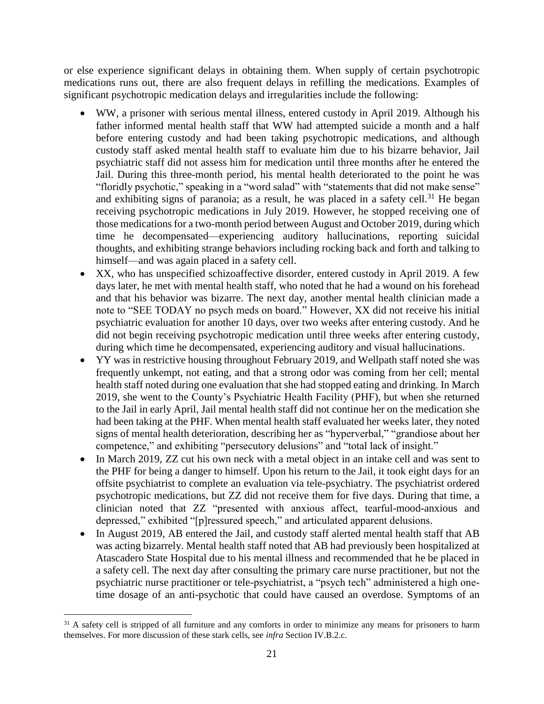medications runs out, there are also frequent delays in refilling the medications. Examples of or else experience significant delays in obtaining them. When supply of certain psychotropic significant psychotropic medication delays and irregularities include the following:

- • WW, a prisoner with serious mental illness, entered custody in April 2019. Although his father informed mental health staff that WW had attempted suicide a month and a half before entering custody and had been taking psychotropic medications, and although custody staff asked mental health staff to evaluate him due to his bizarre behavior, Jail psychiatric staff did not assess him for medication until three months after he entered the Jail. During this three-month period, his mental health deteriorated to the point he was "floridly psychotic," speaking in a "word salad" with "statements that did not make sense" and exhibiting signs of paranoia; as a result, he was placed in a safety cell.<sup>31</sup> He began time he decompensated—experiencing auditory hallucinations, reporting suicidal receiving psychotropic medications in July 2019. However, he stopped receiving one of those medications for a two-month period between August and October 2019, during which thoughts, and exhibiting strange behaviors including rocking back and forth and talking to himself—and was again placed in a safety cell.
- • XX, who has unspecified schizoaffective disorder, entered custody in April 2019. A few days later, he met with mental health staff, who noted that he had a wound on his forehead and that his behavior was bizarre. The next day, another mental health clinician made a note to "SEE TODAY no psych meds on board." However, XX did not receive his initial did not begin receiving psychotropic medication until three weeks after entering custody, psychiatric evaluation for another 10 days, over two weeks after entering custody. And he during which time he decompensated, experiencing auditory and visual hallucinations.
- frequently unkempt, not eating, and that a strong odor was coming from her cell; mental 2019, she went to the County's Psychiatric Health Facility (PHF), but when she returned to the Jail in early April, Jail mental health staff did not continue her on the medication she signs of mental health deterioration, describing her as "hyperverbal," "grandiose about her • YY was in restrictive housing throughout February 2019, and Wellpath staff noted she was health staff noted during one evaluation that she had stopped eating and drinking. In March had been taking at the PHF. When mental health staff evaluated her weeks later, they noted competence," and exhibiting "persecutory delusions" and "total lack of insight."
- In March 2019, ZZ cut his own neck with a metal object in an intake cell and was sent to the PHF for being a danger to himself. Upon his return to the Jail, it took eight days for an offsite psychiatrist to complete an evaluation via tele-psychiatry. The psychiatrist ordered psychotropic medications, but ZZ did not receive them for five days. During that time, a clinician noted that ZZ "presented with anxious affect, tearful-mood-anxious and depressed," exhibited "[p]ressured speech," and articulated apparent delusions.
- was acting bizarrely. Mental health staff noted that AB had previously been hospitalized at a safety cell. The next day after consulting the primary care nurse practitioner, but not the psychiatric nurse practitioner or tele-psychiatrist, a "psych tech" administered a high one-In August 2019, AB entered the Jail, and custody staff alerted mental health staff that AB Atascadero State Hospital due to his mental illness and recommended that he be placed in time dosage of an anti-psychotic that could have caused an overdose. Symptoms of an

 $31$  A safety cell is stripped of all furniture and any comforts in order to minimize any means for prisoners to harm themselves. For more discussion of these stark cells, see *infra* Section IV.B.2.c.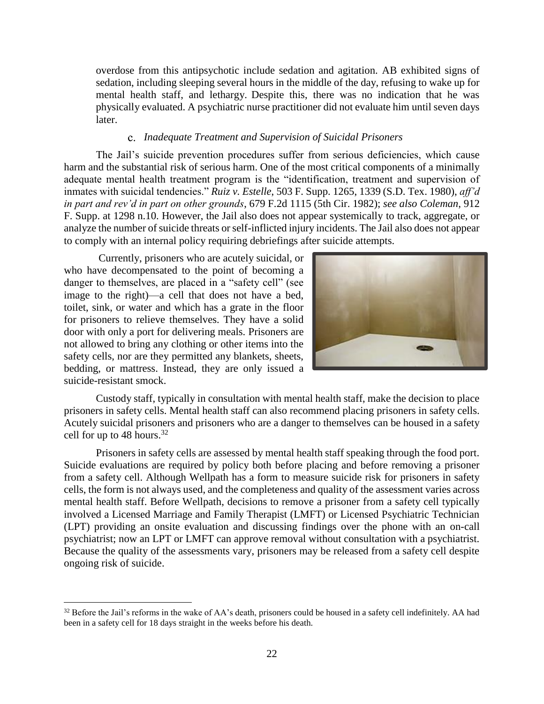sedation, including sleeping several hours in the middle of the day, refusing to wake up for mental health staff, and lethargy. Despite this, there was no indication that he was physically evaluated. A psychiatric nurse practitioner did not evaluate him until seven days overdose from this antipsychotic include sedation and agitation. AB exhibited signs of later.

#### C. *Inadequate Treatment and Supervision of Suicidal Prisoners*

 harm and the substantial risk of serious harm. One of the most critical components of a minimally analyze the number of suicide threats or self-inflicted injury incidents. The Jail also does not appear The Jail's suicide prevention procedures suffer from serious deficiencies, which cause adequate mental health treatment program is the "identification, treatment and supervision of inmates with suicidal tendencies." *Ruiz v. Estelle*, 503 F. Supp. 1265, 1339 (S.D. Tex. 1980), *aff'd in part and rev'd in part on other grounds*, 679 F.2d 1115 (5th Cir. 1982); *see also Coleman*, 912 F. Supp. at 1298 n.10. However, the Jail also does not appear systemically to track, aggregate, or to comply with an internal policy requiring debriefings after suicide attempts.

 who have decompensated to the point of becoming a danger to themselves, are placed in a "safety cell" (see image to the right)—a cell that does not have a bed, toilet, sink, or water and which has a grate in the floor for prisoners to relieve themselves. They have a solid door with only a port for delivering meals. Prisoners are not allowed to bring any clothing or other items into the safety cells, nor are they permitted any blankets, sheets, bedding, or mattress. Instead, they are only issued a Currently, prisoners who are acutely suicidal, or suicide-resistant smock.

 $\overline{a}$ 



 Custody staff, typically in consultation with mental health staff, make the decision to place Acutely suicidal prisoners and prisoners who are a danger to themselves can be housed in a safety prisoners in safety cells. Mental health staff can also recommend placing prisoners in safety cells. cell for up to 48 [hours.](https://hours.32)<sup>32</sup>

 Prisoners in safety cells are assessed by mental health staff speaking through the food port. Suicide evaluations are required by policy both before placing and before removing a prisoner from a safety cell. Although Wellpath has a form to measure suicide risk for prisoners in safety mental health staff. Before Wellpath, decisions to remove a prisoner from a safety cell typically involved a Licensed Marriage and Family Therapist (LMFT) or Licensed Psychiatric Technician (LPT) providing an onsite evaluation and discussing findings over the phone with an on-call Because the quality of the assessments vary, prisoners may be released from a safety cell despite cells, the form is not always used, and the completeness and quality of the assessment varies across psychiatrist; now an LPT or LMFT can approve removal without consultation with a psychiatrist. ongoing risk of suicide.

 been in a safety cell for 18 days straight in the weeks before his death.  $32$  Before the Jail's reforms in the wake of AA's death, prisoners could be housed in a safety cell indefinitely. AA had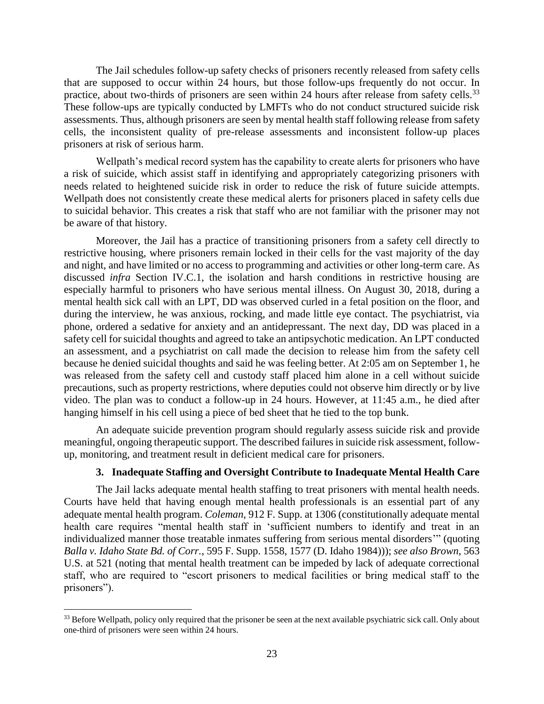practice, about two-thirds of prisoners are seen within 24 hours after release from safety [cells.](https://cells.33)<sup>33</sup> These follow-ups are typically conducted by LMFTs who do not conduct structured suicide risk assessments. Thus, although prisoners are seen by mental health staff following release from safety cells, the inconsistent quality of pre-release assessments and inconsistent follow-up places The Jail schedules follow-up safety checks of prisoners recently released from safety cells that are supposed to occur within 24 hours, but those follow-ups frequently do not occur. In prisoners at risk of serious harm.

 needs related to heightened suicide risk in order to reduce the risk of future suicide attempts. Wellpath does not consistently create these medical alerts for prisoners placed in safety cells due Wellpath's medical record system has the capability to create alerts for prisoners who have a risk of suicide, which assist staff in identifying and appropriately categorizing prisoners with to suicidal behavior. This creates a risk that staff who are not familiar with the prisoner may not be aware of that history.

 Moreover, the Jail has a practice of transitioning prisoners from a safety cell directly to restrictive housing, where prisoners remain locked in their cells for the vast majority of the day and night, and have limited or no access to programming and activities or other long-term care. As discussed *infra* Section IV.C.1, the isolation and harsh conditions in restrictive housing are especially harmful to prisoners who have serious mental illness. On August 30, 2018, during a during the interview, he was anxious, rocking, and made little eye contact. The psychiatrist, via phone, ordered a sedative for anxiety and an antidepressant. The next day, DD was placed in a safety cell for suicidal thoughts and agreed to take an antipsychotic medication. An LPT conducted an assessment, and a psychiatrist on call made the decision to release him from the safety cell because he denied suicidal thoughts and said he was feeling better. At 2:05 am on September 1, he was released from the safety cell and custody staff placed him alone in a cell without suicide precautions, such as property restrictions, where deputies could not observe him directly or by live mental health sick call with an LPT, DD was observed curled in a fetal position on the floor, and video. The plan was to conduct a follow-up in 24 hours. However, at 11:45 a.m., he died after hanging himself in his cell using a piece of bed sheet that he tied to the top bunk.

 meaningful, ongoing therapeutic support. The described failures in suicide risk assessment, follow-An adequate suicide prevention program should regularly assess suicide risk and provide up, monitoring, and treatment result in deficient medical care for prisoners.

#### **3. Inadequate Staffing and Oversight Contribute to Inadequate Mental Health Care**

<span id="page-26-0"></span> The Jail lacks adequate mental health staffing to treat prisoners with mental health needs. individualized manner those treatable inmates suffering from serious mental disorders'" (quoting  *Balla v. Idaho State Bd. of Corr.*, 595 F. Supp. 1558, 1577 (D. Idaho 1984))); *see also Brown*, 563 U.S. at 521 (noting that mental health treatment can be impeded by lack of adequate correctional Courts have held that having enough mental health professionals is an essential part of any adequate mental health program. *Coleman*, 912 F. Supp. at 1306 (constitutionally adequate mental health care requires "mental health staff in 'sufficient numbers to identify and treat in an staff, who are required to "escort prisoners to medical facilities or bring medical staff to the prisoners").

 one-third of prisoners were seen within 24 hours. <sup>33</sup> Before Wellpath, policy only required that the prisoner be seen at the next available psychiatric sick call. Only about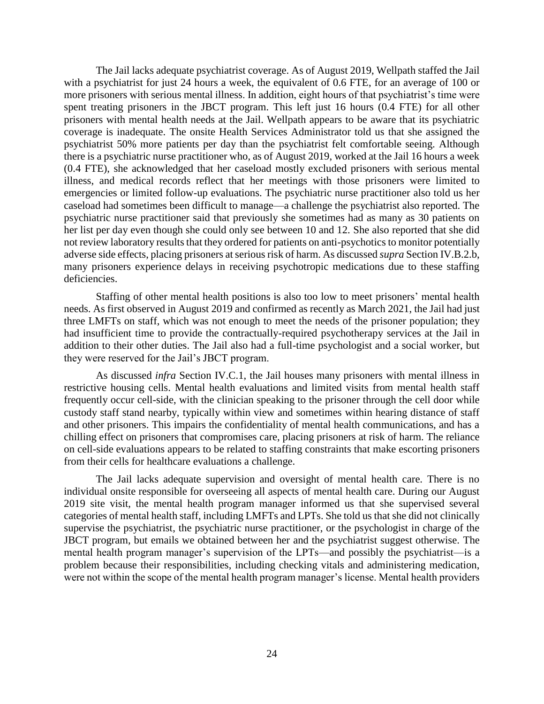The Jail lacks adequate psychiatrist coverage. As of August 2019, Wellpath staffed the Jail with a psychiatrist for just 24 hours a week, the equivalent of 0.6 FTE, for an average of 100 or spent treating prisoners in the JBCT program. This left just 16 hours (0.4 FTE) for all other prisoners with mental health needs at the Jail. Wellpath appears to be aware that its psychiatric coverage is inadequate. The onsite Health Services Administrator told us that she assigned the psychiatrist 50% more patients per day than the psychiatrist felt comfortable seeing. Although there is a psychiatric nurse practitioner who, as of August 2019, worked at the Jail 16 hours a week illness, and medical records reflect that her meetings with those prisoners were limited to emergencies or limited follow-up evaluations. The psychiatric nurse practitioner also told us her psychiatric nurse practitioner said that previously she sometimes had as many as 30 patients on her list per day even though she could only see between 10 and 12. She also reported that she did not review laboratory results that they ordered for patients on anti-psychotics to monitor potentially many prisoners experience delays in receiving psychotropic medications due to these staffing more prisoners with serious mental illness. In addition, eight hours of that psychiatrist's time were (0.4 FTE), she acknowledged that her caseload mostly excluded prisoners with serious mental caseload had sometimes been difficult to manage—a challenge the psychiatrist also reported. The adverse side effects, placing prisoners at serious risk of harm. As discussed *supra* Section IV.B.2.b, deficiencies.

 needs. As first observed in August 2019 and confirmed as recently as March 2021, the Jail had just three LMFTs on staff, which was not enough to meet the needs of the prisoner population; they addition to their other duties. The Jail also had a full-time psychologist and a social worker, but Staffing of other mental health positions is also too low to meet prisoners' mental health had insufficient time to provide the contractually-required psychotherapy services at the Jail in they were reserved for the Jail's JBCT program.

 As discussed *infra* Section IV.C.1, the Jail houses many prisoners with mental illness in custody staff stand nearby, typically within view and sometimes within hearing distance of staff and other prisoners. This impairs the confidentiality of mental health communications, and has a on cell-side evaluations appears to be related to staffing constraints that make escorting prisoners restrictive housing cells. Mental health evaluations and limited visits from mental health staff frequently occur cell-side, with the clinician speaking to the prisoner through the cell door while chilling effect on prisoners that compromises care, placing prisoners at risk of harm. The reliance from their cells for healthcare evaluations a challenge.

 The Jail lacks adequate supervision and oversight of mental health care. There is no individual onsite responsible for overseeing all aspects of mental health care. During our August supervise the psychiatrist, the psychiatric nurse practitioner, or the psychologist in charge of the JBCT program, but emails we obtained between her and the psychiatrist suggest otherwise. The problem because their responsibilities, including checking vitals and administering medication, 2019 site visit, the mental health program manager informed us that she supervised several categories of mental health staff, including LMFTs and LPTs. She told us that she did not clinically mental health program manager's supervision of the LPTs—and possibly the psychiatrist—is a were not within the scope of the mental health program manager's license. Mental health providers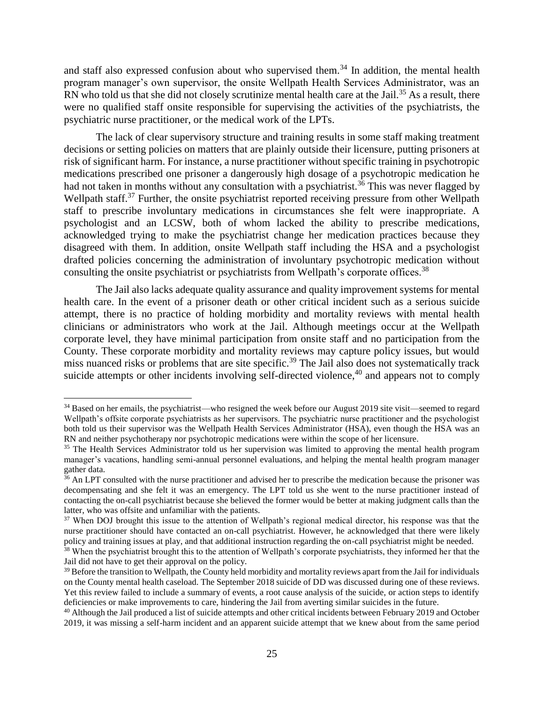$RN$  who told us that she did not closely scrutinize mental health care at the Jail.<sup>35</sup> As a result, there and staff also expressed confusion about who supervised them.<sup>34</sup> In addition, the mental health program manager's own supervisor, the onsite Wellpath Health Services Administrator, was an were no qualified staff onsite responsible for supervising the activities of the psychiatrists, the psychiatric nurse practitioner, or the medical work of the LPTs.

 decisions or setting policies on matters that are plainly outside their licensure, putting prisoners at risk of significant harm. For instance, a nurse practitioner without specific training in psychotropic medications prescribed one prisoner a dangerously high dosage of a psychotropic medication he had not taken in months without any consultation with a [psychiatrist.](https://psychiatrist.36)<sup>36</sup> This was never flagged by Wellpath staff.<sup>37</sup> Further, the onsite psychiatrist reported receiving pressure from other Wellpath staff to prescribe involuntary medications in circumstances she felt were inappropriate. A acknowledged trying to make the psychiatrist change her medication practices because they The lack of clear supervisory structure and training results in some staff making treatment psychologist and an LCSW, both of whom lacked the ability to prescribe medications, disagreed with them. In addition, onsite Wellpath staff including the HSA and a psychologist drafted policies concerning the administration of involuntary psychotropic medication without consulting the onsite psychiatrist or psychiatrists from Wellpath's corporate [offices.](https://offices.38)<sup>38</sup>

 The Jail also lacks adequate quality assurance and quality improvement systems for mental health care. In the event of a prisoner death or other critical incident such as a serious suicide attempt, there is no practice of holding morbidity and mortality reviews with mental health clinicians or administrators who work at the Jail. Although meetings occur at the Wellpath County. These corporate morbidity and mortality reviews may capture policy issues, but would miss nuanced risks or problems that are site [specific.](https://specific.39)<sup>39</sup> The Jail also does not systematically track corporate level, they have minimal participation from onsite staff and no participation from the suicide attempts or other incidents involving self-directed violence,<sup>40</sup> and appears not to comply

Jail did not have to get their approval on the policy.

<sup>&</sup>lt;sup>34</sup> Based on her emails, the psychiatrist—who resigned the week before our August 2019 site visit—seemed to regard Wellpath's offsite corporate psychiatrists as her supervisors. The psychiatric nurse practitioner and the psychologist both told us their supervisor was the Wellpath Health Services Administrator (HSA), even though the HSA was an RN and neither psychotherapy nor psychotropic medications were within the scope of her licensure.

<sup>&</sup>lt;sup>35</sup> The Health Services Administrator told us her supervision was limited to approving the mental health program manager's vacations, handling semi-annual personnel evaluations, and helping the mental health program manager gather data.

 decompensating and she felt it was an emergency. The LPT told us she went to the nurse practitioner instead of contacting the on-call psychiatrist because she believed the former would be better at making judgment calls than the latter, who was offsite and unfamiliar with the patients. latter, who was offsite and unfamiliar with the patients.<br><sup>37</sup> When DOJ brought this issue to the attention of Wellpath's regional medical director, his response was that the <sup>36</sup> An LPT consulted with the nurse practitioner and advised her to prescribe the medication because the prisoner was

 nurse practitioner should have contacted an on-call psychiatrist. However, he acknowledged that there were likely policy and training issues at play, and that additional instruction regarding the on-call psychiatrist might be needed.<br><sup>38</sup> When the psychiatrist brought this to the attention of Wellpath's corporate psychiatrists, they i <sup>38</sup> When the psychiatrist brought this to the attention of Wellpath's corporate psychiatrists, they informed her that the

 $39$  Before the transition to Wellpath, the County held morbidity and mortality reviews apart from the Jail for individuals on the County mental health caseload. The September 2018 suicide of DD was discussed during one of these reviews. Yet this review failed to include a summary of events, a root cause analysis of the suicide, or action steps to identify deficiencies or make improvements to care, hindering the Jail from averting similar suicides in the future. deficiencies or make improvements to care, hindering the Jail from averting similar suicides in the future.<br><sup>40</sup> Although the Jail produced a list of suicide attempts and other critical incidents between February 2019 and

 2019, it was missing a self-harm incident and an apparent suicide attempt that we knew about from the same period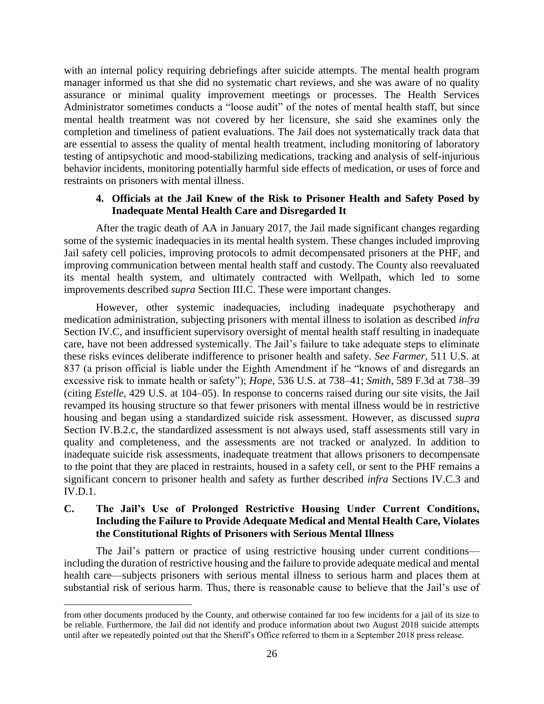manager informed us that she did no systematic chart reviews, and she was aware of no quality mental health treatment was not covered by her licensure, she said she examines only the completion and timeliness of patient evaluations. The Jail does not systematically track data that are essential to assess the quality of mental health treatment, including monitoring of laboratory testing of antipsychotic and mood-stabilizing medications, tracking and analysis of self-injurious behavior incidents, monitoring potentially harmful side effects of medication, or uses of force and with an internal policy requiring debriefings after suicide attempts. The mental health program assurance or minimal quality improvement meetings or processes. The Health Services Administrator sometimes conducts a "loose audit" of the notes of mental health staff, but since restraints on prisoners with mental illness.

## **4. Officials at the Jail Knew of the Risk to Prisoner Health and Safety Posed by Inadequate Mental Health Care and Disregarded It**

<span id="page-29-0"></span> After the tragic death of AA in January 2017, the Jail made significant changes regarding some of the systemic inadequacies in its mental health system. These changes included improving Jail safety cell policies, improving protocols to admit decompensated prisoners at the PHF, and improving communication between mental health staff and custody. The County also reevaluated its mental health system, and ultimately contracted with Wellpath, which led to some improvements described *supra* Section III.C. These were important changes.

 However, other systemic inadequacies, including inadequate psychotherapy and care, have not been addressed systemically. The Jail's failure to take adequate steps to eliminate (citing *Estelle*, 429 U.S. at 104–05). In response to concerns raised during our site visits, the Jail revamped its housing structure so that fewer prisoners with mental illness would be in restrictive housing and began using a standardized suicide risk assessment. However, as discussed *supra*  Section IV.B.2.c, the standardized assessment is not always used, staff assessments still vary in quality and completeness, and the assessments are not tracked or analyzed. In addition to to the point that they are placed in restraints, housed in a safety cell, or sent to the PHF remains a significant concern to prisoner health and safety as further described *infra* Sections IV.C.3 and medication administration, subjecting prisoners with mental illness to isolation as described *infra*  Section IV.C, and insufficient supervisory oversight of mental health staff resulting in inadequate these risks evinces deliberate indifference to prisoner health and safety. *See Farmer*, 511 U.S. at 837 (a prison official is liable under the Eighth Amendment if he "knows of and disregards an excessive risk to inmate health or safety"); *Hope*, 536 U.S. at 738–41; *Smith*, 589 F.3d at 738–39 inadequate suicide risk assessments, inadequate treatment that allows prisoners to decompensate IV.D.1.

## <span id="page-29-1"></span> **C. The Jail's Use of Prolonged Restrictive Housing Under Current Conditions, Including the Failure to Provide Adequate Medical and Mental Health Care, Violates the Constitutional Rights of Prisoners with Serious Mental Illness**

 including the duration of restrictive housing and the failure to provide adequate medical and mental substantial risk of serious harm. Thus, there is reasonable cause to believe that the Jail's use of The Jail's pattern or practice of using restrictive housing under current conditions health care—subjects prisoners with serious mental illness to serious harm and places them at

 be reliable. Furthermore, the Jail did not identify and produce information about two August 2018 suicide attempts until after we repeatedly pointed out that the Sheriff's Office referred to them in a September 2018 press release. from other documents produced by the County, and otherwise contained far too few incidents for a jail of its size to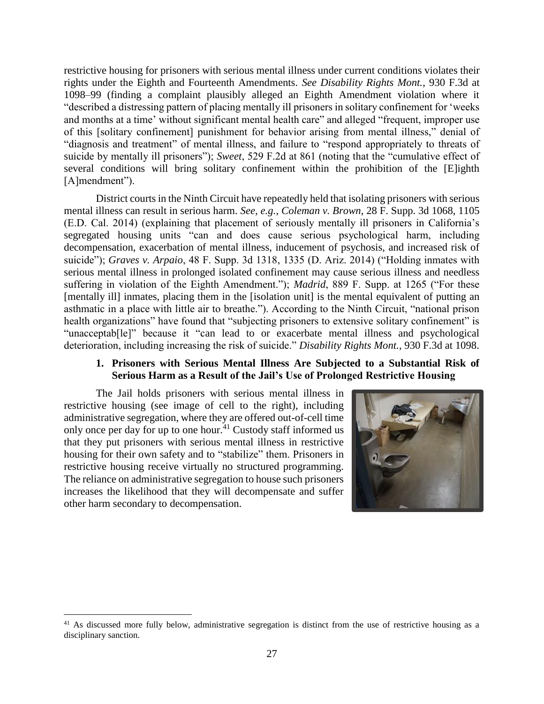restrictive housing for prisoners with serious mental illness under current conditions violates their 1098–99 (finding a complaint plausibly alleged an Eighth Amendment violation where it "described a distressing pattern of placing mentally ill prisoners in solitary confinement for 'weeks of this [solitary confinement] punishment for behavior arising from mental illness," denial of "diagnosis and treatment" of mental illness, and failure to "respond appropriately to threats of suicide by mentally ill prisoners"); *Sweet*, 529 F.2d at 861 (noting that the "cumulative effect of several conditions will bring solitary confinement within the prohibition of the [E]ighth rights under the Eighth and Fourteenth Amendments. *See Disability Rights Mont.*, 930 F.3d at and months at a time' without significant mental health care" and alleged "frequent, improper use [A]mendment").

 District courts in the Ninth Circuit have repeatedly held that isolating prisoners with serious (E.D. Cal. 2014) (explaining that placement of seriously mentally ill prisoners in California's suicide"); *Graves v. Arpaio*, 48 F. Supp. 3d 1318, 1335 (D. Ariz. 2014) ("Holding inmates with serious mental illness in prolonged isolated confinement may cause serious illness and needless [mentally ill] inmates, placing them in the [isolation unit] is the mental equivalent of putting an asthmatic in a place with little air to breathe."). According to the Ninth Circuit, "national prison health organizations" have found that "subjecting prisoners to extensive solitary confinement" is "unacceptab[le]" because it "can lead to or exacerbate mental illness and psychological mental illness can result in serious harm. *See, e.g.*, *Coleman v. Brown*, 28 F. Supp. 3d 1068, 1105 segregated housing units "can and does cause serious psychological harm, including decompensation, exacerbation of mental illness, inducement of psychosis, and increased risk of suffering in violation of the Eighth Amendment."); *Madrid*, 889 F. Supp. at 1265 ("For these deterioration, including increasing the risk of suicide." *Disability Rights Mont.*, 930 F.3d at 1098.

#### **1. Prisoners with Serious Mental Illness Are Subjected to a Substantial Risk of Serious Harm as a Result of the Jail's Use of Prolonged Restrictive Housing**

<span id="page-30-0"></span> The Jail holds prisoners with serious mental illness in restrictive housing (see image of cell to the right), including administrative segregation, where they are offered out-of-cell time only once per day for up to one hour.<sup>41</sup> Custody staff informed us housing for their own safety and to "stabilize" them. Prisoners in restrictive housing receive virtually no structured programming. The reliance on administrative segregation to house such prisoners increases the likelihood that they will decompensate and suffer that they put prisoners with serious mental illness in restrictive other harm secondary to decompensation.



 $41$  As discussed more fully below, administrative segregation is distinct from the use of restrictive housing as a disciplinary sanction.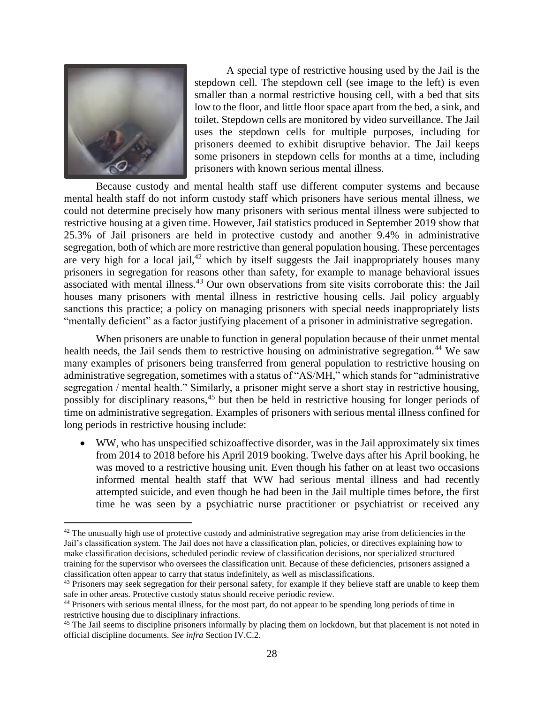

 $\overline{a}$ 

 A special type of restrictive housing used by the Jail is the stepdown cell. The stepdown cell (see image to the left) is even smaller than a normal restrictive housing cell, with a bed that sits low to the floor, and little floor space apart from the bed, a sink, and toilet. Stepdown cells are monitored by video surveillance. The Jail prisoners deemed to exhibit disruptive behavior. The Jail keeps some prisoners in stepdown cells for months at a time, including uses the stepdown cells for multiple purposes, including for prisoners with known serious mental illness.

 Because custody and mental health staff use different computer systems and because mental health staff do not inform custody staff which prisoners have serious mental illness, we could not determine precisely how many prisoners with serious mental illness were subjected to restrictive housing at a given time. However, Jail statistics produced in September 2019 show that 25.3% of Jail prisoners are held in protective custody and another 9.4% in administrative segregation, both of which are more restrictive than general population housing. These percentages are very high for a local jail, $42$  which by itself suggests the Jail inappropriately houses many prisoners in segregation for reasons other than safety, for example to manage behavioral issues associated with mental [illness.](https://illness.43)<sup>43</sup> Our own observations from site visits corroborate this: the Jail houses many prisoners with mental illness in restrictive housing cells. Jail policy arguably sanctions this practice; a policy on managing prisoners with special needs inappropriately lists "mentally deficient" as a factor justifying placement of a prisoner in administrative segregation.

 When prisoners are unable to function in general population because of their unmet mental health needs, the Jail sends them to restrictive housing on administrative [segregation.](https://segregation.44)<sup>44</sup> We saw segregation / mental health." Similarly, a prisoner might serve a short stay in restrictive housing, possibly for disciplinary reasons,<sup>45</sup> but then be held in restrictive housing for longer periods of many examples of prisoners being transferred from general population to restrictive housing on administrative segregation, sometimes with a status of "AS/MH," which stands for "administrative time on administrative segregation. Examples of prisoners with serious mental illness confined for long periods in restrictive housing include:

 • WW, who has unspecified schizoaffective disorder, was in the Jail approximately six times from 2014 to 2018 before his April 2019 booking. Twelve days after his April booking, he was moved to a restrictive housing unit. Even though his father on at least two occasions attempted suicide, and even though he had been in the Jail multiple times before, the first time he was seen by a psychiatric nurse practitioner or psychiatrist or received any informed mental health staff that WW had serious mental illness and had recently

 $42$  The unusually high use of protective custody and administrative segregation may arise from deficiencies in the Jail's classification system. The Jail does not have a classification plan, policies, or directives explaining how to make classification decisions, scheduled periodic review of classification decisions, nor specialized structured training for the supervisor who oversees the classification unit. Because of these deficiencies, prisoners assigned a classification often appear to carry that status indefinitely, as well as misclassifications. classification often appear to carry that status indefinitely, as well as misclassifications.<br><sup>43</sup> Prisoners may seek segregation for their personal safety, for example if they believe staff are unable to keep them

 safe in other areas. Protective custody status should receive periodic review.

<sup>&</sup>lt;sup>44</sup> Prisoners with serious mental illness, for the most part, do not appear to be spending long periods of time in restrictive housing due to disciplinary infractions.

 $45$  The Jail seems to discipline prisoners informally by placing them on lockdown, but that placement is not noted in  official discipline documents. *See infra* Section IV.C.2.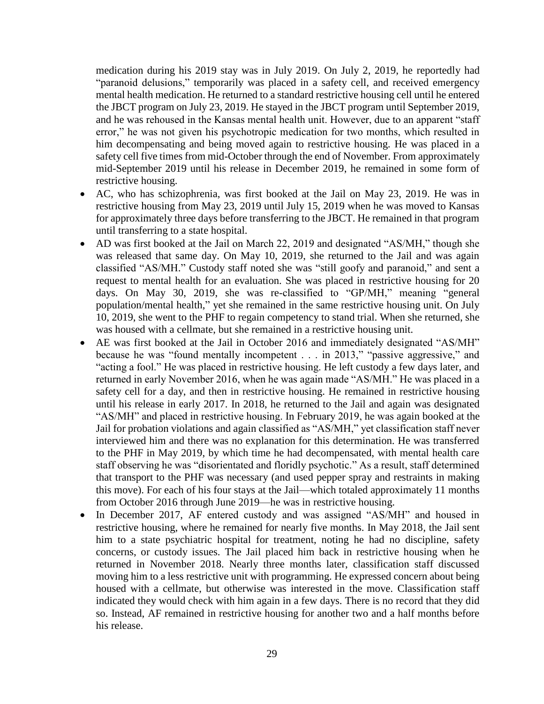medication during his 2019 stay was in July 2019. On July 2, 2019, he reportedly had "paranoid delusions," temporarily was placed in a safety cell, and received emergency mental health medication. He returned to a standard restrictive housing cell until he entered error," he was not given his psychotropic medication for two months, which resulted in him decompensating and being moved again to restrictive housing. He was placed in a safety cell five times from mid-October through the end of November. From approximately mid-September 2019 until his release in December 2019, he remained in some form of the JBCT program on July 23, 2019. He stayed in the JBCT program until September 2019, and he was rehoused in the Kansas mental health unit. However, due to an apparent "staff restrictive housing.

- • AC, who has schizophrenia, was first booked at the Jail on May 23, 2019. He was in restrictive housing from May 23, 2019 until July 15, 2019 when he was moved to Kansas for approximately three days before transferring to the JBCT. He remained in that program until transferring to a state hospital.
- AD was first booked at the Jail on March 22, 2019 and designated "AS/MH," though she was released that same day. On May 10, 2019, she returned to the Jail and was again classified "AS/MH." Custody staff noted she was "still goofy and paranoid," and sent a request to mental health for an evaluation. She was placed in restrictive housing for 20 days. On May 30, 2019, she was re-classified to "GP/MH," meaning "general population/mental health," yet she remained in the same restrictive housing unit. On July 10, 2019, she went to the PHF to regain competency to stand trial. When she returned, she was housed with a cellmate, but she remained in a restrictive housing unit.
- • AE was first booked at the Jail in October 2016 and immediately designated "AS/MH" because he was "found mentally incompetent . . . in 2013," "passive aggressive," and returned in early November 2016, when he was again made "AS/MH." He was placed in a safety cell for a day, and then in restrictive housing. He remained in restrictive housing until his release in early 2017. In 2018, he returned to the Jail and again was designated Jail for probation violations and again classified as "AS/MH," yet classification staff never interviewed him and there was no explanation for this determination. He was transferred to the PHF in May 2019, by which time he had decompensated, with mental health care staff observing he was "disorientated and floridly psychotic." As a result, staff determined "acting a fool." He was placed in restrictive housing. He left custody a few days later, and "AS/MH" and placed in restrictive housing. In February 2019, he was again booked at the that transport to the PHF was necessary (and used pepper spray and restraints in making this move). For each of his four stays at the Jail—which totaled approximately 11 months from October 2016 through June 2019—he was in restrictive housing.
- restrictive housing, where he remained for nearly five months. In May 2018, the Jail sent him to a state psychiatric hospital for treatment, noting he had no discipline, safety concerns, or custody issues. The Jail placed him back in restrictive housing when he returned in November 2018. Nearly three months later, classification staff discussed moving him to a less restrictive unit with programming. He expressed concern about being housed with a cellmate, but otherwise was interested in the move. Classification staff indicated they would check with him again in a few days. There is no record that they did so. Instead, AF remained in restrictive housing for another two and a half months before In December 2017, AF entered custody and was assigned "AS/MH" and housed in his release.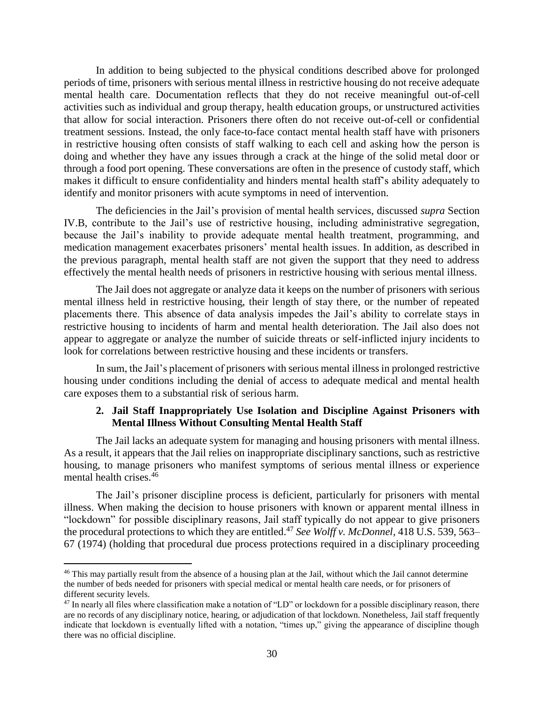In addition to being subjected to the physical conditions described above for prolonged treatment sessions. Instead, the only face-to-face contact mental health staff have with prisoners in restrictive housing often consists of staff walking to each cell and asking how the person is doing and whether they have any issues through a crack at the hinge of the solid metal door or makes it difficult to ensure confidentiality and hinders mental health staff's ability adequately to periods of time, prisoners with serious mental illness in restrictive housing do not receive adequate mental health care. Documentation reflects that they do not receive meaningful out-of-cell activities such as individual and group therapy, health education groups, or unstructured activities that allow for social interaction. Prisoners there often do not receive out-of-cell or confidential through a food port opening. These conversations are often in the presence of custody staff, which identify and monitor prisoners with acute symptoms in need of intervention.

 because the Jail's inability to provide adequate mental health treatment, programming, and the previous paragraph, mental health staff are not given the support that they need to address The deficiencies in the Jail's provision of mental health services, discussed *supra* Section IV.B, contribute to the Jail's use of restrictive housing, including administrative segregation, medication management exacerbates prisoners' mental health issues. In addition, as described in effectively the mental health needs of prisoners in restrictive housing with serious mental illness.

 The Jail does not aggregate or analyze data it keeps on the number of prisoners with serious mental illness held in restrictive housing, their length of stay there, or the number of repeated restrictive housing to incidents of harm and mental health deterioration. The Jail also does not appear to aggregate or analyze the number of suicide threats or self-inflicted injury incidents to placements there. This absence of data analysis impedes the Jail's ability to correlate stays in look for correlations between restrictive housing and these incidents or transfers.

 housing under conditions including the denial of access to adequate medical and mental health In sum, the Jail's placement of prisoners with serious mental illness in prolonged restrictive care exposes them to a substantial risk of serious harm.

#### **2. Jail Staff Inappropriately Use Isolation and Discipline Against Prisoners with Mental Illness Without Consulting Mental Health Staff**

<span id="page-33-0"></span> The Jail lacks an adequate system for managing and housing prisoners with mental illness. As a result, it appears that the Jail relies on inappropriate disciplinary sanctions, such as restrictive housing, to manage prisoners who manifest symptoms of serious mental illness or experience mental health [crises.](https://crises.46)<sup>46</sup>

 The Jail's prisoner discipline process is deficient, particularly for prisoners with mental illness. When making the decision to house prisoners with known or apparent mental illness in "lockdown" for possible disciplinary reasons, Jail staff typically do not appear to give prisoners the procedural protections to which they are [entitled.](https://entitled.47)<sup>47</sup> See Wolff v. McDonnel, 418 U.S. 539, 563– 67 (1974) (holding that procedural due process protections required in a disciplinary proceeding

 the number of beds needed for prisoners with special medical or mental health care needs, or for prisoners of <sup>46</sup> This may partially result from the absence of a housing plan at the Jail, without which the Jail cannot determine different security levels.

<sup>&</sup>lt;sup>47</sup> In nearly all files where classification make a notation of "LD" or lockdown for a possible disciplinary reason, there are no records of any disciplinary notice, hearing, or adjudication of that lockdown. Nonetheless, Jail staff frequently indicate that lockdown is eventually lifted with a notation, "times up," giving the appearance of discipline though there was no official discipline.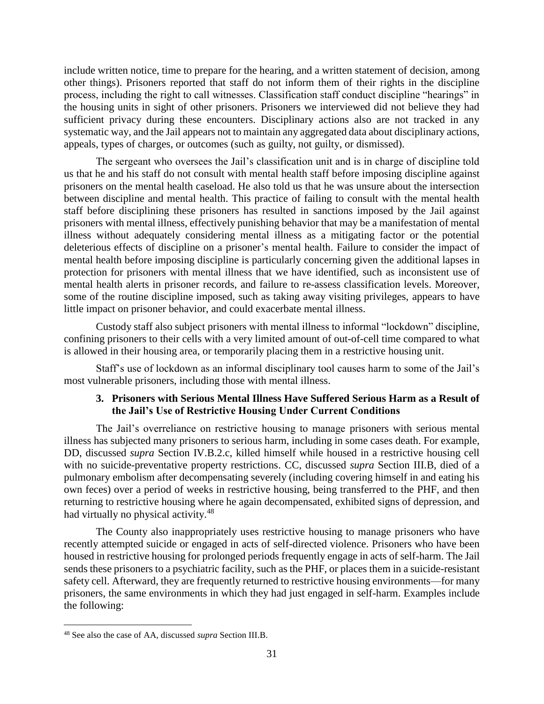include written notice, time to prepare for the hearing, and a written statement of decision, among other things). Prisoners reported that staff do not inform them of their rights in the discipline process, including the right to call witnesses. Classification staff conduct discipline "hearings" in the housing units in sight of other prisoners. Prisoners we interviewed did not believe they had sufficient privacy during these encounters. Disciplinary actions also are not tracked in any systematic way, and the Jail appears not to maintain any aggregated data about disciplinary actions, appeals, types of charges, or outcomes (such as guilty, not guilty, or dismissed).

 The sergeant who oversees the Jail's classification unit and is in charge of discipline told us that he and his staff do not consult with mental health staff before imposing discipline against prisoners on the mental health caseload. He also told us that he was unsure about the intersection staff before disciplining these prisoners has resulted in sanctions imposed by the Jail against prisoners with mental illness, effectively punishing behavior that may be a manifestation of mental illness without adequately considering mental illness as a mitigating factor or the potential mental health before imposing discipline is particularly concerning given the additional lapses in protection for prisoners with mental illness that we have identified, such as inconsistent use of some of the routine discipline imposed, such as taking away visiting privileges, appears to have between discipline and mental health. This practice of failing to consult with the mental health deleterious effects of discipline on a prisoner's mental health. Failure to consider the impact of mental health alerts in prisoner records, and failure to re-assess classification levels. Moreover, little impact on prisoner behavior, and could exacerbate mental illness.

 Custody staff also subject prisoners with mental illness to informal "lockdown" discipline, confining prisoners to their cells with a very limited amount of out-of-cell time compared to what is allowed in their housing area, or temporarily placing them in a restrictive housing unit.

<span id="page-34-0"></span> Staff's use of lockdown as an informal disciplinary tool causes harm to some of the Jail's most vulnerable prisoners, including those with mental illness.

## **3. Prisoners with Serious Mental Illness Have Suffered Serious Harm as a Result of the Jail's Use of Restrictive Housing Under Current Conditions**

 The Jail's overreliance on restrictive housing to manage prisoners with serious mental DD, discussed *supra* Section IV.B.2.c, killed himself while housed in a restrictive housing cell with no suicide-preventative property restrictions. CC, discussed *supra* Section III.B, died of a pulmonary embolism after decompensating severely (including covering himself in and eating his own feces) over a period of weeks in restrictive housing, being transferred to the PHF, and then returning to restrictive housing where he again decompensated, exhibited signs of depression, and illness has subjected many prisoners to serious harm, including in some cases death. For example, had virtually no physical [activity.](https://activity.48)<sup>48</sup>

 The County also inappropriately uses restrictive housing to manage prisoners who have recently attempted suicide or engaged in acts of self-directed violence. Prisoners who have been housed in restrictive housing for prolonged periods frequently engage in acts of self-harm. The Jail sends these prisoners to a psychiatric facility, such as the PHF, or places them in a suicide-resistant safety cell. Afterward, they are frequently returned to restrictive housing environments—for many prisoners, the same environments in which they had just engaged in self-harm. Examples include the following:

<sup>48</sup> See also the case of AA, discussed *supra* Section III.B.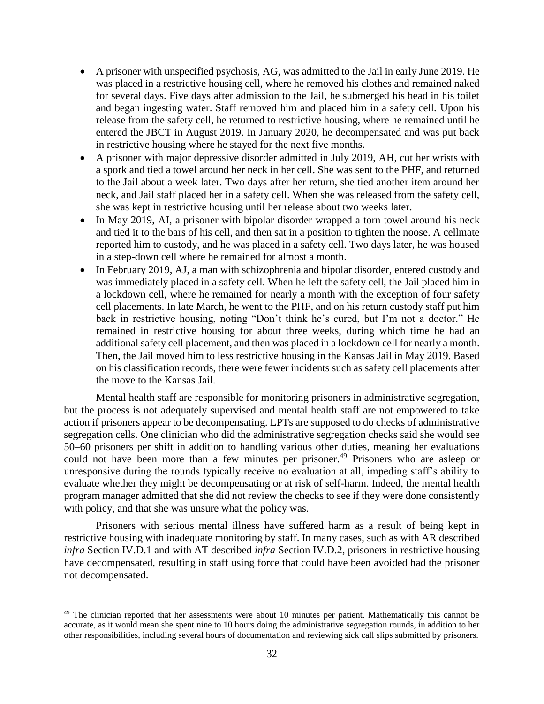- • A prisoner with unspecified psychosis, AG, was admitted to the Jail in early June 2019. He was placed in a restrictive housing cell, where he removed his clothes and remained naked for several days. Five days after admission to the Jail, he submerged his head in his toilet and began ingesting water. Staff removed him and placed him in a safety cell. Upon his release from the safety cell, he returned to restrictive housing, where he remained until he entered the JBCT in August 2019. In January 2020, he decompensated and was put back in restrictive housing where he stayed for the next five months.
- • A prisoner with major depressive disorder admitted in July 2019, AH, cut her wrists with to the Jail about a week later. Two days after her return, she tied another item around her a spork and tied a towel around her neck in her cell. She was sent to the PHF, and returned neck, and Jail staff placed her in a safety cell. When she was released from the safety cell, she was kept in restrictive housing until her release about two weeks later.
- • In May 2019, AI, a prisoner with bipolar disorder wrapped a torn towel around his neck reported him to custody, and he was placed in a safety cell. Two days later, he was housed and tied it to the bars of his cell, and then sat in a position to tighten the noose. A cellmate in a step-down cell where he remained for almost a month.
- • In February 2019, AJ, a man with schizophrenia and bipolar disorder, entered custody and was immediately placed in a safety cell. When he left the safety cell, the Jail placed him in a lockdown cell, where he remained for nearly a month with the exception of four safety cell placements. In late March, he went to the PHF, and on his return custody staff put him back in restrictive housing, noting "Don't think he's cured, but I'm not a doctor." He remained in restrictive housing for about three weeks, during which time he had an additional safety cell placement, and then was placed in a lockdown cell for nearly a month. Then, the Jail moved him to less restrictive housing in the Kansas Jail in May 2019. Based on his classification records, there were fewer incidents such as safety cell placements after the move to the Kansas Jail.

 action if prisoners appear to be decompensating. LPTs are supposed to do checks of administrative could not have been more than a few minutes per [prisoner.](https://prisoner.49) 49 Prisoners who are asleep or unresponsive during the rounds typically receive no evaluation at all, impeding staff's ability to evaluate whether they might be decompensating or at risk of self-harm. Indeed, the mental health program manager admitted that she did not review the checks to see if they were done consistently Mental health staff are responsible for monitoring prisoners in administrative segregation, but the process is not adequately supervised and mental health staff are not empowered to take segregation cells. One clinician who did the administrative segregation checks said she would see 50–60 prisoners per shift in addition to handling various other duties, meaning her evaluations with policy, and that she was unsure what the policy was.

 Prisoners with serious mental illness have suffered harm as a result of being kept in restrictive housing with inadequate monitoring by staff. In many cases, such as with AR described *infra* Section IV.D.1 and with AT described *infra* Section IV.D.2, prisoners in restrictive housing have decompensated, resulting in staff using force that could have been avoided had the prisoner not decompensated.

 accurate, as it would mean she spent nine to 10 hours doing the administrative segregation rounds, in addition to her other responsibilities, including several hours of documentation and reviewing sick call slips submitted by prisoners. <sup>49</sup> The clinician reported that her assessments were about 10 minutes per patient. Mathematically this cannot be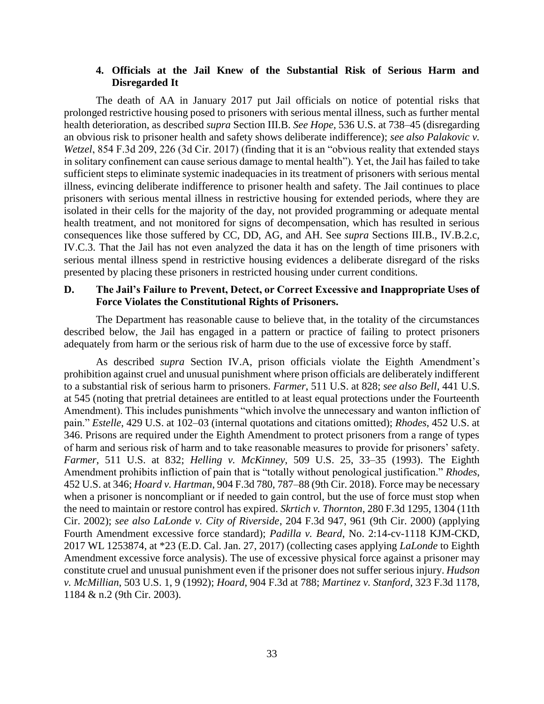#### **4. Officials at the Jail Knew of the Substantial Risk of Serious Harm and Disregarded It**

<span id="page-36-0"></span> prolonged restrictive housing posed to prisoners with serious mental illness, such as further mental *Wetzel*, 854 F.3d 209, 226 (3d Cir. 2017) (finding that it is an "obvious reality that extended stays illness, evincing deliberate indifference to prisoner health and safety. The Jail continues to place prisoners with serious mental illness in restrictive housing for extended periods, where they are isolated in their cells for the majority of the day, not provided programming or adequate mental health treatment, and not monitored for signs of decompensation, which has resulted in serious IV.C.3. That the Jail has not even analyzed the data it has on the length of time prisoners with serious mental illness spend in restrictive housing evidences a deliberate disregard of the risks The death of AA in January 2017 put Jail officials on notice of potential risks that health deterioration, as described *supra* Section III.B. *See Hope,* 536 U.S. at 738–45 (disregarding an obvious risk to prisoner health and safety shows deliberate indifference); *see also Palakovic v.*  in solitary confinement can cause serious damage to mental health"). Yet, the Jail has failed to take sufficient steps to eliminate systemic inadequacies in its treatment of prisoners with serious mental consequences like those suffered by CC, DD, AG, and AH. See *supra* Sections III.B., IV.B.2.c, presented by placing these prisoners in restricted housing under current conditions.

#### <span id="page-36-1"></span> **D. The Jail's Failure to Prevent, Detect, or Correct Excessive and Inappropriate Uses of Force Violates the Constitutional Rights of Prisoners.**

 The Department has reasonable cause to believe that, in the totality of the circumstances described below, the Jail has engaged in a pattern or practice of failing to protect prisoners adequately from harm or the serious risk of harm due to the use of excessive force by staff.

 prohibition against cruel and unusual punishment where prison officials are deliberately indifferent 346. Prisons are required under the Eighth Amendment to protect prisoners from a range of types 452 U.S. at 346; *Hoard v. Hartman*, 904 F.3d 780, 787–88 (9th Cir. 2018). Force may be necessary when a prisoner is noncompliant or if needed to gain control, but the use of force must stop when  Cir. 2002); *see also LaLonde v. City of Riverside*, 204 F.3d 947, 961 (9th Cir. 2000) (applying Fourth Amendment excessive force standard); *Padilla v. Beard*, No. 2:14-cv-1118 KJM-CKD, Amendment excessive force analysis). The use of excessive physical force against a prisoner may constitute cruel and unusual punishment even if the prisoner does not suffer serious injury. *Hudson*  As described *supra* Section IV.A, prison officials violate the Eighth Amendment's to a substantial risk of serious harm to prisoners. *Farmer*, 511 U.S. at 828; *see also Bell*, 441 U.S. at 545 (noting that pretrial detainees are entitled to at least equal protections under the Fourteenth Amendment). This includes punishments "which involve the unnecessary and wanton infliction of pain." *Estelle*, 429 U.S. at 102–03 (internal quotations and citations omitted); *Rhodes*, 452 U.S. at of harm and serious risk of harm and to take reasonable measures to provide for prisoners' safety. *Farmer*, 511 U.S. at 832; *Helling v. McKinney*, 509 U.S. 25, 33–35 (1993). The Eighth Amendment prohibits infliction of pain that is "totally without penological justification." *Rhodes*, the need to maintain or restore control has expired. *Skrtich v. Thornton*, 280 F.3d 1295, 1304 (11th 2017 WL 1253874, at \*23 (E.D. Cal. Jan. 27, 2017) (collecting cases applying *LaLonde* to Eighth *v. McMillian*, 503 U.S. 1, 9 (1992); *Hoard*, 904 F.3d at 788; *Martinez v. Stanford*, 323 F.3d 1178, 1184 & n.2 (9th Cir. 2003).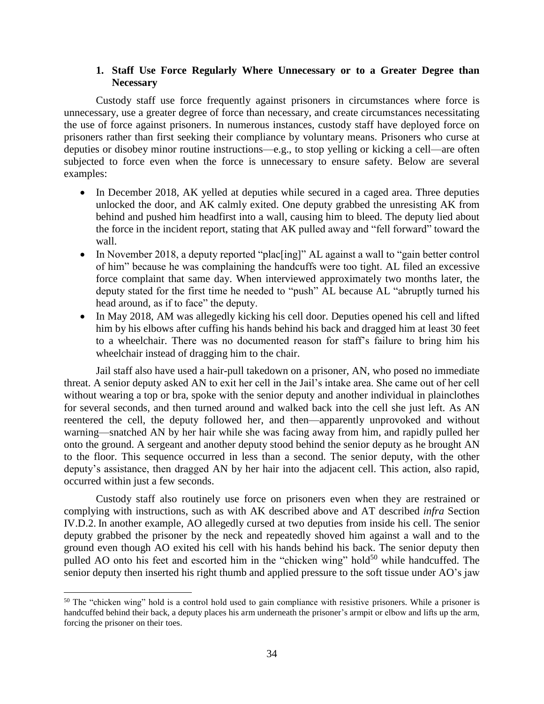## **1. Staff Use Force Regularly Where Unnecessary or to a Greater Degree than Necessary**

<span id="page-37-0"></span> Custody staff use force frequently against prisoners in circumstances where force is unnecessary, use a greater degree of force than necessary, and create circumstances necessitating the use of force against prisoners. In numerous instances, custody staff have deployed force on prisoners rather than first seeking their compliance by voluntary means. Prisoners who curse at deputies or disobey minor routine instructions—e.g., to stop yelling or kicking a cell—are often subjected to force even when the force is unnecessary to ensure safety. Below are several examples:

- In December 2018, AK yelled at deputies while secured in a caged area. Three deputies unlocked the door, and AK calmly exited. One deputy grabbed the unresisting AK from behind and pushed him headfirst into a wall, causing him to bleed. The deputy lied about the force in the incident report, stating that AK pulled away and "fell forward" toward the wall.
- In November 2018, a deputy reported "plac[ing]" AL against a wall to "gain better control of him" because he was complaining the handcuffs were too tight. AL filed an excessive force complaint that same day. When interviewed approximately two months later, the deputy stated for the first time he needed to "push" AL because AL "abruptly turned his head around, as if to face" the deputy.
- • In May 2018, AM was allegedly kicking his cell door. Deputies opened his cell and lifted to a wheelchair. There was no documented reason for staff's failure to bring him his him by his elbows after cuffing his hands behind his back and dragged him at least 30 feet wheelchair instead of dragging him to the chair.

 without wearing a top or bra, spoke with the senior deputy and another individual in plainclothes for several seconds, and then turned around and walked back into the cell she just left. As AN warning—snatched AN by her hair while she was facing away from him, and rapidly pulled her onto the ground. A sergeant and another deputy stood behind the senior deputy as he brought AN deputy's assistance, then dragged AN by her hair into the adjacent cell. This action, also rapid, Jail staff also have used a hair-pull takedown on a prisoner, AN, who posed no immediate threat. A senior deputy asked AN to exit her cell in the Jail's intake area. She came out of her cell reentered the cell, the deputy followed her, and then—apparently unprovoked and without to the floor. This sequence occurred in less than a second. The senior deputy, with the other occurred within just a few seconds.

 Custody staff also routinely use force on prisoners even when they are restrained or complying with instructions, such as with AK described above and AT described *infra* Section IV.D.2. In another example, AO allegedly cursed at two deputies from inside his cell. The senior deputy grabbed the prisoner by the neck and repeatedly shoved him against a wall and to the ground even though AO exited his cell with his hands behind his back. The senior deputy then pulled AO onto his feet and escorted him in the "chicken wing" hold<sup>50</sup> while handcuffed. The senior deputy then inserted his right thumb and applied pressure to the soft tissue under AO's jaw

 handcuffed behind their back, a deputy places his arm underneath the prisoner's armpit or elbow and lifts up the arm, forcing the prisoner on their toes. <sup>50</sup> The "chicken wing" hold is a control hold used to gain compliance with resistive prisoners. While a prisoner is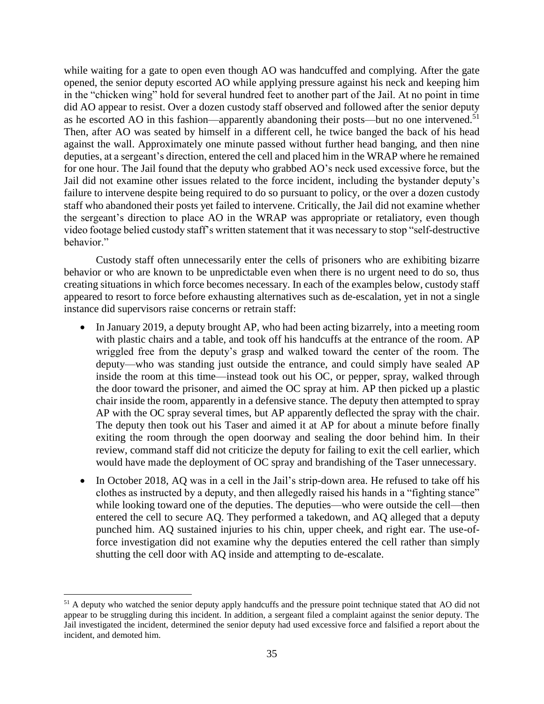while waiting for a gate to open even though AO was handcuffed and complying. After the gate opened, the senior deputy escorted AO while applying pressure against his neck and keeping him Then, after AO was seated by himself in a different cell, he twice banged the back of his head against the wall. Approximately one minute passed without further head banging, and then nine deputies, at a sergeant's direction, entered the cell and placed him in the WRAP where he remained for one hour. The Jail found that the deputy who grabbed AO's neck used excessive force, but the Jail did not examine other issues related to the force incident, including the bystander deputy's failure to intervene despite being required to do so pursuant to policy, or the over a dozen custody staff who abandoned their posts yet failed to intervene. Critically, the Jail did not examine whether video footage belied custody staff's written statement that it was necessary to stop "self-destructive in the "chicken wing" hold for several hundred feet to another part of the Jail. At no point in time did AO appear to resist. Over a dozen custody staff observed and followed after the senior deputy as he escorted AO in this fashion—apparently abandoning their posts—but no one [intervened.](https://intervened.51)<sup>51</sup> the sergeant's direction to place AO in the WRAP was appropriate or retaliatory, even though behavior."

 Custody staff often unnecessarily enter the cells of prisoners who are exhibiting bizarre behavior or who are known to be unpredictable even when there is no urgent need to do so, thus creating situations in which force becomes necessary. In each of the examples below, custody staff appeared to resort to force before exhausting alternatives such as de-escalation, yet in not a single instance did supervisors raise concerns or retrain staff:

- • In January 2019, a deputy brought AP, who had been acting bizarrely, into a meeting room wriggled free from the deputy's grasp and walked toward the center of the room. The deputy—who was standing just outside the entrance, and could simply have sealed AP chair inside the room, apparently in a defensive stance. The deputy then attempted to spray AP with the OC spray several times, but AP apparently deflected the spray with the chair. The deputy then took out his Taser and aimed it at AP for about a minute before finally exiting the room through the open doorway and sealing the door behind him. In their review, command staff did not criticize the deputy for failing to exit the cell earlier, which with plastic chairs and a table, and took off his handcuffs at the entrance of the room. AP inside the room at this time—instead took out his OC, or pepper, spray, walked through the door toward the prisoner, and aimed the OC spray at him. AP then picked up a plastic would have made the deployment of OC spray and brandishing of the Taser unnecessary.
- In October 2018, AQ was in a cell in the Jail's strip-down area. He refused to take off his clothes as instructed by a deputy, and then allegedly raised his hands in a "fighting stance" entered the cell to secure AQ. They performed a takedown, and AQ alleged that a deputy force investigation did not examine why the deputies entered the cell rather than simply while looking toward one of the deputies. The deputies—who were outside the cell—then punched him. AQ sustained injuries to his chin, upper cheek, and right ear. The use-ofshutting the cell door with AQ inside and attempting to de-escalate.

 $51$  A deputy who watched the senior deputy apply handcuffs and the pressure point technique stated that AO did not appear to be struggling during this incident. In addition, a sergeant filed a complaint against the senior deputy. The Jail investigated the incident, determined the senior deputy had used excessive force and falsified a report about the incident, and demoted him.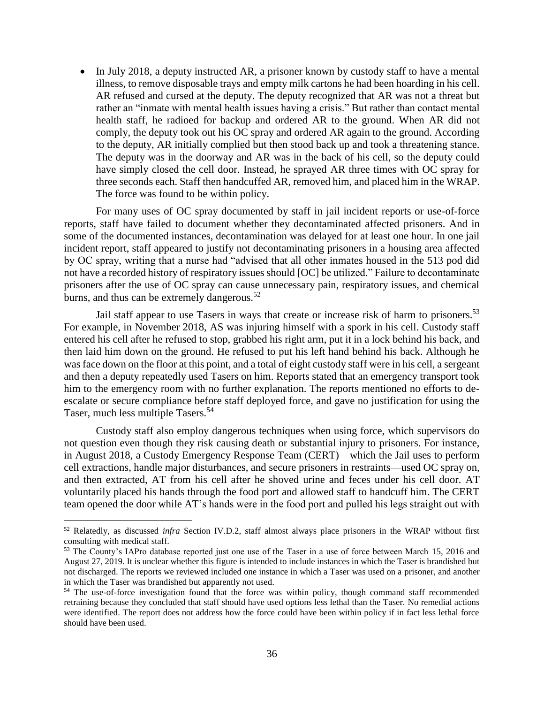• In July 2018, a deputy instructed AR, a prisoner known by custody staff to have a mental AR refused and cursed at the deputy. The deputy recognized that AR was not a threat but rather an "inmate with mental health issues having a crisis." But rather than contact mental health staff, he radioed for backup and ordered AR to the ground. When AR did not comply, the deputy took out his OC spray and ordered AR again to the ground. According to the deputy, AR initially complied but then stood back up and took a threatening stance. The deputy was in the doorway and AR was in the back of his cell, so the deputy could have simply closed the cell door. Instead, he sprayed AR three times with OC spray for illness, to remove disposable trays and empty milk cartons he had been hoarding in his cell. three seconds each. Staff then handcuffed AR, removed him, and placed him in the WRAP. The force was found to be within policy.

 For many uses of OC spray documented by staff in jail incident reports or use-of-force reports, staff have failed to document whether they decontaminated affected prisoners. And in some of the documented instances, decontamination was delayed for at least one hour. In one jail incident report, staff appeared to justify not decontaminating prisoners in a housing area affected by OC spray, writing that a nurse had "advised that all other inmates housed in the 513 pod did not have a recorded history of respiratory issues should [OC] be utilized." Failure to decontaminate prisoners after the use of OC spray can cause unnecessary pain, respiratory issues, and chemical burns, and thus can be extremely [dangerous.](https://dangerous.52) $52$ 

Jail staff appear to use Tasers in ways that create or increase risk of harm to prisoners.<sup>53</sup> For example, in November 2018, AS was injuring himself with a spork in his cell. Custody staff entered his cell after he refused to stop, grabbed his right arm, put it in a lock behind his back, and then laid him down on the ground. He refused to put his left hand behind his back. Although he was face down on the floor at this point, and a total of eight custody staff were in his cell, a sergeant and then a deputy repeatedly used Tasers on him. Reports stated that an emergency transport took escalate or secure compliance before staff deployed force, and gave no justification for using the him to the emergency room with no further explanation. The reports mentioned no efforts to de-Taser, much less multiple [Tasers.](https://Tasers.54)<sup>54</sup>

 not question even though they risk causing death or substantial injury to prisoners. For instance, in August 2018, a Custody Emergency Response Team (CERT)—which the Jail uses to perform cell extractions, handle major disturbances, and secure prisoners in restraints—used OC spray on, and then extracted, AT from his cell after he shoved urine and feces under his cell door. AT voluntarily placed his hands through the food port and allowed staff to handcuff him. The CERT team opened the door while AT's hands were in the food port and pulled his legs straight out with Custody staff also employ dangerous techniques when using force, which supervisors do

 52 Relatedly, as discussed *infra* Section IV.D.2, staff almost always place prisoners in the WRAP without first consulting with medical staff.

<sup>&</sup>lt;sup>53</sup> The County's IAPro database reported just one use of the Taser in a use of force between March 15, 2016 and August 27, 2019. It is unclear whether this figure is intended to include instances in which the Taser is brandished but not discharged. The reports we reviewed included one instance in which a Taser was used on a prisoner, and another in which the Taser was brandished but apparently not used. in which the Taser was brandished but apparently not used.<br><sup>54</sup> The use-of-force investigation found that the force was within policy, though command staff recommended

 retraining because they concluded that staff should have used options less lethal than the Taser. No remedial actions were identified. The report does not address how the force could have been within policy if in fact less lethal force should have been used.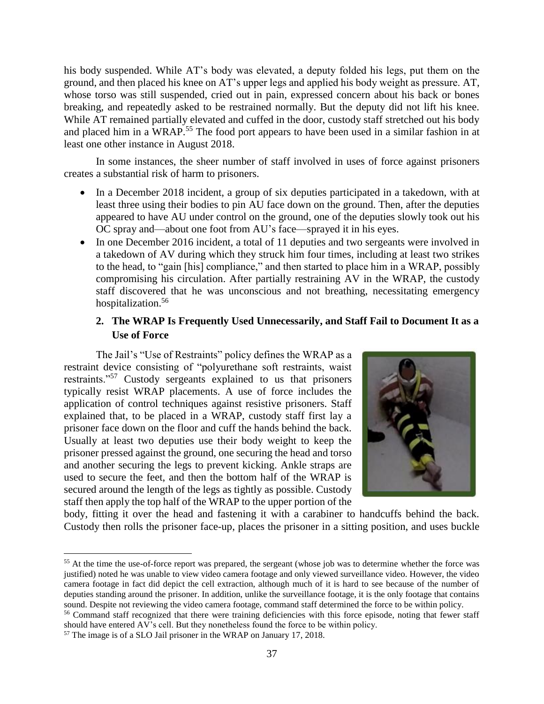his body suspended. While AT's body was elevated, a deputy folded his legs, put them on the breaking, and repeatedly asked to be restrained normally. But the deputy did not lift his knee. and placed him in a WRAP.<sup>55</sup> The food port appears to have been used in a similar fashion in at ground, and then placed his knee on AT's upper legs and applied his body weight as pressure. AT, whose torso was still suspended, cried out in pain, expressed concern about his back or bones While AT remained partially elevated and cuffed in the door, custody staff stretched out his body least one other instance in August 2018.

 In some instances, the sheer number of staff involved in uses of force against prisoners creates a substantial risk of harm to prisoners.

- • In a December 2018 incident, a group of six deputies participated in a takedown, with at least three using their bodies to pin AU face down on the ground. Then, after the deputies appeared to have AU under control on the ground, one of the deputies slowly took out his OC spray and—about one foot from AU's face—sprayed it in his eyes.
- In one December 2016 incident, a total of 11 deputies and two sergeants were involved in a takedown of AV during which they struck him four times, including at least two strikes to the head, to "gain [his] compliance," and then started to place him in a WRAP, possibly compromising his circulation. After partially restraining AV in the WRAP, the custody staff discovered that he was unconscious and not breathing, necessitating emergency hospitalization.<sup>56</sup>

## <span id="page-40-0"></span>**2. The WRAP Is Frequently Used Unnecessarily, and Staff Fail to Document It as a Use of Force**

 The Jail's "Use of Restraints" policy defines the WRAP as a restraint device consisting of "polyurethane soft restraints, waist typically resist WRAP placements. A use of force includes the application of control techniques against resistive prisoners. Staff explained that, to be placed in a WRAP, custody staff first lay a Usually at least two deputies use their body weight to keep the prisoner pressed against the ground, one securing the head and torso and another securing the legs to prevent kicking. Ankle straps are used to secure the feet, and then the bottom half of the WRAP is restraints."57 Custody sergeants explained to us that prisoners prisoner face down on the floor and cuff the hands behind the back. secured around the length of the legs as tightly as possible. Custody staff then apply the top half of the WRAP to the upper portion of the



 body, fitting it over the head and fastening it with a carabiner to handcuffs behind the back. Custody then rolls the prisoner face-up, places the prisoner in a sitting position, and uses buckle

 justified) noted he was unable to view video camera footage and only viewed surveillance video. However, the video camera footage in fact did depict the cell extraction, although much of it is hard to see because of the number of deputies standing around the prisoner. In addition, unlike the surveillance footage, it is the only footage that contains sound. Despite not reviewing the video camera footage, command staff determined the force to be within policy. <sup>55</sup> At the time the use-of-force report was prepared, the sergeant (whose job was to determine whether the force was

<sup>&</sup>lt;sup>56</sup> Command staff recognized that there were training deficiencies with this force episode, noting that fewer staff should have entered AV's cell. But they nonetheless found the force to be within policy.

<sup>&</sup>lt;sup>57</sup> The image is of a SLO Jail prisoner in the WRAP on January 17, 2018.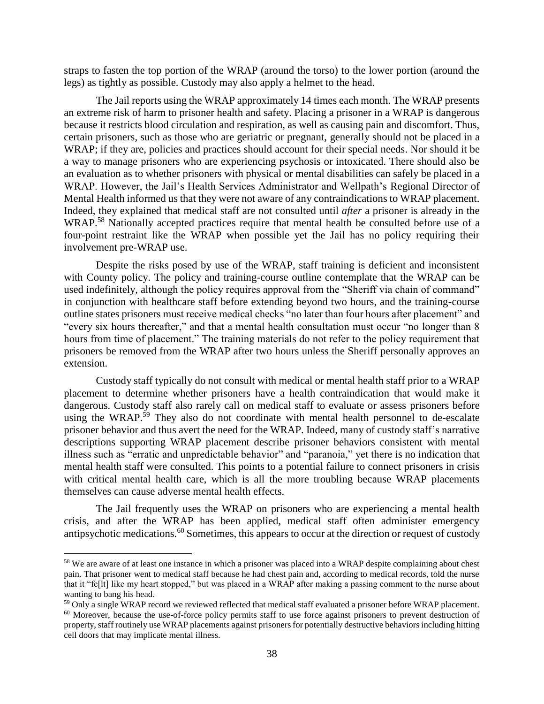straps to fasten the top portion of the WRAP (around the torso) to the lower portion (around the legs) as tightly as possible. Custody may also apply a helmet to the head.

 The Jail reports using the WRAP approximately 14 times each month. The WRAP presents an extreme risk of harm to prisoner health and safety. Placing a prisoner in a WRAP is dangerous because it restricts blood circulation and respiration, as well as causing pain and discomfort. Thus, certain prisoners, such as those who are geriatric or pregnant, generally should not be placed in a WRAP; if they are, policies and practices should account for their special needs. Nor should it be a way to manage prisoners who are experiencing psychosis or intoxicated. There should also be an evaluation as to whether prisoners with physical or mental disabilities can safely be placed in a Mental Health informed us that they were not aware of any contraindications to WRAP placement. Indeed, they explained that medical staff are not consulted until *after* a prisoner is already in the WRAP.<sup>58</sup> Nationally accepted practices require that mental health be consulted before use of a four-point restraint like the WRAP when possible yet the Jail has no policy requiring their WRAP. However, the Jail's Health Services Administrator and Wellpath's Regional Director of involvement pre-WRAP use.

 Despite the risks posed by use of the WRAP, staff training is deficient and inconsistent with County policy. The policy and training-course outline contemplate that the WRAP can be in conjunction with healthcare staff before extending beyond two hours, and the training-course "every six hours thereafter," and that a mental health consultation must occur "no longer than 8 hours from time of placement." The training materials do not refer to the policy requirement that prisoners be removed from the WRAP after two hours unless the Sheriff personally approves an used indefinitely, although the policy requires approval from the "Sheriff via chain of command" outline states prisoners must receive medical checks "no later than four hours after placement" and extension.

 Custody staff typically do not consult with medical or mental health staff prior to a WRAP placement to determine whether prisoners have a health contraindication that would make it dangerous. Custody staff also rarely call on medical staff to evaluate or assess prisoners before illness such as "erratic and unpredictable behavior" and "paranoia," yet there is no indication that with critical mental health care, which is all the more troubling because WRAP placements using the WRAP.<sup>59</sup> They also do not coordinate with mental health personnel to de-escalate prisoner behavior and thus avert the need for the WRAP. Indeed, many of custody staff's narrative descriptions supporting WRAP placement describe prisoner behaviors consistent with mental mental health staff were consulted. This points to a potential failure to connect prisoners in crisis themselves can cause adverse mental health effects.

 The Jail frequently uses the WRAP on prisoners who are experiencing a mental health crisis, and after the WRAP has been applied, medical staff often administer emergency antipsychotic [medications.](https://medications.60)60 Sometimes, this appears to occur at the direction or request of custody

 pain. That prisoner went to medical staff because he had chest pain and, according to medical records, told the nurse that it "fe[lt] like my heart stopped," but was placed in a WRAP after making a passing comment to the nurse about wanting to bang his head. <sup>58</sup> We are aware of at least one instance in which a prisoner was placed into a WRAP despite complaining about chest

<sup>&</sup>lt;sup>59</sup> Only a single WRAP record we reviewed reflected that medical staff evaluated a prisoner before WRAP placement.  $^{59}$  Only a single WRAP record we reviewed reflected that medical staff evaluated a prisoner before WRAP placement.<br><sup>60</sup> Moreover, because the use-of-force policy permits staff to use force against prisoners to prevent

 property, staff routinely use WRAP placements against prisoners for potentially destructive behaviors including hitting cell doors that may implicate mental illness.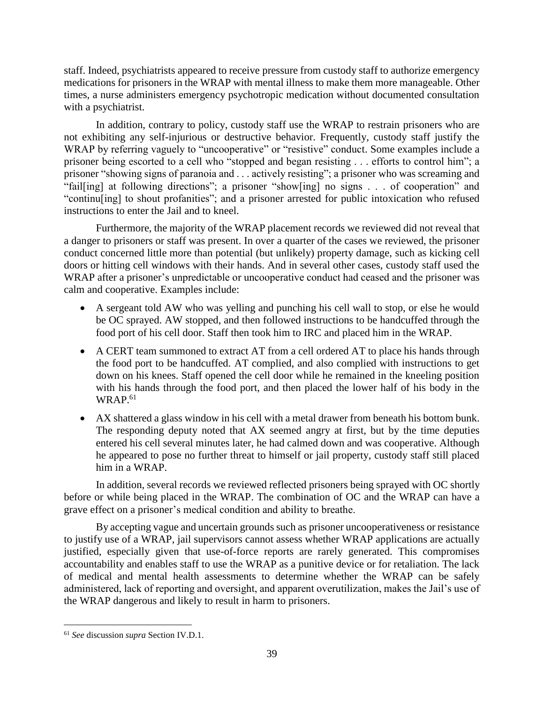staff. Indeed, psychiatrists appeared to receive pressure from custody staff to authorize emergency medications for prisoners in the WRAP with mental illness to make them more manageable. Other times, a nurse administers emergency psychotropic medication without documented consultation with a psychiatrist.

 In addition, contrary to policy, custody staff use the WRAP to restrain prisoners who are not exhibiting any self-injurious or destructive behavior. Frequently, custody staff justify the WRAP by referring vaguely to "uncooperative" or "resistive" conduct. Some examples include a prisoner being escorted to a cell who "stopped and began resisting . . . efforts to control him"; a prisoner "showing signs of paranoia and . . . actively resisting"; a prisoner who was screaming and "fail[ing] at following directions"; a prisoner "show[ing] no signs . . . of cooperation" and "continu[ing] to shout profanities"; and a prisoner arrested for public intoxication who refused instructions to enter the Jail and to kneel.

 doors or hitting cell windows with their hands. And in several other cases, custody staff used the Furthermore, the majority of the WRAP placement records we reviewed did not reveal that a danger to prisoners or staff was present. In over a quarter of the cases we reviewed, the prisoner conduct concerned little more than potential (but unlikely) property damage, such as kicking cell WRAP after a prisoner's unpredictable or uncooperative conduct had ceased and the prisoner was calm and cooperative. Examples include:

- • A sergeant told AW who was yelling and punching his cell wall to stop, or else he would be OC sprayed. AW stopped, and then followed instructions to be handcuffed through the food port of his cell door. Staff then took him to IRC and placed him in the WRAP.
- A CERT team summoned to extract AT from a cell ordered AT to place his hands through down on his knees. Staff opened the cell door while he remained in the kneeling position the food port to be handcuffed. AT complied, and also complied with instructions to get with his hands through the food port, and then placed the lower half of his body in the WRAP.<sup>61</sup>
- • AX shattered a glass window in his cell with a metal drawer from beneath his bottom bunk. The responding deputy noted that AX seemed angry at first, but by the time deputies he appeared to pose no further threat to himself or jail property, custody staff still placed entered his cell several minutes later, he had calmed down and was cooperative. Although him in a WRAP.

 before or while being placed in the WRAP. The combination of OC and the WRAP can have a In addition, several records we reviewed reflected prisoners being sprayed with OC shortly grave effect on a prisoner's medical condition and ability to breathe.

 By accepting vague and uncertain grounds such as prisoner uncooperativeness or resistance to justify use of a WRAP, jail supervisors cannot assess whether WRAP applications are actually justified, especially given that use-of-force reports are rarely generated. This compromises accountability and enables staff to use the WRAP as a punitive device or for retaliation. The lack of medical and mental health assessments to determine whether the WRAP can be safely administered, lack of reporting and oversight, and apparent overutilization, makes the Jail's use of the WRAP dangerous and likely to result in harm to prisoners.

<sup>61</sup>*See* discussion *supra* Section IV.D.1.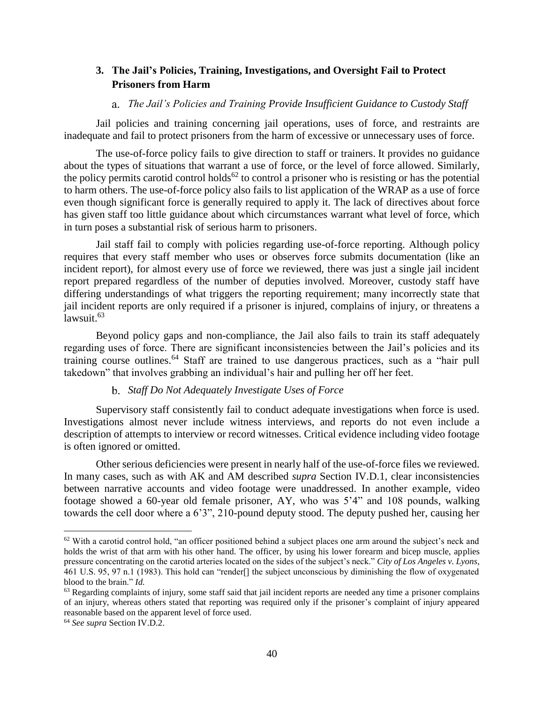## <span id="page-43-0"></span>**3. The Jail's Policies, Training, Investigations, and Oversight Fail to Protect Prisoners from Harm**

#### a. *The Jail's Policies and Training Provide Insufficient Guidance to Custody Staff*

Jail policies and training concerning jail operations, uses of force, and restraints are inadequate and fail to protect prisoners from the harm of excessive or unnecessary uses of force.

 The use-of-force policy fails to give direction to staff or trainers. It provides no guidance about the types of situations that warrant a use of force, or the level of force allowed. Similarly, the policy permits carotid control holds<sup>62</sup> to control a prisoner who is resisting or has the potential to harm others. The use-of-force policy also fails to list application of the WRAP as a use of force even though significant force is generally required to apply it. The lack of directives about force has given staff too little guidance about which circumstances warrant what level of force, which in turn poses a substantial risk of serious harm to prisoners.

 Jail staff fail to comply with policies regarding use-of-force reporting. Although policy requires that every staff member who uses or observes force submits documentation (like an incident report), for almost every use of force we reviewed, there was just a single jail incident report prepared regardless of the number of deputies involved. Moreover, custody staff have differing understandings of what triggers the reporting requirement; many incorrectly state that jail incident reports are only required if a prisoner is injured, complains of injury, or threatens a [lawsuit.](https://lawsuit.63) $63$ 

 Beyond policy gaps and non-compliance, the Jail also fails to train its staff adequately regarding uses of force. There are significant inconsistencies between the Jail's policies and its training course [outlines.](https://outlines.64)<sup>64</sup> Staff are trained to use dangerous practices, such as a "hair pull takedown" that involves grabbing an individual's hair and pulling her off her feet.

## b. *Staff Do Not Adequately Investigate Uses of Force*

 Supervisory staff consistently fail to conduct adequate investigations when force is used. Investigations almost never include witness interviews, and reports do not even include a description of attempts to interview or record witnesses. Critical evidence including video footage is often ignored or omitted.

 Other serious deficiencies were present in nearly half of the use-of-force files we reviewed. In many cases, such as with AK and AM described *supra* Section IV.D.1, clear inconsistencies between narrative accounts and video footage were unaddressed. In another example, video footage showed a 60-year old female prisoner, AY, who was 5'4" and 108 pounds, walking towards the cell door where a 6'3", 210-pound deputy stood. The deputy pushed her, causing her

 holds the wrist of that arm with his other hand. The officer, by using his lower forearm and bicep muscle, applies pressure concentrating on the carotid arteries located on the sides of the subject's neck." *City of Los Angeles v. Lyons*, 461 U.S. 95, 97 n.1 (1983). This hold can "render[] the subject unconscious by diminishing the flow of oxygenated blood to the brain." *Id.* <sup>62</sup> With a carotid control hold, "an officer positioned behind a subject places one arm around the subject's neck and

 $63$  Regarding complaints of injury, some staff said that jail incident reports are needed any time a prisoner complains of an injury, whereas others stated that reporting was required only if the prisoner's complaint of injury appeared reasonable based on the apparent level of force used. 64 *See supra* Section IV.D.2.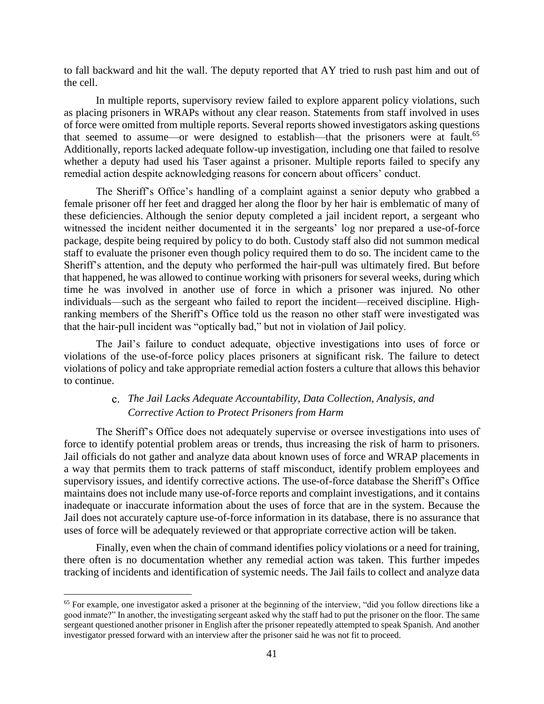to fall backward and hit the wall. The deputy reported that AY tried to rush past him and out of the cell.

 In multiple reports, supervisory review failed to explore apparent policy violations, such as placing prisoners in WRAPs without any clear reason. Statements from staff involved in uses of force were omitted from multiple reports. Several reports showed investigators asking questions whether a deputy had used his Taser against a prisoner. Multiple reports failed to specify any that seemed to assume—or were designed to establish—that the prisoners were at [fault.](https://fault.65)<sup>65</sup> Additionally, reports lacked adequate follow-up investigation, including one that failed to resolve remedial action despite acknowledging reasons for concern about officers' conduct.

 The Sheriff's Office's handling of a complaint against a senior deputy who grabbed a female prisoner off her feet and dragged her along the floor by her hair is emblematic of many of package, despite being required by policy to do both. Custody staff also did not summon medical Sheriff's attention, and the deputy who performed the hair-pull was ultimately fired. But before that happened, he was allowed to continue working with prisoners for several weeks, during which time he was involved in another use of force in which a prisoner was injured. No other ranking members of the Sheriff's Office told us the reason no other staff were investigated was these deficiencies. Although the senior deputy completed a jail incident report, a sergeant who witnessed the incident neither documented it in the sergeants' log nor prepared a use-of-force staff to evaluate the prisoner even though policy required them to do so. The incident came to the individuals—such as the sergeant who failed to report the incident—received discipline. Highthat the hair-pull incident was "optically bad," but not in violation of Jail policy.

 The Jail's failure to conduct adequate, objective investigations into uses of force or violations of the use-of-force policy places prisoners at significant risk. The failure to detect violations of policy and take appropriate remedial action fosters a culture that allows this behavior to continue.

## C. *The Jail Lacks Adequate Accountability, Data Collection, Analysis, and Corrective Action to Protect Prisoners from Harm*

 The Sheriff's Office does not adequately supervise or oversee investigations into uses of force to identify potential problem areas or trends, thus increasing the risk of harm to prisoners. Jail officials do not gather and analyze data about known uses of force and WRAP placements in a way that permits them to track patterns of staff misconduct, identify problem employees and supervisory issues, and identify corrective actions. The use-of-force database the Sheriff's Office maintains does not include many use-of-force reports and complaint investigations, and it contains inadequate or inaccurate information about the uses of force that are in the system. Because the Jail does not accurately capture use-of-force information in its database, there is no assurance that uses of force will be adequately reviewed or that appropriate corrective action will be taken.

 Finally, even when the chain of command identifies policy violations or a need for training, there often is no documentation whether any remedial action was taken. This further impedes tracking of incidents and identification of systemic needs. The Jail fails to collect and analyze data

 $65$  For example, one investigator asked a prisoner at the beginning of the interview, "did you follow directions like a good inmate?" In another, the investigating sergeant asked why the staff had to put the prisoner on the floor. The same sergeant questioned another prisoner in English after the prisoner repeatedly attempted to speak Spanish. And another investigator pressed forward with an interview after the prisoner said he was not fit to proceed.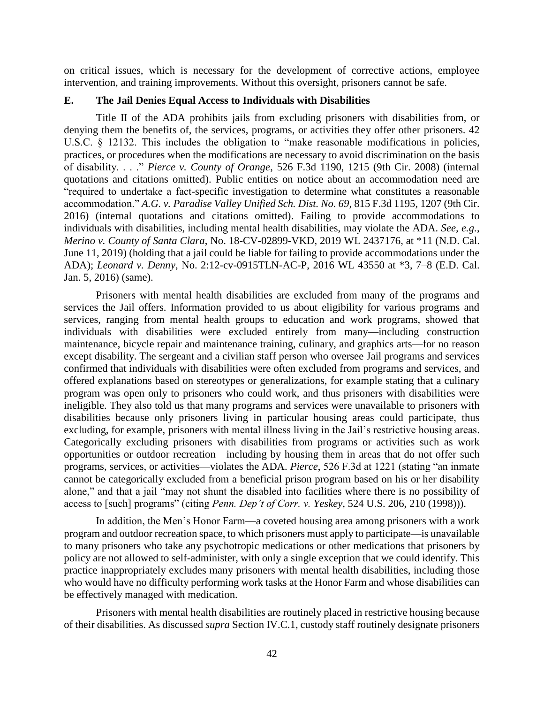on critical issues, which is necessary for the development of corrective actions, employee intervention, and training improvements. Without this oversight, prisoners cannot be safe.

#### <span id="page-45-0"></span>**E. The Jail Denies Equal Access to Individuals with Disabilities**

 Title II of the ADA prohibits jails from excluding prisoners with disabilities from, or practices, or procedures when the modifications are necessary to avoid discrimination on the basis of disability. . . ." *Pierce v. County of Orange*, 526 F.3d 1190, 1215 (9th Cir. 2008) (internal quotations and citations omitted). Public entities on notice about an accommodation need are "required to undertake a fact-specific investigation to determine what constitutes a reasonable  accommodation." *A.G. v. Paradise Valley Unified Sch. Dist. No. 69*, 815 F.3d 1195, 1207 (9th Cir. 2016) (internal quotations and citations omitted). Failing to provide accommodations to June 11, 2019) (holding that a jail could be liable for failing to provide accommodations under the denying them the benefits of, the services, programs, or activities they offer other prisoners. 42 U.S.C. § 12132. This includes the obligation to "make reasonable modifications in policies, individuals with disabilities, including mental health disabilities, may violate the ADA. *See, e.g.*, *Merino v. County of Santa Clara*, No. 18-CV-02899-VKD, 2019 WL 2437176, at \*11 (N.D. Cal. ADA); *Leonard v. Denny*, No. 2:12-cv-0915TLN-AC-P, 2016 WL 43550 at \*3, 7–8 (E.D. Cal. Jan. 5, 2016) (same).

 Prisoners with mental health disabilities are excluded from many of the programs and services the Jail offers. Information provided to us about eligibility for various programs and maintenance, bicycle repair and maintenance training, culinary, and graphics arts—for no reason offered explanations based on stereotypes or generalizations, for example stating that a culinary program was open only to prisoners who could work, and thus prisoners with disabilities were disabilities because only prisoners living in particular housing areas could participate, thus opportunities or outdoor recreation—including by housing them in areas that do not offer such cannot be categorically excluded from a beneficial prison program based on his or her disability alone," and that a jail "may not shunt the disabled into facilities where there is no possibility of services, ranging from mental health groups to education and work programs, showed that individuals with disabilities were excluded entirely from many—including construction except disability. The sergeant and a civilian staff person who oversee Jail programs and services confirmed that individuals with disabilities were often excluded from programs and services, and ineligible. They also told us that many programs and services were unavailable to prisoners with excluding, for example, prisoners with mental illness living in the Jail's restrictive housing areas. Categorically excluding prisoners with disabilities from programs or activities such as work programs, services, or activities—violates the ADA. *Pierce*, 526 F.3d at 1221 (stating "an inmate access to [such] programs" (citing *Penn. Dep't of Corr. v. Yeskey*, 524 U.S. 206, 210 (1998))).

 In addition, the Men's Honor Farm—a coveted housing area among prisoners with a work program and outdoor recreation space, to which prisoners must apply to participate—is unavailable to many prisoners who take any psychotropic medications or other medications that prisoners by policy are not allowed to self-administer, with only a single exception that we could identify. This practice inappropriately excludes many prisoners with mental health disabilities, including those who would have no difficulty performing work tasks at the Honor Farm and whose disabilities can be effectively managed with medication.

 Prisoners with mental health disabilities are routinely placed in restrictive housing because of their disabilities. As discussed *supra* Section IV.C.1, custody staff routinely designate prisoners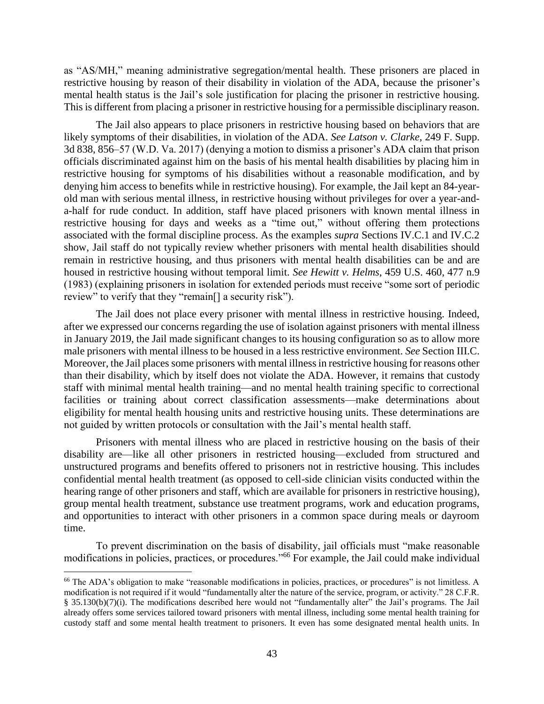as "AS/MH," meaning administrative segregation/mental health. These prisoners are placed in restrictive housing by reason of their disability in violation of the ADA, because the prisoner's mental health status is the Jail's sole justification for placing the prisoner in restrictive housing. This is different from placing a prisoner in restrictive housing for a permissible disciplinary reason.

 The Jail also appears to place prisoners in restrictive housing based on behaviors that are likely symptoms of their disabilities, in violation of the ADA. *See Latson v. Clarke*, 249 F. Supp. 3d 838, 856–57 (W.D. Va. 2017) (denying a motion to dismiss a prisoner's ADA claim that prison officials discriminated against him on the basis of his mental health disabilities by placing him in restrictive housing for symptoms of his disabilities without a reasonable modification, and by denying him access to benefits while in restrictive housing). For example, the Jail kept an 84-year- old man with serious mental illness, in restrictive housing without privileges for over a year-and- a-half for rude conduct. In addition, staff have placed prisoners with known mental illness in restrictive housing for days and weeks as a "time out," without offering them protections associated with the formal discipline process. As the examples *supra* Sections IV.C.1 and IV.C.2 show, Jail staff do not typically review whether prisoners with mental health disabilities should remain in restrictive housing, and thus prisoners with mental health disabilities can be and are housed in restrictive housing without temporal limit. *See Hewitt v. Helms*, 459 U.S. 460, 477 n.9 (1983) (explaining prisoners in isolation for extended periods must receive "some sort of periodic review" to verify that they "remain[] a security risk").

 The Jail does not place every prisoner with mental illness in restrictive housing. Indeed, after we expressed our concerns regarding the use of isolation against prisoners with mental illness in January 2019, the Jail made significant changes to its housing configuration so as to allow more male prisoners with mental illness to be housed in a less restrictive environment. *See* Section III.C. Moreover, the Jail places some prisoners with mental illness in restrictive housing for reasons other staff with minimal mental health training—and no mental health training specific to correctional eligibility for mental health housing units and restrictive housing units. These determinations are than their disability, which by itself does not violate the ADA. However, it remains that custody facilities or training about correct classification assessments—make determinations about not guided by written protocols or consultation with the Jail's mental health staff.

 Prisoners with mental illness who are placed in restrictive housing on the basis of their disability are—like all other prisoners in restricted housing—excluded from structured and confidential mental health treatment (as opposed to cell-side clinician visits conducted within the hearing range of other prisoners and staff, which are available for prisoners in restrictive housing), group mental health treatment, substance use treatment programs, work and education programs, and opportunities to interact with other prisoners in a common space during meals or dayroom unstructured programs and benefits offered to prisoners not in restrictive housing. This includes time.

 To prevent discrimination on the basis of disability, jail officials must "make reasonable modifications in policies, practices, or procedures."66 For example, the Jail could make individual

<sup>&</sup>lt;sup>66</sup> The ADA's obligation to make "reasonable modifications in policies, practices, or procedures" is not limitless. A modification is not required if it would "fundamentally alter the nature of the service, program, or activity." 28 C.F.R. § 35.130(b)(7)(i). The modifications described here would not "fundamentally alter" the Jail's programs. The Jail already offers some services tailored toward prisoners with mental illness, including some mental health training for custody staff and some mental health treatment to prisoners. It even has some designated mental health units. In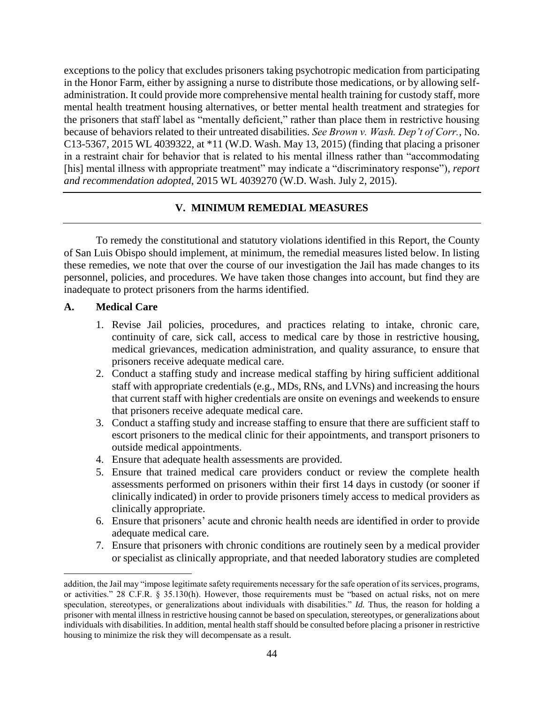in the Honor Farm, either by assigning a nurse to distribute those medications, or by allowing self- administration. It could provide more comprehensive mental health training for custody staff, more the prisoners that staff label as "mentally deficient," rather than place them in restrictive housing C13-5367, 2015 WL 4039322, at \*11 (W.D. Wash. May 13, 2015) (finding that placing a prisoner in a restraint chair for behavior that is related to his mental illness rather than "accommodating exceptions to the policy that excludes prisoners taking psychotropic medication from participating mental health treatment housing alternatives, or better mental health treatment and strategies for because of behaviors related to their untreated disabilities. *See Brown v. Wash. Dep't of Corr.*, No. [his] mental illness with appropriate treatment" may indicate a "discriminatory response"), *report and recommendation adopted*, 2015 WL 4039270 (W.D. Wash. July 2, 2015).

## **V. MINIMUM REMEDIAL MEASURES**

<span id="page-47-0"></span> To remedy the constitutional and statutory violations identified in this Report, the County these remedies, we note that over the course of our investigation the Jail has made changes to its personnel, policies, and procedures. We have taken those changes into account, but find they are of San Luis Obispo should implement, at minimum, the remedial measures listed below. In listing inadequate to protect prisoners from the harms identified.

## **A. Medical Care**

- 1. Revise Jail policies, procedures, and practices relating to intake, chronic care, continuity of care, sick call, access to medical care by those in restrictive housing, medical grievances, medication administration, and quality assurance, to ensure that prisoners receive adequate medical care.
- 2. Conduct a staffing study and increase medical staffing by hiring sufficient additional staff with appropriate credentials (e.g., MDs, RNs, and LVNs) and increasing the hours that current staff with higher credentials are onsite on evenings and weekends to ensure that prisoners receive adequate medical care.
- 3. Conduct a staffing study and increase staffing to ensure that there are sufficient staff to escort prisoners to the medical clinic for their appointments, and transport prisoners to outside medical appointments.
- 4. Ensure that adequate health assessments are provided.
- 5. Ensure that trained medical care providers conduct or review the complete health assessments performed on prisoners within their first 14 days in custody (or sooner if clinically indicated) in order to provide prisoners timely access to medical providers as clinically appropriate.
- 6. Ensure that prisoners' acute and chronic health needs are identified in order to provide adequate medical care.
- or specialist as clinically appropriate, and that needed laboratory studies are completed 7. Ensure that prisoners with chronic conditions are routinely seen by a medical provider

 addition, the Jail may "impose legitimate safety requirements necessary for the safe operation of itsservices, programs, or activities." 28 C.F.R. § 35.130(h). However, those requirements must be "based on actual risks, not on mere speculation, stereotypes, or generalizations about individuals with disabilities." *Id.* Thus, the reason for holding a prisoner with mental illness in restrictive housing cannot be based on speculation, stereotypes, or generalizations about individuals with disabilities. In addition, mental health staff should be consulted before placing a prisoner in restrictive housing to minimize the risk they will decompensate as a result.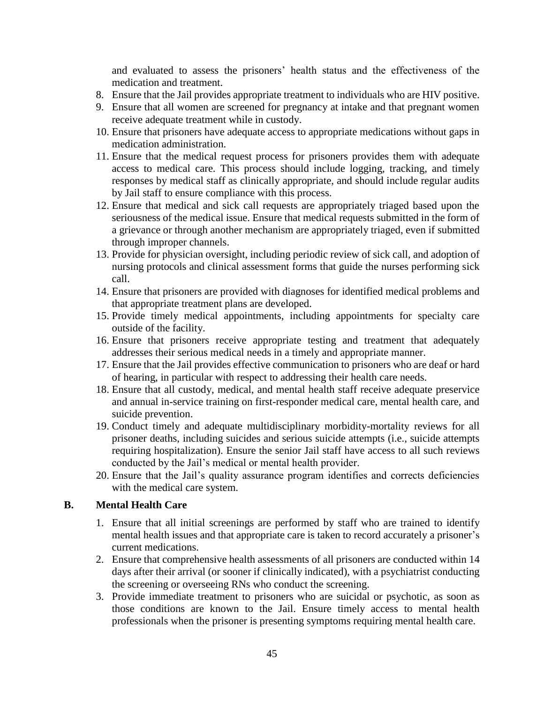and evaluated to assess the prisoners' health status and the effectiveness of the medication and treatment.

- 8. Ensure that the Jail provides appropriate treatment to individuals who are HIV positive.
- 9. Ensure that all women are screened for pregnancy at intake and that pregnant women receive adequate treatment while in custody.
- 10. Ensure that prisoners have adequate access to appropriate medications without gaps in medication administration.
- 11. Ensure that the medical request process for prisoners provides them with adequate responses by medical staff as clinically appropriate, and should include regular audits access to medical care. This process should include logging, tracking, and timely by Jail staff to ensure compliance with this process.
- 12. Ensure that medical and sick call requests are appropriately triaged based upon the seriousness of the medical issue. Ensure that medical requests submitted in the form of a grievance or through another mechanism are appropriately triaged, even if submitted through improper channels.
- 13. Provide for physician oversight, including periodic review of sick call, and adoption of nursing protocols and clinical assessment forms that guide the nurses performing sick call.
- 14. Ensure that prisoners are provided with diagnoses for identified medical problems and that appropriate treatment plans are developed.
- 15. Provide timely medical appointments, including appointments for specialty care outside of the facility.
- 16. Ensure that prisoners receive appropriate testing and treatment that adequately addresses their serious medical needs in a timely and appropriate manner.
- 17. Ensure that the Jail provides effective communication to prisoners who are deaf or hard of hearing, in particular with respect to addressing their health care needs.
- 18. Ensure that all custody, medical, and mental health staff receive adequate preservice and annual in-service training on first-responder medical care, mental health care, and suicide prevention.
- 19. Conduct timely and adequate multidisciplinary morbidity-mortality reviews for all requiring hospitalization). Ensure the senior Jail staff have access to all such reviews prisoner deaths, including suicides and serious suicide attempts (i.e., suicide attempts conducted by the Jail's medical or mental health provider.
- 20. Ensure that the Jail's quality assurance program identifies and corrects deficiencies with the medical care system.

## **B. Mental Health Care**

- 1. Ensure that all initial screenings are performed by staff who are trained to identify mental health issues and that appropriate care is taken to record accurately a prisoner's current medications.
- days after their arrival (or sooner if clinically indicated), with a psychiatrist conducting 2. Ensure that comprehensive health assessments of all prisoners are conducted within 14 the screening or overseeing RNs who conduct the screening.
- 3. Provide immediate treatment to prisoners who are suicidal or psychotic, as soon as those conditions are known to the Jail. Ensure timely access to mental health professionals when the prisoner is presenting symptoms requiring mental health care.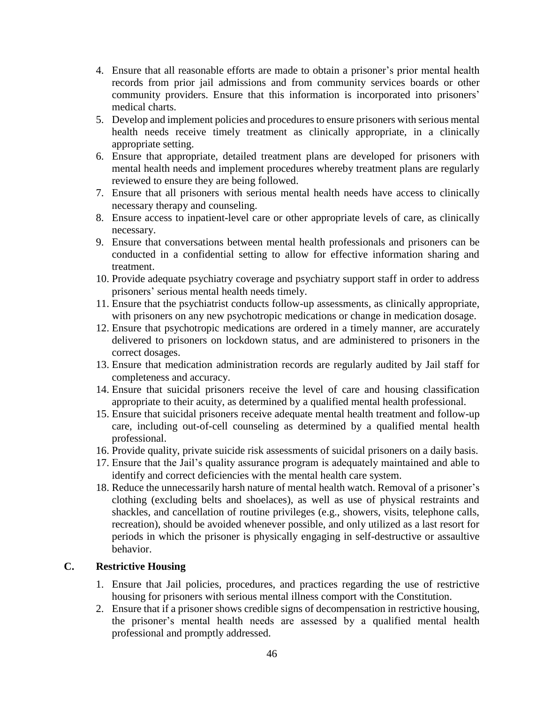- 4. Ensure that all reasonable efforts are made to obtain a prisoner's prior mental health records from prior jail admissions and from community services boards or other community providers. Ensure that this information is incorporated into prisoners' medical charts.
- health needs receive timely treatment as clinically appropriate, in a clinically 5. Develop and implement policies and procedures to ensure prisoners with serious mental appropriate setting.
- mental health needs and implement procedures whereby treatment plans are regularly reviewed to ensure they are being followed. 6. Ensure that appropriate, detailed treatment plans are developed for prisoners with
- 7. Ensure that all prisoners with serious mental health needs have access to clinically necessary therapy and counseling.
- 8. Ensure access to inpatient-level care or other appropriate levels of care, as clinically necessary.
- conducted in a confidential setting to allow for effective information sharing and 9. Ensure that conversations between mental health professionals and prisoners can be treatment.
- 10. Provide adequate psychiatry coverage and psychiatry support staff in order to address prisoners' serious mental health needs timely.
- 11. Ensure that the psychiatrist conducts follow-up assessments, as clinically appropriate, with prisoners on any new psychotropic medications or change in medication dosage.
- 12. Ensure that psychotropic medications are ordered in a timely manner, are accurately delivered to prisoners on lockdown status, and are administered to prisoners in the correct dosages.
- 13. Ensure that medication administration records are regularly audited by Jail staff for completeness and accuracy.
- appropriate to their acuity, as determined by a qualified mental health professional. 14. Ensure that suicidal prisoners receive the level of care and housing classification
- care, including out-of-cell counseling as determined by a qualified mental health 15. Ensure that suicidal prisoners receive adequate mental health treatment and follow-up professional.
- 16. Provide quality, private suicide risk assessments of suicidal prisoners on a daily basis.
- 17. Ensure that the Jail's quality assurance program is adequately maintained and able to identify and correct deficiencies with the mental health care system.
- 18. Reduce the unnecessarily harsh nature of mental health watch. Removal of a prisoner's clothing (excluding belts and shoelaces), as well as use of physical restraints and shackles, and cancellation of routine privileges (e.g., showers, visits, telephone calls, recreation), should be avoided whenever possible, and only utilized as a last resort for periods in which the prisoner is physically engaging in self-destructive or assaultive behavior.

## **C. Restrictive Housing**

- 1. Ensure that Jail policies, procedures, and practices regarding the use of restrictive housing for prisoners with serious mental illness comport with the Constitution.
- 2. Ensure that if a prisoner shows credible signs of decompensation in restrictive housing, the prisoner's mental health needs are assessed by a qualified mental health professional and promptly addressed.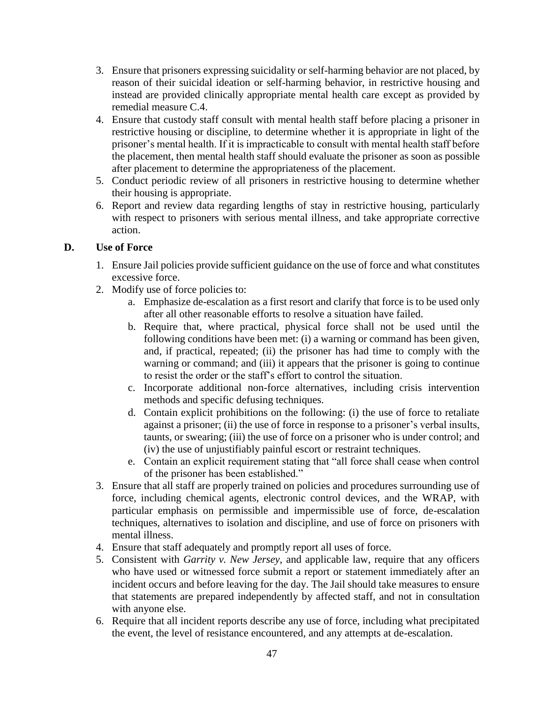- 3. Ensure that prisoners expressing suicidality or self-harming behavior are not placed, by reason of their suicidal ideation or self-harming behavior, in restrictive housing and instead are provided clinically appropriate mental health care except as provided by remedial measure C.4.
- 4. Ensure that custody staff consult with mental health staff before placing a prisoner in restrictive housing or discipline, to determine whether it is appropriate in light of the prisoner's mental health. If it is impracticable to consult with mental health staff before the placement, then mental health staff should evaluate the prisoner as soon as possible after placement to determine the appropriateness of the placement.
- 5. Conduct periodic review of all prisoners in restrictive housing to determine whether their housing is appropriate.
- with respect to prisoners with serious mental illness, and take appropriate corrective 6. Report and review data regarding lengths of stay in restrictive housing, particularly action.

## **D. Use of Force**

- 1. Ensure Jail policies provide sufficient guidance on the use of force and what constitutes excessive force.
- 2. Modify use of force policies to:
	- a. Emphasize de-escalation as a first resort and clarify that force is to be used only after all other reasonable efforts to resolve a situation have failed.
	- b. Require that, where practical, physical force shall not be used until the following conditions have been met: (i) a warning or command has been given, warning or command; and (iii) it appears that the prisoner is going to continue and, if practical, repeated; (ii) the prisoner has had time to comply with the to resist the order or the staff's effort to control the situation.
	- c. Incorporate additional non-force alternatives, including crisis intervention methods and specific defusing techniques.
	- d. Contain explicit prohibitions on the following: (i) the use of force to retaliate against a prisoner; (ii) the use of force in response to a prisoner's verbal insults, taunts, or swearing; (iii) the use of force on a prisoner who is under control; and (iv) the use of unjustifiably painful escort or restraint techniques.
	- e. Contain an explicit requirement stating that "all force shall cease when control of the prisoner has been established."
- 3. Ensure that all staff are properly trained on policies and procedures surrounding use of particular emphasis on permissible and impermissible use of force, de-escalation techniques, alternatives to isolation and discipline, and use of force on prisoners with force, including chemical agents, electronic control devices, and the WRAP, with mental illness.
- 4. Ensure that staff adequately and promptly report all uses of force.
- 5. Consistent with *Garrity v. New Jersey*, and applicable law, require that any officers who have used or witnessed force submit a report or statement immediately after an incident occurs and before leaving for the day. The Jail should take measures to ensure that statements are prepared independently by affected staff, and not in consultation with anyone else.
- 6. Require that all incident reports describe any use of force, including what precipitated the event, the level of resistance encountered, and any attempts at de-escalation.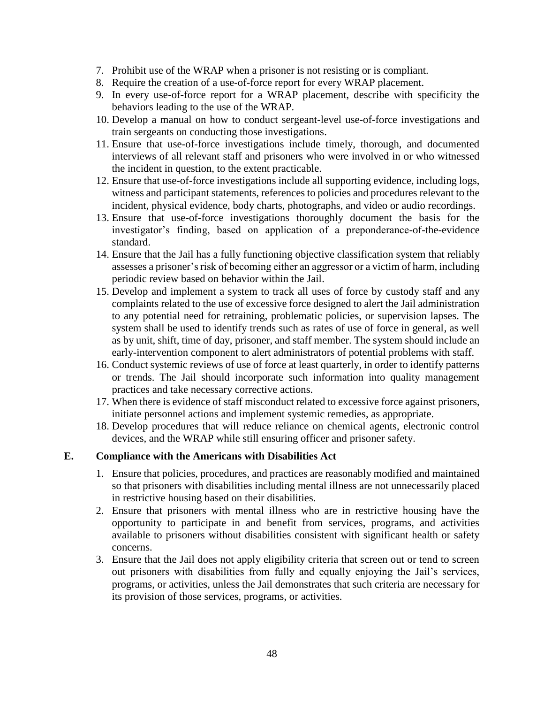- 7. Prohibit use of the WRAP when a prisoner is not resisting or is compliant.
- 8. Require the creation of a use-of-force report for every WRAP placement.
- 9. In every use-of-force report for a WRAP placement, describe with specificity the behaviors leading to the use of the WRAP.
- 10. Develop a manual on how to conduct sergeant-level use-of-force investigations and train sergeants on conducting those investigations.
- interviews of all relevant staff and prisoners who were involved in or who witnessed 11. Ensure that use-of-force investigations include timely, thorough, and documented the incident in question, to the extent practicable.
- 12. Ensure that use-of-force investigations include all supporting evidence, including logs, witness and participant statements, references to policies and procedures relevant to the incident, physical evidence, body charts, photographs, and video or audio recordings.
- 13. Ensure that use-of-force investigations thoroughly document the basis for the investigator's finding, based on application of a preponderance-of-the-evidence standard.
- 14. Ensure that the Jail has a fully functioning objective classification system that reliably assesses a prisoner's risk of becoming either an aggressor or a victim of harm, including periodic review based on behavior within the Jail.
- 15. Develop and implement a system to track all uses of force by custody staff and any complaints related to the use of excessive force designed to alert the Jail administration to any potential need for retraining, problematic policies, or supervision lapses. The system shall be used to identify trends such as rates of use of force in general, as well as by unit, shift, time of day, prisoner, and staff member. The system should include an early-intervention component to alert administrators of potential problems with staff.
- 16. Conduct systemic reviews of use of force at least quarterly, in order to identify patterns or trends. The Jail should incorporate such information into quality management practices and take necessary corrective actions.
- 17. When there is evidence of staff misconduct related to excessive force against prisoners, initiate personnel actions and implement systemic remedies, as appropriate.
- 18. Develop procedures that will reduce reliance on chemical agents, electronic control devices, and the WRAP while still ensuring officer and prisoner safety.

## **E. Compliance with the Americans with Disabilities Act**

- 1. Ensure that policies, procedures, and practices are reasonably modified and maintained so that prisoners with disabilities including mental illness are not unnecessarily placed in restrictive housing based on their disabilities.
- 2. Ensure that prisoners with mental illness who are in restrictive housing have the opportunity to participate in and benefit from services, programs, and activities available to prisoners without disabilities consistent with significant health or safety concerns.
- 3. Ensure that the Jail does not apply eligibility criteria that screen out or tend to screen out prisoners with disabilities from fully and equally enjoying the Jail's services, programs, or activities, unless the Jail demonstrates that such criteria are necessary for its provision of those services, programs, or activities.